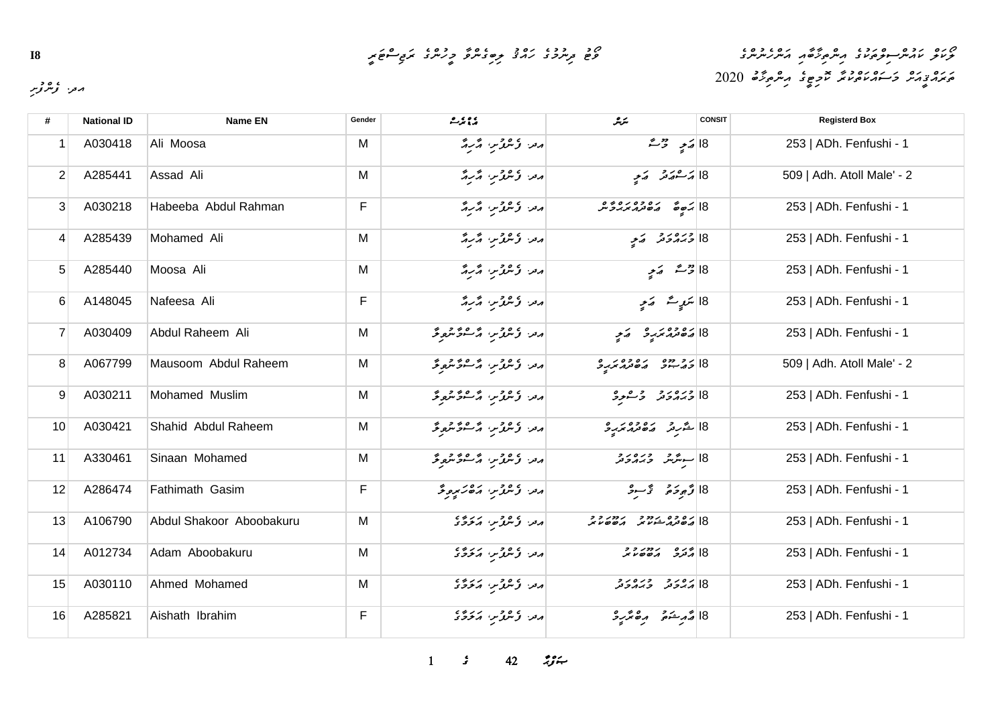*sCw7q7s5w7m< o<n9nOoAw7o< sCq;mAwBoEw7q<m; wBm;vB* م من المرة المرة المرة المرجع المرجع في المركبة 2020<br>مجم*د المريض المربوط المربع المرجع في المراجع المركبة* 

| ، ه د             |  |
|-------------------|--|
| أمافرا اقرسما توس |  |
|                   |  |

| #              | <b>National ID</b> | Name EN                  | Gender      | بروبره                       | ىتربىر                     | <b>CONSIT</b> | <b>Registerd Box</b>       |
|----------------|--------------------|--------------------------|-------------|------------------------------|----------------------------|---------------|----------------------------|
|                | A030418            | Ali Moosa                | M           | أمعها وكلوفين أتربر          | 8  پر ویٹ                  |               | 253   ADh. Fenfushi - 1    |
| $\vert$ 2      | A285441            | Assad Ali                | M           | معرا وكلوتونا المريد         | 8  پر <i>شہر تھ چ</i>      |               | 509   Adh. Atoll Male' - 2 |
| 3              | A030218            | Habeeba Abdul Rahman     | $\mathsf F$ | أمعها وكلوفين أتربر          | 8 كم حدة مع مدة مدة حديث   |               | 253   ADh. Fenfushi - 1    |
| $\overline{4}$ | A285439            | Mohamed Ali              | M           | أمعها وكلوفر المركبة         | 8  32,25 رَمِ              |               | 253   ADh. Fenfushi - 1    |
| 5 <sup>5</sup> | A285440            | Moosa Ali                | M           | أمعه وتعويس مركبة            | 8  فخرشہ کہ مبر            |               | 253   ADh. Fenfushi - 1    |
| 6              | A148045            | Nafeesa Ali              | F           | أمعه وتعويس مركبة            | 8  سَمِي شَہ کہ یہ ج       |               | 253   ADh. Fenfushi - 1    |
| $\overline{7}$ | A030409            | Abdul Raheem Ali         | M           | أمعرا وتنزوين المسوفة متعاقد | 18 <i>مەھەمەر بۇ</i> ھېچ   |               | 253   ADh. Fenfushi - 1    |
| 8              | A067799            | Mausoom Abdul Raheem     | M           | معرا وتكويرا المستوسيون      | 8 - 2020 - 2020 - 2020     |               | 509   Adh. Atoll Male' - 2 |
| 9              | A030211            | Mohamed Muslim           | M           | مەر، ئۇسمەس مەسىر ئەسىر ئە   | 8  دېرورو د عبود           |               | 253   ADh. Fenfushi - 1    |
| 10             | A030421            | Shahid Abdul Raheem      | M           | معرا وتنزوين المستركين معرفة | 8 ڪريز ھەمھەترىدۇ          |               | 253   ADh. Fenfushi - 1    |
| 11             | A330461            | Sinaan Mohamed           | M           | معرا وتكويرا المستركي معرفة  | 8  سو <i>سرتر دی۔ دو</i> ر |               | 253   ADh. Fenfushi - 1    |
| 12             | A286474            | Fathimath Gasim          | $\mathsf F$ | أمعن وتكويمن أركاكه بروتخر   | 8  <i>وُجوحَہ ڈ</i> ُسومُ  |               | 253   ADh. Fenfushi - 1    |
| 13             | A106790            | Abdul Shakoor Aboobakuru | M           | أمعه وعوقر متعدده            | 8  2010 - 2020 - 2020 12   |               | 253   ADh. Fenfushi - 1    |
| 14             | A012734            | Adam Aboobakuru          | M           | معرا وكالمعرض المركزي        | 8   جرم برود د و           |               | 253   ADh. Fenfushi - 1    |
| 15             | A030110            | Ahmed Mohamed            | M           | أمعرا وكالمروس أترون         | 18 كەبرو بول ئەرەبىر       |               | 253   ADh. Fenfushi - 1    |
| 16             | A285821            | Aishath Ibrahim          | F           | أمعه وكالمروج أيرون          | 8  مەم شەھ مەھەردى<br>8    |               | 253   ADh. Fenfushi - 1    |

 $1$  *s*  $42$  *n***<sub>s</sub>** $\frac{2}{3}$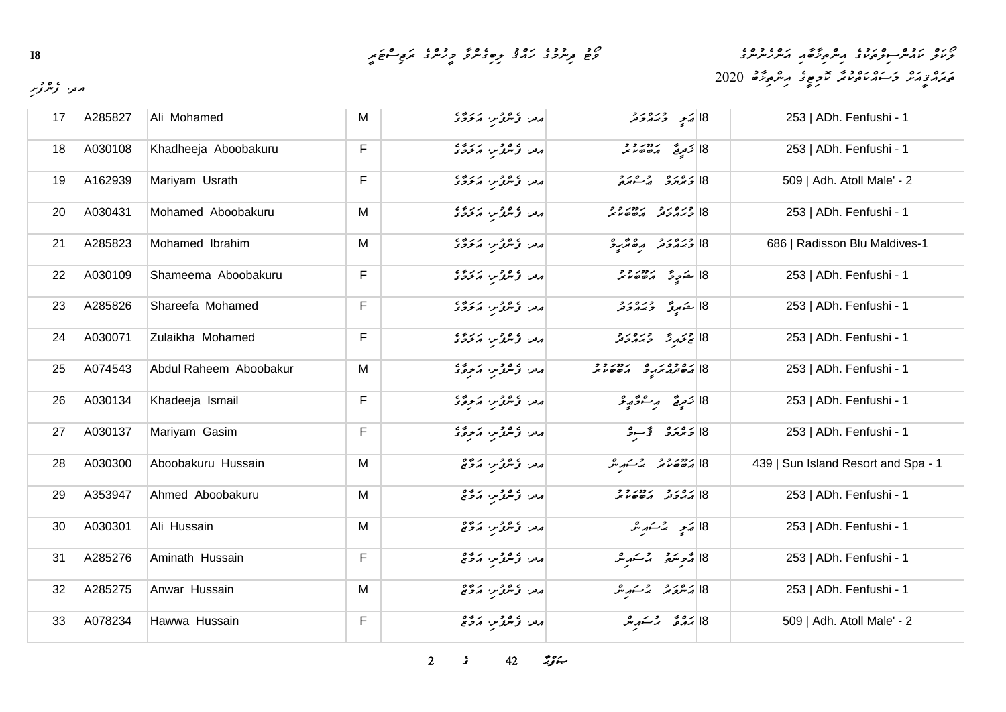*sCw7q7s5w7m< o<n9nOoAw7o< sCq;mAwBoEw7q<m; wBm;vB* م من المرة المرة المرة المرجع المرجع في المركبة 2020<br>مجم*د المريض المربوط المربع المرجع في المراجع المركبة* 

| 17 | A285827 | Ali Mohamed            | M           | أمعه وكلوفر مكرومي     | 8  پر په دېمبروتر                       | 253   ADh. Fenfushi - 1             |
|----|---------|------------------------|-------------|------------------------|-----------------------------------------|-------------------------------------|
| 18 | A030108 | Khadheeja Aboobakuru   | $\mathsf F$ | أمعن وتنموس يمتوقر     | 8 كَتْمِيعٌ مُقْصَلَةٌ                  | 253   ADh. Fenfushi - 1             |
| 19 | A162939 | Mariyam Usrath         | F           | أمعرا وصوفرا أيمرون    | 8  ئەبەر قەرىقىدە                       | 509   Adh. Atoll Male' - 2          |
| 20 | A030431 | Mohamed Aboobakuru     | M           | معرا وكالمرض محركر وي  | 32132 22012 B                           | 253   ADh. Fenfushi - 1             |
| 21 | A285823 | Mohamed Ibrahim        | M           | أمعه وكلوس كمغرف       | 8  دبرە دىر مەھرىبى                     | 686   Radisson Blu Maldives-1       |
| 22 | A030109 | Shameema Aboobakuru    | $\mathsf F$ | معد: تؤثيري المتوقرى   | $2222$ $18$                             | 253   ADh. Fenfushi - 1             |
| 23 | A285826 | Shareefa Mohamed       | F           | معرا وكالمعرض المركزى  | 8  خىمبۇ ئەيرە ئەر                      | 253   ADh. Fenfushi - 1             |
| 24 | A030071 | Zulaikha Mohamed       | F           | أمعرا وصوفرا أيمرون    | 8  ىخ <i>مرد تى ئىم ئى</i> مىز ئىر      | 253   ADh. Fenfushi - 1             |
| 25 | A074543 | Abdul Raheem Aboobakur | M           | أمعا وتنزيرا متوقات    | 8 הפנג הביני נייני                      | 253   ADh. Fenfushi - 1             |
| 26 | A030134 | Khadeeja Ismail        | F           | معدا وكلورس مكرونج     | 8  زَمِرِيَّ مِرْ مُرَّمَّ دِ وَ        | 253   ADh. Fenfushi - 1             |
| 27 | A030137 | Mariyam Gasim          | $\mathsf F$ | معد: وكالمعرض مكرونجي  | $3 - \frac{2}{3}$ $3 - \frac{2}{3}$     | 253   ADh. Fenfushi - 1             |
| 28 | A030300 | Aboobakuru Hussain     | M           | معرا وكالدوم المركزة م | 8 مەھەم بر يەسكىرىش                     | 439   Sun Island Resort and Spa - 1 |
| 29 | A353947 | Ahmed Aboobakuru       | M           | معرا وتعويس المروح     | $22222$ $18$                            | 253   ADh. Fenfushi - 1             |
| 30 | A030301 | Ali Hussain            | M           | أمعرا وكلورس مرومي     | 8  پر پو م <sup>ی</sup> شریف            | 253   ADh. Fenfushi - 1             |
| 31 | A285276 | Aminath Hussain        | $\mathsf F$ | أمعرا وكلورس مرومي     | 8  م <i>ُّحِسَمُ مُسْتَمِسُ</i>         | 253   ADh. Fenfushi - 1             |
| 32 | A285275 | Anwar Hussain          | M           | أمعرا وكلورس مرومي     | 8  ئ <i>ەنگەنگە</i> ئەسكە <i>بەنل</i> ە | 253   ADh. Fenfushi - 1             |
| 33 | A078234 | Hawwa Hussain          | F           | أمعه وتعويم أمرضي      | 8  ئەۋىۋە مەسىرىدىكە                    | 509   Adh. Atoll Male' - 2          |

*2 sC 42 nNw?mS*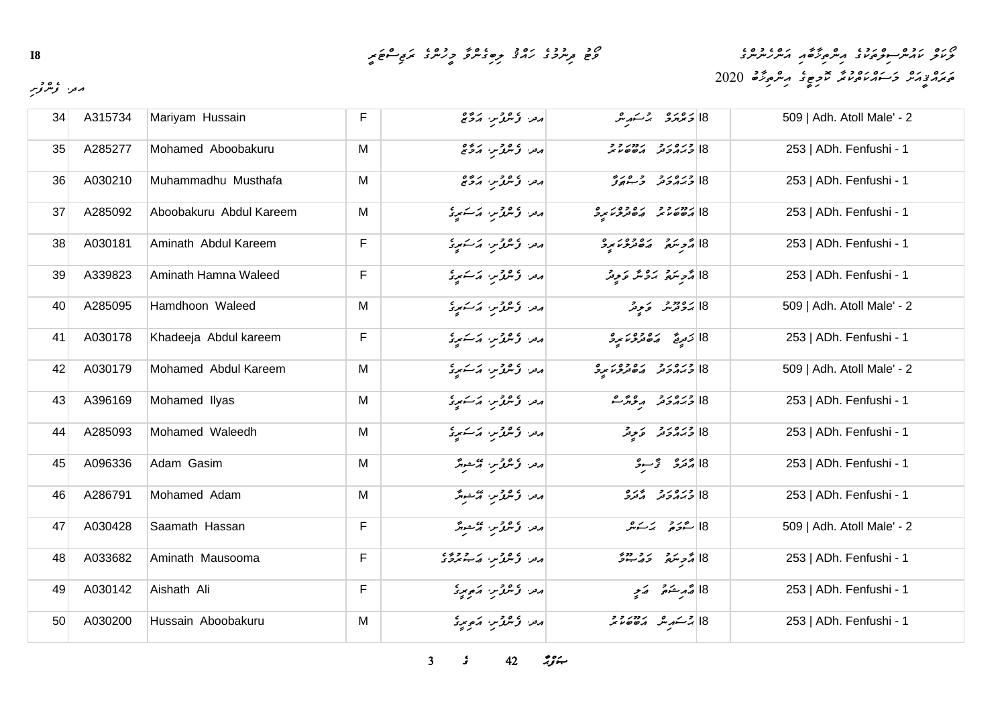*sCw7q7s5w7m< o<n9nOoAw7o< sCq;mAwBoEw7q<m; wBm;vB* م من المرة المرة المرة المرجع المرجع في المركبة 2020<br>مجم*د المريض المربوط المربع المرجع في المراجع المركبة* 

| 34 | A315734 | Mariyam Hussain         | $\mathsf{F}$ | أمعه وتعويم أمرضي             | 8   ئ <i>ۇنىز ئىمىتىدى</i> گە          | 509   Adh. Atoll Male' - 2 |  |
|----|---------|-------------------------|--------------|-------------------------------|----------------------------------------|----------------------------|--|
| 35 | A285277 | Mohamed Aboobakuru      | M            | أمعرا وتعويب أروه             | 8 כנסני נמני כ                         | 253   ADh. Fenfushi - 1    |  |
| 36 | A030210 | Muhammadhu Musthafa     | M            | أمعرا وتتروش أروه             | 8  دبرەرد دېدۇ                         | 253   ADh. Fenfushi - 1    |  |
| 37 | A285092 | Aboobakuru Abdul Kareem | M            | أمعرا وكالمروس أركبتمبرى      | 8 - 70700 - 70700 - 8                  | 253   ADh. Fenfushi - 1    |  |
| 38 | A030181 | Aminath Abdul Kareem    | F            | أمعرا وكالمروس أركبتمبرى      | 8  مُرْجِسَة مُتَصْرَ مُرْجَمَة مَرِدْ | 253   ADh. Fenfushi - 1    |  |
| 39 | A339823 | Aminath Hamna Waleed    | $\mathsf F$  | أمعرا وتنمدس أركبتمبر         | 8  مَّحِسَمَ بَرْدْشَ وَمِعْدَ         | 253   ADh. Fenfushi - 1    |  |
| 40 | A285095 | Hamdhoon Waleed         | M            | أمعرا وتموهم المركبة          | 8  برودویر کامویر                      | 509   Adh. Atoll Male' - 2 |  |
| 41 | A030178 | Khadeeja Abdul kareem   | $\mathsf F$  | أمعرا وكلوس أركبتمبر          | 8  كەرى <i>ق مەھەردىن ب</i> رو         | 253   ADh. Fenfushi - 1    |  |
| 42 | A030179 | Mohamed Abdul Kareem    | M            | أمعرا وتنزوين أركبتميرى       | 8  ورورو رووور و                       | 509   Adh. Atoll Male' - 2 |  |
| 43 | A396169 | Mohamed Ilyas           | M            | أمعرا وكالمروس أركبتمبرى      | 8  دېرورو موگرے                        | 253   ADh. Fenfushi - 1    |  |
| 44 | A285093 | Mohamed Waleedh         | M            | أمعرا وتعمد سكاريم كالمستعيرى | 18 ديرورو گروتر                        | 253   ADh. Fenfushi - 1    |  |
| 45 | A096336 | Adam Gasim              | M            | أمعرا كرهوس كالشبائر          | 8  انھرنز تھی۔                         | 253   ADh. Fenfushi - 1    |  |
| 46 | A286791 | Mohamed Adam            | M            | أمعرا كرهوس كالشيتر           | 8  32,25 م. م. م. م. 20                | 253   ADh. Fenfushi - 1    |  |
| 47 | A030428 | Saamath Hassan          | $\mathsf F$  | أمعرا كرهوس كالشيتر           | 8  گۇۇ ئەسەئىر                         | 509   Adh. Atoll Male' - 2 |  |
| 48 | A033682 | Aminath Mausooma        | $\mathsf F$  | أمعن وتنزوس كالبرودي          | 8  مُرْحِسَمُ حَمْسِعْرً               | 253   ADh. Fenfushi - 1    |  |
| 49 | A030142 | Aishath Ali             | $\mathsf F$  | أمعن كرهوس مكالح بلائم        | 8  مەم شىم كەمىي                       | 253   ADh. Fenfushi - 1    |  |
| 50 | A030200 | Hussain Aboobakuru      | M            | أمعن كرهوس مكالميرة           | 8  پر متمبر مرد در در در در این        | 253   ADh. Fenfushi - 1    |  |

**3** *3* **<b>42** *z <i>z*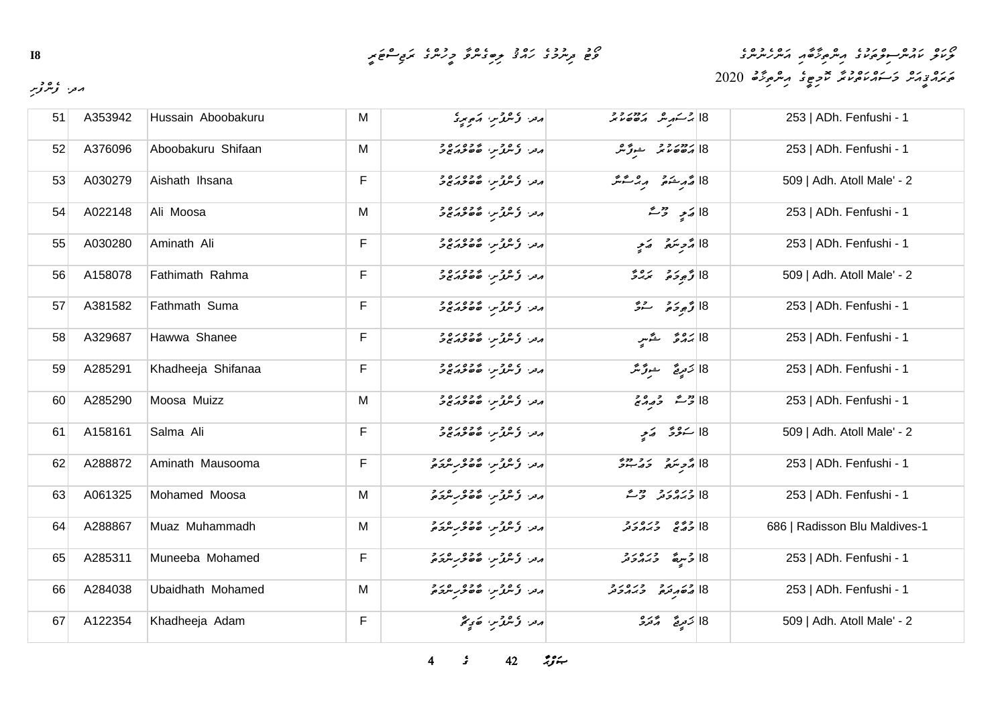*sCw7q7s5w7m< o<n9nOoAw7o< sCq;mAwBoEw7q<m; wBm;vB* م من المرة المرة المرة المرجع المرجع في المركبة 2020<br>مجم*د المريض المربوط المربع المرجع في المراجع المركبة* 

| 51 | A353942 | Hussain Aboobakuru | M           | أمعا كر تكريب أكاموسي          | 8 ير <i>مرد مقصد پر</i>           | 253   ADh. Fenfushi - 1       |
|----|---------|--------------------|-------------|--------------------------------|-----------------------------------|-------------------------------|
| 52 | A376096 | Aboobakuru Shifaan | M           | دو. ومروج وودود                | 8  ر <i>وموج شوڙ</i> شر           | 253   ADh. Fenfushi - 1       |
| 53 | A030279 | Aishath Ihsana     | $\mathsf F$ | معرس ومورد مصوم ود             | 8  م <i>ەرىشىمى مەشتىت</i> ر      | 509   Adh. Atoll Male' - 2    |
| 54 | A022148 | Ali Moosa          | M           | معرس ومورد مصوم ود             | 18 کھ تو گ                        | 253   ADh. Fenfushi - 1       |
| 55 | A030280 | Aminath Ali        | F           | معرس وموس مصوم ود              | 8ا <i>مُ</i> حب <i>سَمُ مَ</i> مِ | 253   ADh. Fenfushi - 1       |
| 56 | A158078 | Fathimath Rahma    | $\mathsf F$ | معرس ومورد مصوم ود             | 8  ۇ <sub>ج</sub> وڭر ئىرچۇ       | 509   Adh. Atoll Male' - 2    |
| 57 | A381582 | Fathmath Suma      | F           | معرس وموس كالمحصوم والمحمد     | 8  ۇجەدىق سىۋ                     | 253   ADh. Fenfushi - 1       |
| 58 | A329687 | Hawwa Shanee       | F           | معرس ومورد مصوم ود             | 8  كَهُرَّةٌ شَّمْسٍ              | 253   ADh. Fenfushi - 1       |
| 59 | A285291 | Khadheeja Shifanaa | F           | معرس ومورد مصوم ود             | 8  زَمِرِيحٌ ۖ سُوِرٌ مَّر        | 253   ADh. Fenfushi - 1       |
| 60 | A285290 | Moosa Muizz        | M           | مدر وسروس مصوم دو              | 8  ج محمد محمد محمد محمد          | 253   ADh. Fenfushi - 1       |
| 61 | A158161 | Salma Ali          | F           | أردر ومرور مصروره و            | 8  سَعْرَةً - رَمِ                | 509   Adh. Atoll Male' - 2    |
| 62 | A288872 | Aminath Mausooma   | F           | معرس وسروس كالمحور سرولو       | 8  أُمُّ حِسَنَةً مَصْبَحَةً      | 253   ADh. Fenfushi - 1       |
| 63 | A061325 | Mohamed Moosa      | M           | أمعر ومروس كالمحد مدد          | 8   <i>جزه دو</i> حقیقه           | 253   ADh. Fenfushi - 1       |
| 64 | A288867 | Muaz Muhammadh     | M           | معرس وسروس كالمحاديد والمحاديد | 8  وی ورورو                       | 686   Radisson Blu Maldives-1 |
| 65 | A285311 | Muneeba Mohamed    | F           | معرا ومروس كالمور مدد          | 8  ۇسىھ دېرەدىر                   | 253   ADh. Fenfushi - 1       |
| 66 | A284038 | Ubaidhath Mohamed  | M           | معرس ومورد كالمحور مرد         | 8  رُەرِيَرە ئەرەرى               | 253   ADh. Fenfushi - 1       |
| 67 | A122354 | Khadheeja Adam     | $\mathsf F$ | أمعه: وكالمؤس كالمحكم          | 8  كَسِيعٌ - مُرْمَرْدُ           | 509   Adh. Atoll Male' - 2    |

*4 s* 42 *i*<sub>s</sub> $\approx$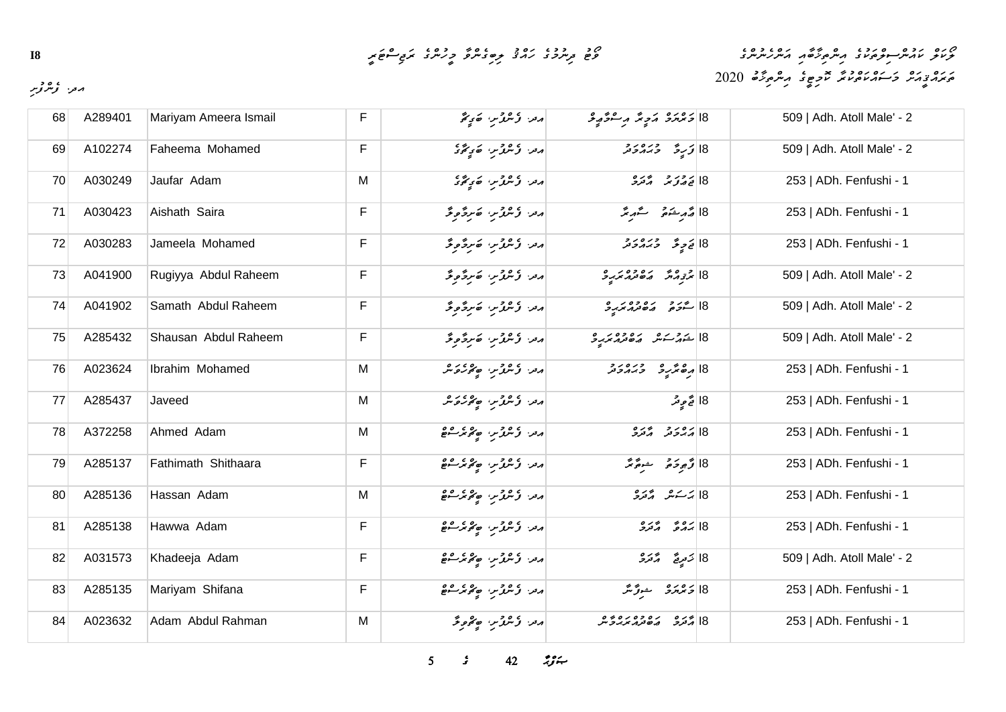*sCw7q7s5w7m< o<n9nOoAw7o< sCq;mAwBoEw7q<m; wBm;vB* م من المرة المرة المرة المرجع المرجع في المركبة 2020<br>مجم*د المريض المربوط المربع المرجع في المراجع المركبة* 

| 68 | A289401 | Mariyam Ameera Ismail | F           | مامر: كَوْسْكُوْسٍ، كَايَاتُوْ                                                                     | 8   ئ <i>ەمگە ئۇچىگە بەستۇمپ</i> ۇ | 509   Adh. Atoll Male' - 2 |
|----|---------|-----------------------|-------------|----------------------------------------------------------------------------------------------------|------------------------------------|----------------------------|
| 69 | A102274 | Faheema Mohamed       | F           | أردرا وتمروس كالمجمور                                                                              | 8  <i>وَرِدُّ حُمَدُونَدُ</i>      | 509   Adh. Atoll Male' - 2 |
| 70 | A030249 | Jaufar Adam           | M           | ما مارد المحمد والمحمد المحمد والمحمد المحمد والمحمد المحمد والمحمد المحمد والمحمد والمحمد والمحمد | 8  يے پر پور مجموعہ                | 253   ADh. Fenfushi - 1    |
| 71 | A030423 | Aishath Saira         | F           | أمعرا وتكروس كالرؤوش                                                                               | 8  مُدمِسَة مُصْرِيمٌ              | 253   ADh. Fenfushi - 1    |
| 72 | A030283 | Jameela Mohamed       | F           | أمعرا وتكروس كالرؤوش                                                                               | 8  ق ح ع ح م ي م ج و ح د           | 253   ADh. Fenfushi - 1    |
| 73 | A041900 | Rugiyya Abdul Raheem  | $\mathsf F$ | أمعرا وكلوفرا كالرؤوثر                                                                             | 8 متوريج مقصد مديد                 | 509   Adh. Atoll Male' - 2 |
| 74 | A041902 | Samath Abdul Raheem   | F           | مەر كۆرگۈش، ھەردگوڭر                                                                               | 8 گەرە مەھەر مەر                   | 509   Adh. Atoll Male' - 2 |
| 75 | A285432 | Shausan Abdul Raheem  | $\mathsf F$ | أمعرا وتكروس كالرؤوش                                                                               | $ 8 $ شكر مشاهر مورد و 18          | 509   Adh. Atoll Male' - 2 |
| 76 | A023624 | Ibrahim Mohamed       | M           | معرا وتمروس كالمروش                                                                                | 8  مەھمەر ئەمەمەر                  | 253   ADh. Fenfushi - 1    |
| 77 | A285437 | Javeed                | M           | أمعه وكمروس كالمحر وكالله                                                                          | 8  اقے موقر                        | 253   ADh. Fenfushi - 1    |
| 78 | A372258 | Ahmed Adam            | M           | معدا وتكويرا كالمحتر سقط                                                                           | 18 كەبرو ئەر ئەر ئەر               | 253   ADh. Fenfushi - 1    |
| 79 | A285137 | Fathimath Shithaara   | F           | مدر ومروس ھەمرىسى                                                                                  | 8  <i>وگھوخ</i> تر شو <i>مرمگ</i>  | 253   ADh. Fenfushi - 1    |
| 80 | A285136 | Hassan Adam           | M           | معرا وتمروس كالمحرم والمحا                                                                         | 8  پرسترس مجموعہ                   | 253   ADh. Fenfushi - 1    |
| 81 | A285138 | Hawwa Adam            | $\mathsf F$ | مدر وتروس ھەمرىك                                                                                   | 18 بَرُوحٌ مُرْمَرَّدُ             | 253   ADh. Fenfushi - 1    |
| 82 | A031573 | Khadeeja Adam         | $\mathsf F$ | معه وتمروس ھەبرىق                                                                                  | 18  زَمِرِجٌ – مُرْمَرٌ            | 509   Adh. Atoll Male' - 2 |
| 83 | A285135 | Mariyam Shifana       | F           | معرا ومروس كالمحرم                                                                                 | 8  <i>5 بۇيرۇ</i> ھو <i>ر</i> گە   | 253   ADh. Fenfushi - 1    |
| 84 | A023632 | Adam Abdul Rahman     | M           | معا وكلوس كالحوقر                                                                                  | 8  دره بره ده دره ده و             | 253   ADh. Fenfushi - 1    |

 $5$   $5$   $42$   $75$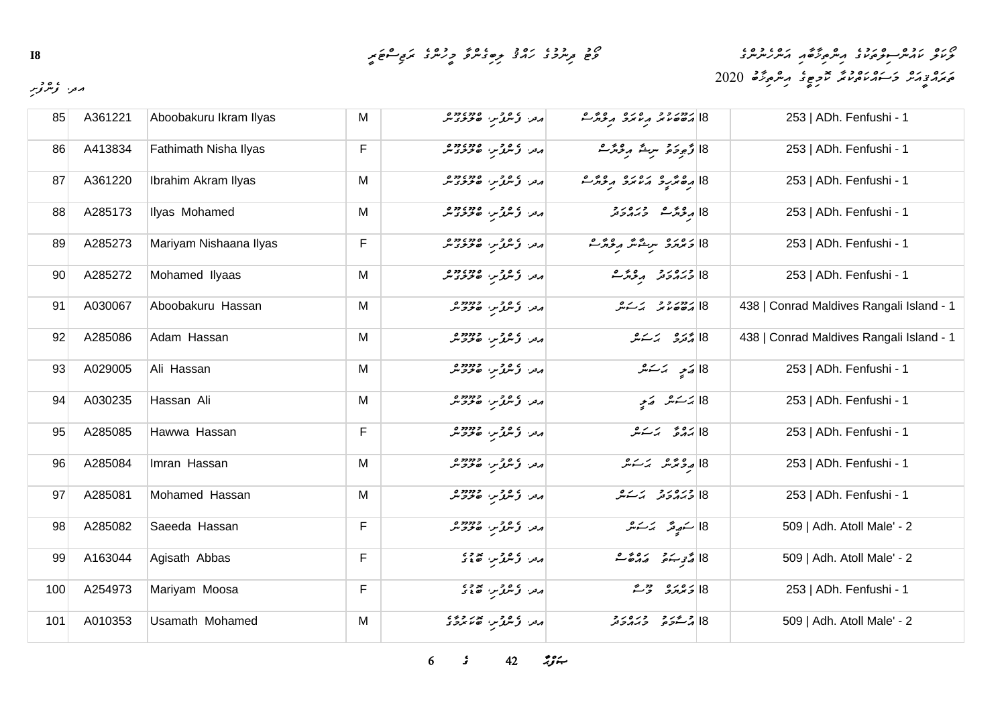*sCw7q7s5w7m< o<n9nOoAw7o< sCq;mAwBoEw7q<m; wBm;vB* م من المسجد المسجد المسجد المسجد المسجد العام 2020<br>مسجد المسجد المسجد المسجد المسجد المسجد المسجد المسجد المسجد ال

| 85  | A361221 | Aboobakuru Ikram Ilyas | M           | رد. ژمروس ه دوه ده.<br>در ژمروس هڅرن مر       | $8 - 18$                                                                   | 253   ADh. Fenfushi - 1                  |
|-----|---------|------------------------|-------------|-----------------------------------------------|----------------------------------------------------------------------------|------------------------------------------|
| 86  | A413834 | Fathimath Nisha Ilyas  | F           | ە ئەمەدە ەھەدە دە<br>مەن ئۇسمەس ھىجەدىس       | 8   <i>وَّەودَة</i> سِتَّ م <i>ِ</i> وْمَّرْتْ                             | 253   ADh. Fenfushi - 1                  |
| 87  | A361220 | Ibrahim Akram Ilyas    | M           | دو. و مور میوه ده<br>دو. و سروس گاموموس       |                                                                            | 253   ADh. Fenfushi - 1                  |
| 88  | A285173 | Ilyas Mohamed          | M           | دو. وه وده وده وده.<br>دو. وسروس هونوی س      | 8  مۇيۇر <i>مەدەرە</i>                                                     | 253   ADh. Fenfushi - 1                  |
| 89  | A285273 | Mariyam Nishaana Ilyas | F           |                                               | 8  ئ <i>ومبرڈ</i> سیشکر م <i>وٹر</i> ے                                     | 253   ADh. Fenfushi - 1                  |
| 90  | A285272 | Mohamed Ilyaas         | M           | دور و سروس موروده<br>دور و سروس <i>ه</i> وروس | 8  <i>ڈیزویز بوڈگ</i>                                                      | 253   ADh. Fenfushi - 1                  |
| 91  | A030067 | Aboobakuru Hassan      | M           | ړو. ده وروده<br>ملا وسروس ځووس                | 8   رەمەدىر برىكە                                                          | 438   Conrad Maldives Rangali Island - 1 |
| 92  | A285086 | Adam Hassan            | M           | دىن كەن دەدەە<br>مەن كەس                      | 8  جەنزى ئەسەئىر                                                           | 438   Conrad Maldives Rangali Island - 1 |
| 93  | A029005 | Ali Hassan             | M           | رو. و سروس دووده<br>دو. و سروس صور سر         | 8   كەبىي كەسكەنلەر                                                        | 253   ADh. Fenfushi - 1                  |
| 94  | A030235 | Hassan Ali             | M           | رو. وسروس معروس<br>معر وسروس <i>مو</i> وس     | 8  پرستر پہ پر                                                             | 253   ADh. Fenfushi - 1                  |
| 95  | A285085 | Hawwa Hassan           | $\mathsf F$ | معرو معروب معروض                              | 8  ئەرمۇس ئەستەنلە                                                         | 253   ADh. Fenfushi - 1                  |
| 96  | A285084 | Imran Hassan           | M           | معرو معرض ودوده                               | 8   مەنەشىر - ئەسەنىر                                                      | 253   ADh. Fenfushi - 1                  |
| 97  | A285081 | Mohamed Hassan         | M           | دىن كەن دەدەە<br>مەن كەس                      | 18 دېرونو برخو                                                             | 253   ADh. Fenfushi - 1                  |
| 98  | A285082 | Saeeda Hassan          | F           | معرو معروب معروض                              | 8  س <i>مپنڈ بزسک</i> ر                                                    | 509   Adh. Atoll Male' - 2               |
| 99  | A163044 | Agisath Abbas          | F           | معرا وكمروش للمردوع                           | $2.88$ $\frac{2}{3}$ $\approx$ $\frac{2}{3}$ $\approx$ $\approx$ $\approx$ | 509   Adh. Atoll Male' - 2               |
| 100 | A254973 | Mariyam Moosa          | F           | معرا وتعويم للمردء                            | 8   ئەنگەر ق ق مىگە                                                        | 253   ADh. Fenfushi - 1                  |
| 101 | A010353 | <b>Usamath Mohamed</b> | M           | معرا وكفروس المحمد ولاء                       | 8  م شرح وبرە رو                                                           | 509   Adh. Atoll Male' - 2               |

 $6$   $\frac{1}{5}$   $42$   $\frac{1}{5}$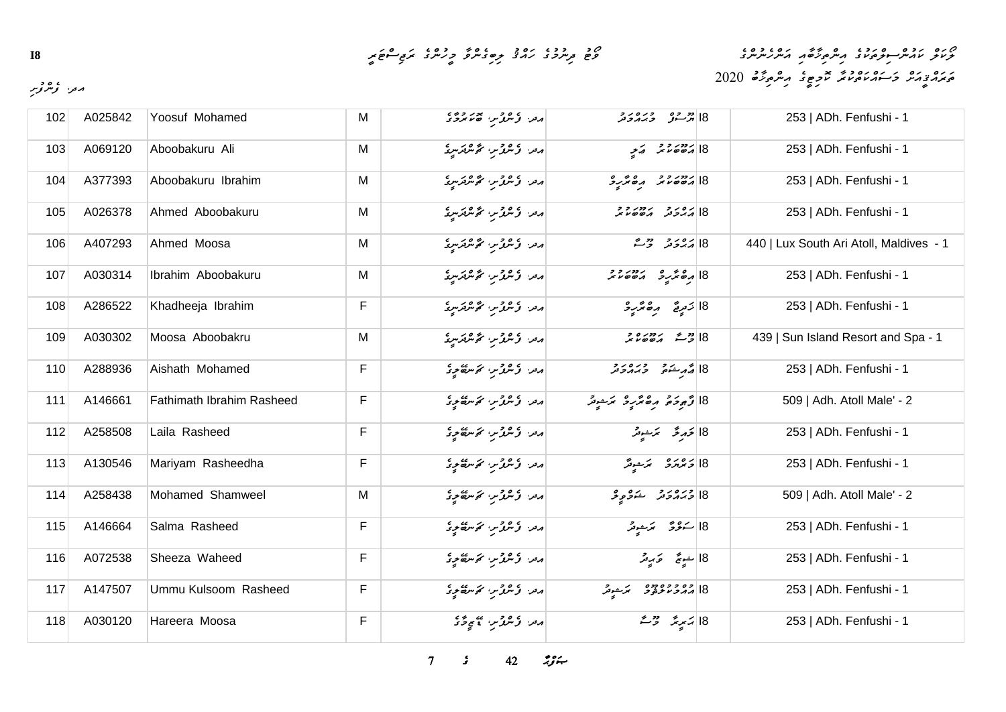*sCw7q7s5w7m< o<n9nOoAw7o< sCq;mAwBoEw7q<m; wBm;vB* م من المرة المرة المرة المرجع المرجع في المركبة 2020<br>مجم*د المريض المربوط المربع المرجع في المراجع المركبة* 

| 102 | A025842 | Yoosuf Mohamed            | M           | أمعها وكفروش فأما برواد       | 8  پژستۇ <i>دېم</i> دىر                                                                                                                                                                                                                                                                                                    | 253   ADh. Fenfushi - 1                 |
|-----|---------|---------------------------|-------------|-------------------------------|----------------------------------------------------------------------------------------------------------------------------------------------------------------------------------------------------------------------------------------------------------------------------------------------------------------------------|-----------------------------------------|
| 103 | A069120 | Aboobakuru Ali            | M           | معدا وكشرقر من مؤثثة ومريد    | 8  رود د د کمبر                                                                                                                                                                                                                                                                                                            | 253   ADh. Fenfushi - 1                 |
| 104 | A377393 | Aboobakuru Ibrahim        | M           | مەر، كۇنىرتىر، ئۇنىرىكىرىدى   | $3.222$ $18$                                                                                                                                                                                                                                                                                                               | 253   ADh. Fenfushi - 1                 |
| 105 | A026378 | Ahmed Aboobakuru          | M           | مەر، كى سرور، كەس مەرىپ       | 8 2200 220 xx                                                                                                                                                                                                                                                                                                              | 253   ADh. Fenfushi - 1                 |
| 106 | A407293 | Ahmed Moosa               | M           | مەر، كى سرور، كەس مەرىپ       | 8  پرویز وحت                                                                                                                                                                                                                                                                                                               | 440   Lux South Ari Atoll, Maldives - 1 |
| 107 | A030314 | Ibrahim Aboobakuru        | M           | معه: وكمنقرض كُمُ مثلاً معرض  | $\begin{vmatrix} 2 & 2 & 2 & 2 \\ 2 & 2 & 2 & 2 \\ 2 & 2 & 2 & 2 \\ 3 & 4 & 2 & 2 \\ 4 & 5 & 2 & 2 \\ 5 & 6 & 2 & 2 & 2 \\ 6 & 2 & 2 & 2 & 2 \\ 6 & 2 & 2 & 2 & 2 \\ 7 & 2 & 2 & 2 & 2 \\ 8 & 2 & 2 & 2 & 2 \\ 10 & 2 & 2 & 2 & 2 \\ 21 & 2 & 2 & 2 & 2 \\ 31 & 2 & 2 & 2 & 2 \\ 11 & 2 & 2 & 2 & 2 \\ 22 & 2 & 2 & 2 & 2$ | 253   ADh. Fenfushi - 1                 |
| 108 | A286522 | Khadheeja Ibrahim         | $\mathsf F$ | معدا وكشروش كوهو مرسوع        | 8  كَتَمِيعٌ مِنْ مُرْكِزٍ \$                                                                                                                                                                                                                                                                                              | 253   ADh. Fenfushi - 1                 |
| 109 | A030302 | Moosa Aboobakru           | M           | مەر. ئۇشۇش ئۇش ترىنى          | $20222$ $23$ $8$                                                                                                                                                                                                                                                                                                           | 439   Sun Island Resort and Spa - 1     |
| 110 | A288936 | Aishath Mohamed           | $\mathsf F$ | مدرس و عرفرس می سرچ بر د      | 8  مُدمِسَة وَرَوْرَ وَ                                                                                                                                                                                                                                                                                                    | 253   ADh. Fenfushi - 1                 |
| 111 | A146661 | Fathimath Ibrahim Rasheed | $\mathsf F$ | مدرس و عرفرس می سرچ بر د      | 8   زٌمودَة ، مِهْتَرِيدُ تَرَسُونَرُ                                                                                                                                                                                                                                                                                      | 509   Adh. Atoll Male' - 2              |
| 112 | A258508 | Laila Rasheed             | $\mathsf F$ | أمعرا كالمروس كالمله المعالجة | 8  قرمرمحر - مَرْشِوْتْر                                                                                                                                                                                                                                                                                                   | 253   ADh. Fenfushi - 1                 |
| 113 | A130546 | Mariyam Rasheedha         | $\mathsf F$ | مدرس و عرفرس می سرچ بر د      | 8  <i>ویمپرڈ پم</i> نوٹر                                                                                                                                                                                                                                                                                                   | 253   ADh. Fenfushi - 1                 |
| 114 | A258438 | Mohamed Shamweel          | M           | أمعرا وكالروس كالملقاري       | 8   <i>دېمم</i> ونو خومونو                                                                                                                                                                                                                                                                                                 | 509   Adh. Atoll Male' - 2              |
| 115 | A146664 | Salma Rasheed             | F           | أمعرا وكالروس كالملقود        | 8  سەنۇدۇ - ئەينى <sub>ي</sub> ەت <i>ى</i>                                                                                                                                                                                                                                                                                 | 253   ADh. Fenfushi - 1                 |
| 116 | A072538 | Sheeza Waheed             | $\mathsf F$ | أمعرا وكالروس كالملقالوى      | 8  حيدمج كوبيرتر                                                                                                                                                                                                                                                                                                           | 253   ADh. Fenfushi - 1                 |
| 117 | A147507 | Ummu Kulsoom Rasheed      | $\mathsf F$ | مدرس و عرفرس می سرچ بر د      | 8   <i>22222323 كرش</i> وتر                                                                                                                                                                                                                                                                                                | 253   ADh. Fenfushi - 1                 |
| 118 | A030120 | Hareera Moosa             | F           | معرا وكفرس بجي ومي            | 8  برمبریمر حق <sup>م</sup>                                                                                                                                                                                                                                                                                                | 253   ADh. Fenfushi - 1                 |

*7 sC 42 nNw?mS*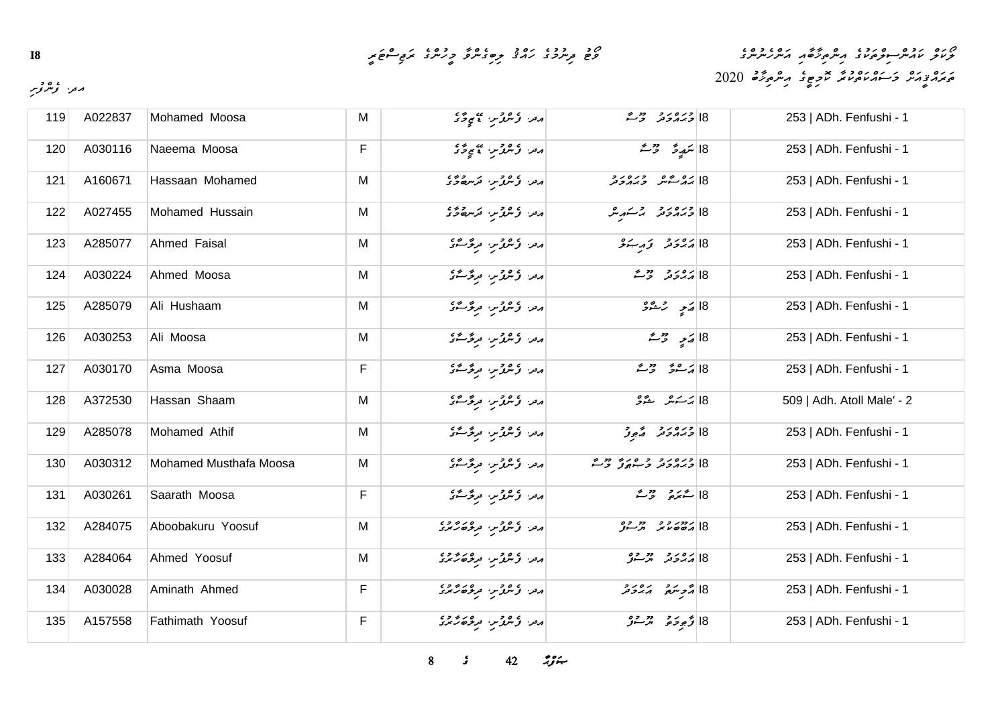*sCw7q7s5w7m< o<n9nOoAw7o< sCq;mAwBoEw7q<m; wBm;vB* م من المرة المرة المرة المرجع المرجع في المركبة 2020<br>مجم*د المريض المربوط المربع المرجع في المراجع المركبة* 

| 119 | A022837 | Mohamed Moosa          | M           | معرا وكرومرا بمجاورة        | 8  دېږدونر وقت                   | 253   ADh. Fenfushi - 1    |
|-----|---------|------------------------|-------------|-----------------------------|----------------------------------|----------------------------|
| 120 | A030116 | Naeema Moosa           | $\mathsf F$ | معرا وكالمعالم المستوري     | 8  سَمِيرٌ حَيْ شُ               | 253   ADh. Fenfushi - 1    |
| 121 | A160671 | Hassaan Mohamed        | M           | أمعرا ومروس فرسقاوى         | 8  ئەرمەشقىر بەربەربەر بىر       | 253   ADh. Fenfushi - 1    |
| 122 | A027455 | Mohamed Hussain        | M           | أأرفرا وكالمروج فرس والمالج | 8  دېرو د ديم شهر شر             | 253   ADh. Fenfushi - 1    |
| 123 | A285077 | Ahmed Faisal           | M           | معرا وكلوس مروكر            | 8  پَرْدَوَتْر کَهِ سِکوْ        | 253   ADh. Fenfushi - 1    |
| 124 | A030224 | Ahmed Moosa            | M           | أمعرا وتتروس فروحتى         | $23.22$ $ 8$                     | 253   ADh. Fenfushi - 1    |
| 125 | A285079 | Ali Hushaam            | M           | معرا وكرومي مروكر           | 8  رَمِي رَحْدًو                 | 253   ADh. Fenfushi - 1    |
| 126 | A030253 | Ali Moosa              | M           | أمعرا وتتروس فروحتى         | 8  پَه وِ حِيْ شَهِ              | 253   ADh. Fenfushi - 1    |
| 127 | A030170 | Asma Moosa             | F           | مەر، كۇنىۋىر، مەنۇبتۇ       | 8  پریوی ویٹ                     | 253   ADh. Fenfushi - 1    |
| 128 | A372530 | Hassan Shaam           | M           | مەر، ئۇشۇس، مەۋسىمى         | 8  پرسٹر گے و                    | 509   Adh. Atoll Male' - 2 |
| 129 | A285078 | Mohamed Athif          | M           | معرا وكلوس مروكتو           | 8  ج:22 رَحْمِ وَ                | 253   ADh. Fenfushi - 1    |
| 130 | A030312 | Mohamed Musthafa Moosa | M           | مەر، كى ئىروگىيە تەرگەنگىمى | 8   دره د د و ه دره دو د         | 253   ADh. Fenfushi - 1    |
| 131 | A030261 | Saarath Moosa          | F           | معرا وكلوس مروكتو           | 8  گەنزۇ تۇشە                    | 253   ADh. Fenfushi - 1    |
| 132 | A284075 | Aboobakuru Yoosuf      | M           | أمعرا وتمروس فرقرة والمحمد  | 8] ئەھەم تەرىپى بۇر جۇ           | 253   ADh. Fenfushi - 1    |
| 133 | A284064 | Ahmed Yoosuf           | M           | أمعه وكروم مروكة ولا        | 8  پرېږي پېړينو                  | 253   ADh. Fenfushi - 1    |
| 134 | A030028 | Aminath Ahmed          | F           | معرا وكملوكس فرقرة وي       | 8  م <i>گج سَمَعُ مَدْحَ</i> قَر | 253   ADh. Fenfushi - 1    |
| 135 | A157558 | Fathimath Yoosuf       | F           | أمعه وتمروس مرقوق شعرى      | 8  <i>قەبەخەر مەسىرى</i>         | 253   ADh. Fenfushi - 1    |

**8** *s* **42** *z***<sub>***s***</sub>**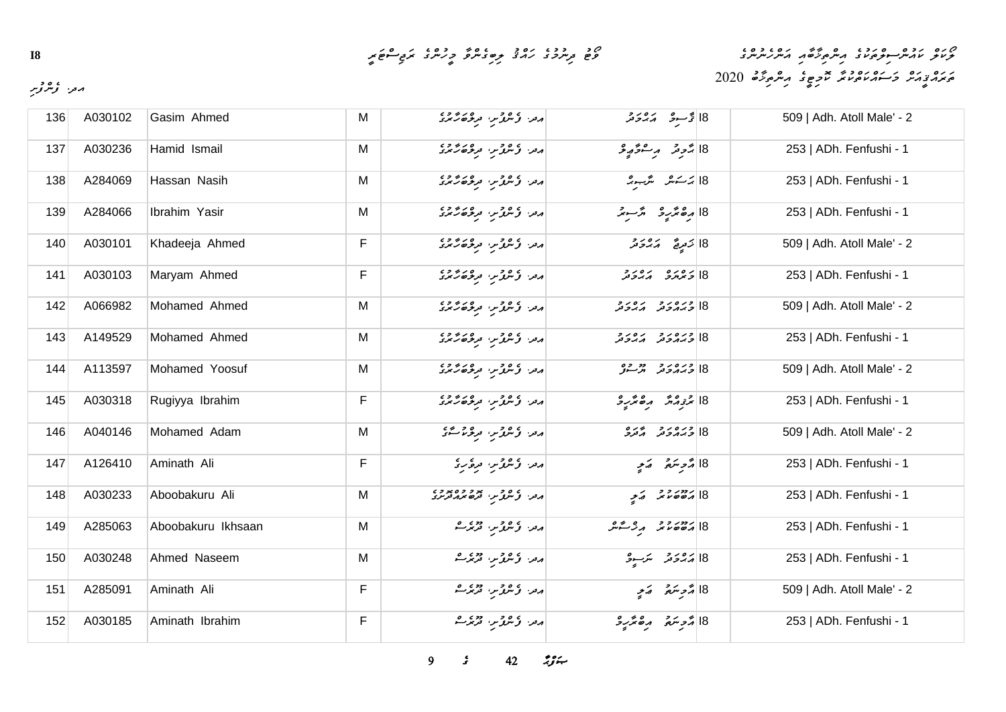*sCw7q7s5w7m< o<n9nOoAw7o< sCq;mAwBoEw7q<m; wBm;vB* م من المرة المرة المرة المرجع المرجع في المركبة 2020<br>مجم*د المريض المربوط المربع المرجع في المراجع المركبة* 

| 136 | A030102 | Gasim Ahmed        | M           | مەر كەنگەر، م <i>ركزە ئە</i> ر           | 8  ڈیسوڈ <i>مرک</i> وکر                   | 509   Adh. Atoll Male' - 2 |
|-----|---------|--------------------|-------------|------------------------------------------|-------------------------------------------|----------------------------|
| 137 | A030236 | Hamid Ismail       | M           | أمعرا ومروس مروكاتهما                    | 8  جُعِة مِ مِسْءَّمِية مِ                | 253   ADh. Fenfushi - 1    |
| 138 | A284069 | Hassan Nasih       | M           | أمعه وكروم مروكة ولا                     | 8  پرستدش میٹر <i>ہے۔</i>                 | 253   ADh. Fenfushi - 1    |
| 139 | A284066 | Ibrahim Yasir      | M           | أمعرا ومروس مروكاتهما                    | 8  م <i>وھ مُرْرِدُ</i> مُرْسِمُرُ        | 253   ADh. Fenfushi - 1    |
| 140 | A030101 | Khadeeja Ahmed     | F           | أمعه وتمروس مرقوقاتهما                   | 8  زَمِرِيحٌ - رَيْرُوَتْرُ-              | 509   Adh. Atoll Male' - 2 |
| 141 | A030103 | Maryam Ahmed       | $\mathsf F$ | أمعه وتمروس مرقوقاتهما                   | 8  522 12.52                              | 253   ADh. Fenfushi - 1    |
| 142 | A066982 | Mohamed Ahmed      | M           | معه وتمروس مروكر دوء                     | 8   32,020 كەرد                           | 509   Adh. Atoll Male' - 2 |
| 143 | A149529 | Mohamed Ahmed      | M           | أمعه وتمروس مرفق تبرده                   | 18 ديرورو كرورو                           | 253   ADh. Fenfushi - 1    |
| 144 | A113597 | Mohamed Yoosuf     | M           | أمعرا وتمروس فرقرة والمحمد               | 8  <i>جرە دو دو دو</i>                    | 509   Adh. Atoll Male' - 2 |
| 145 | A030318 | Rugiyya Ibrahim    | F           | أمعرا ومروس مروكاتهما                    | 8   بر <sub>تو</sub> مگر مرھ برے          | 253   ADh. Fenfushi - 1    |
| 146 | A040146 | Mohamed Adam       | M           | أمعرا وتتروس مروم كثي                    | 18 دېږې د پېړه                            | 509   Adh. Atoll Male' - 2 |
| 147 | A126410 | Aminath Ali        | F           | معر وكرومي مروري                         | 8  <i>مزّحہ مئی مؤج</i>                   | 253   ADh. Fenfushi - 1    |
| 148 | A030233 | Aboobakuru Ali     | M           | دور و مورد.<br>دور و مورد بر موده بودورد | 8  رودرو و مرد                            | 253   ADh. Fenfushi - 1    |
| 149 | A285063 | Aboobakuru Ikhsaan | M           | معه وعروس فرغرت                          | 8  رەھەمدىن مەر شەھر                      | 253   ADh. Fenfushi - 1    |
| 150 | A030248 | Ahmed Naseem       | M           | معه وعروس فريزت                          | 8  <i>222 مگرسو</i> گر                    | 253   ADh. Fenfushi - 1    |
| 151 | A285091 | Aminath Ali        | F           | معه وعروس فرغرت                          | 8  م <i>زجه م</i> َعٍ                     | 509   Adh. Atoll Male' - 2 |
| 152 | A030185 | Aminath Ibrahim    | F           | معه وعروس فريزت                          | 8  مُرْحِسَة <sub>ُ م</sub> ِ مُحَمَّدٍ د | 253   ADh. Fenfushi - 1    |

*9 s* 42 *i*<sub>s</sub> $\rightarrow$ </sub>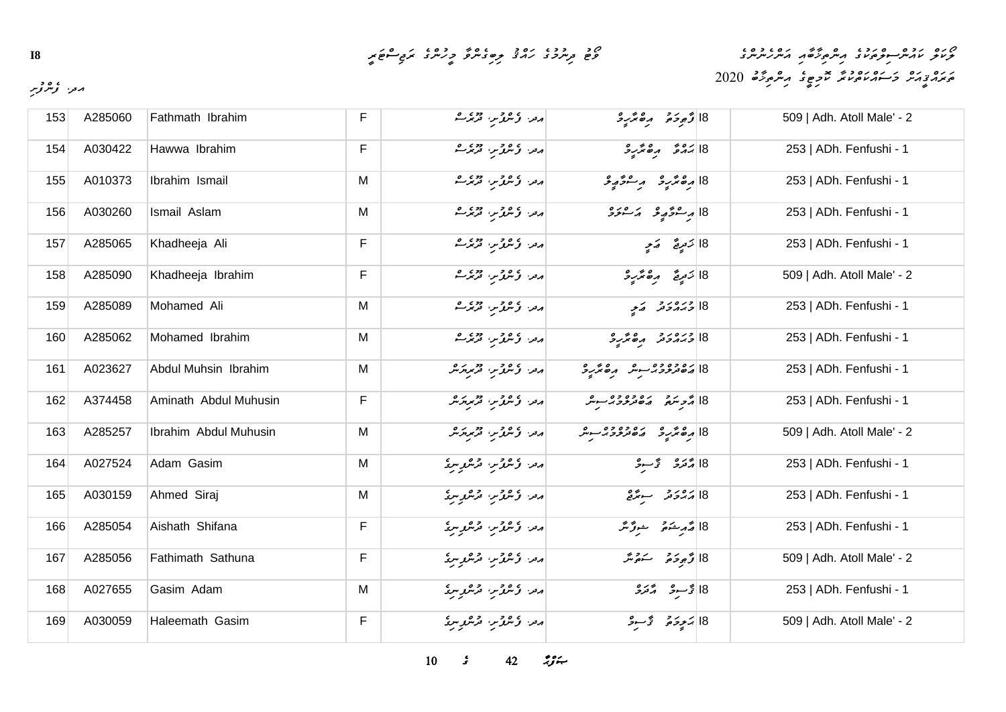*sCw7q7s5w7m< o<n9nOoAw7o< sCq;mAwBoEw7q<m; wBm;vB* م من المرة المرة المرة المرجع المرجع في المركبة 2020<br>مجم*د المريض المربوط المربع المرجع في المراجع المركبة* 

| 153 | A285060 | Fathmath Ibrahim      | F           | أمعه وتحكوم وديمت            | 8  <i>وُجوحَمْ مِـ مُحَمَّدٍ \$</i>      | 509   Adh. Atoll Male' - 2 |
|-----|---------|-----------------------|-------------|------------------------------|------------------------------------------|----------------------------|
| 154 | A030422 | Hawwa Ibrahim         | F           | أمعه وتموقر ويحرم            | 8  بَرْدَةُ مِنْ مِرْرِدْ                | 253   ADh. Fenfushi - 1    |
| 155 | A010373 | Ibrahim Ismail        | M           | أمعرا وتعرفرا ودياه          | 8  مەمگرى <sup>ى م</sup> ەر مۇمگرى       | 253   ADh. Fenfushi - 1    |
| 156 | A030260 | Ismail Aslam          | M           | أمعه وتفروس فرعرت            | 8  م <sup>رع</sup> وً <i>موقى مىشوقى</i> | 253   ADh. Fenfushi - 1    |
| 157 | A285065 | Khadheeja Ali         | $\mathsf F$ | أمعه وتمروس فرعرت            | 8  كَتَمِيعٌ – مَدَمٍّ -                 | 253   ADh. Fenfushi - 1    |
| 158 | A285090 | Khadheeja Ibrahim     | $\mathsf F$ | أمعه وكفروس فرغرك            |                                          | 509   Adh. Atoll Male' - 2 |
| 159 | A285089 | Mohamed Ali           | M           | أمعه وكفروس فرغرك            | 8  <i>وبروبرقتر مک</i> و                 | 253   ADh. Fenfushi - 1    |
| 160 | A285062 | Mohamed Ibrahim       | M           | أمعرا وتعروس ويخرجه          | 8   <i>وبزودو مەمگرى</i> ۋ               | 253   ADh. Fenfushi - 1    |
| 161 | A023627 | Abdul Muhsin Ibrahim  | M           | أمعه وعوفر فريرمرس           | 8   2000 و2000 مركز و 2000               | 253   ADh. Fenfushi - 1    |
| 162 | A374458 | Aminath Abdul Muhusin | $\mathsf F$ | معرا وتفروش فرمهرس           | 8   مُرْحِسَمَ مِنْ مِنْ مِنْ مِنْ مِنْ  | 253   ADh. Fenfushi - 1    |
| 163 | A285257 | Ibrahim Abdul Muhusin | M           | أمعه وعوفر فريرمرس           | 8 رەئۇرۇ ھەمزىردە ب                      | 509   Adh. Atoll Male' - 2 |
| 164 | A027524 | Adam Gasim            | M           | أمعرا وكلوفرا فرنكوسية       | 8  دَّتَرَدَّ تَحْ—دَرَّ                 | 253   ADh. Fenfushi - 1    |
| 165 | A030159 | Ahmed Siraj           | M           | معرا وكفروس فرهوسيد          | 8  رَبُّرْدَ رَبَّ سِ <i>بَرٌ فِي</i>    | 253   ADh. Fenfushi - 1    |
| 166 | A285054 | Aishath Shifana       | F           | معرا كل عرقوبا المرتكز بيريم | 8  پُرمِسَمَّۃ ہوتَ <i>ہُّد</i>          | 253   ADh. Fenfushi - 1    |
| 167 | A285056 | Fathimath Sathuna     | F           | معرا كل عرقوبا المرتكز بيريم | 8  <i>قەبەدە ئەسىرىتى</i>                | 509   Adh. Atoll Male' - 2 |
| 168 | A027655 | Gasim Adam            | M           | أمعا وكلوفرا فرنكوسي         | 8   تۇسوق م <i>ەترى</i>                  | 253   ADh. Fenfushi - 1    |
| 169 | A030059 | Haleemath Gasim       | F           | أمعا وكلوفرا فرنكوسي         |                                          | 509   Adh. Atoll Male' - 2 |

 $10$  *s*  $42$  *n***<sub>s</sub>** $\frac{2}{3}$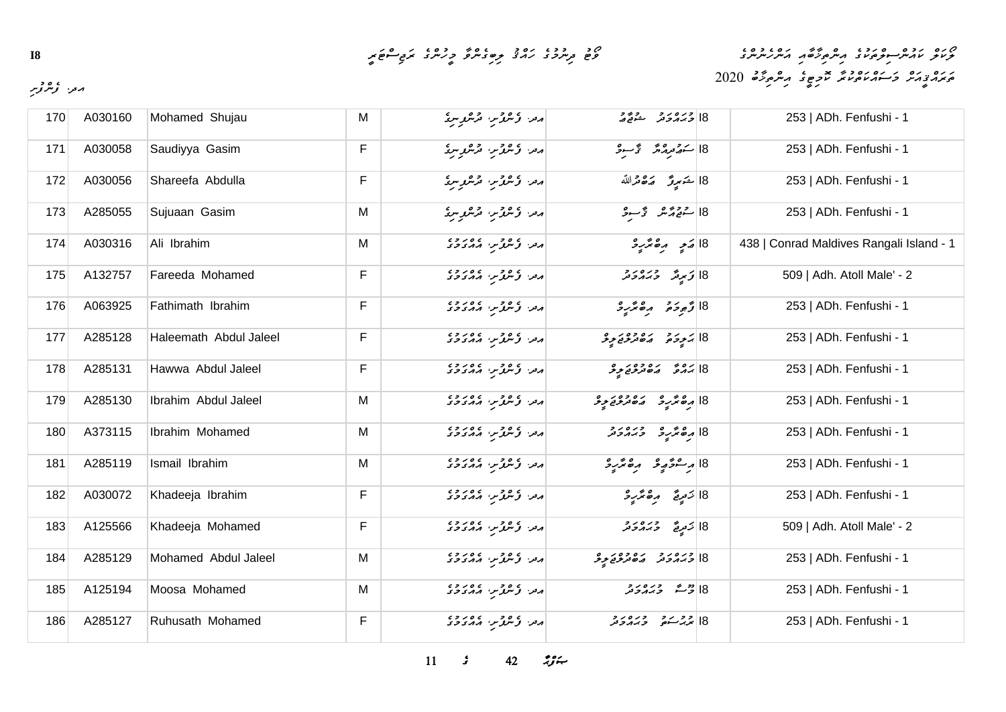*sCw7q7s5w7m< o<n9nOoAw7o< sCq;mAwBoEw7q<m; wBm;vB* م من المسجد المسجد المسجد المسجد المسجد العام 2020<br>مسجد المسجد المسجد المسجد المسجد المسجد المسجد المسجد المسجد ال

| 170 | A030160 | Mohamed Shujau         | M           | أمعه وكثروش فرشربيري                                        | 8  <i>32,25 منتوفة</i>                  | 253   ADh. Fenfushi - 1                  |
|-----|---------|------------------------|-------------|-------------------------------------------------------------|-----------------------------------------|------------------------------------------|
| 171 | A030058 | Saudiyya Gasim         | F           | أمعرا وكفروش فرهوسرة                                        | 8  سەرتەرتە ئ <sup>ۆ</sup> سور          | 253   ADh. Fenfushi - 1                  |
| 172 | A030056 | Shareefa Abdulla       | F           | أمعرا وكفروش فرهوسرة                                        | 18 ڪر <i>مبرگ مُنھوتر</i> الله          | 253   ADh. Fenfushi - 1                  |
| 173 | A285055 | Sujuaan Gasim          | M           | أمعرا وكلوفرا وكلوسي                                        | 8  سن محمد تح سنرمح                     | 253   ADh. Fenfushi - 1                  |
| 174 | A030316 | Ali Ibrahim            | M           | دو. وسرور وه دوه<br>دو. وسروس پرورو                         | 8  <i>مَ</i> ي مِصْرَبِ د               | 438   Conrad Maldives Rangali Island - 1 |
| 175 | A132757 | Fareeda Mohamed        | F           | أمعر ومعرض بمصروء                                           | 8  وَمِرِمَّر وۡجَدُرُوَمَرُ            | 509   Adh. Atoll Male' - 2               |
| 176 | A063925 | Fathimath Ibrahim      | F           | أمعر ومعرض بمصروء                                           | 8   وَجِوحَةُ مِنْ مِرْسِرْ و           | 253   ADh. Fenfushi - 1                  |
| 177 | A285128 | Haleemath Abdul Jaleel | F           | دو. وسرور وه دوه<br>دو. وسروس پرورو                         | 8  يَر <i>وِدَة - مَ</i> 9فَرَوْيَ وِرْ | 253   ADh. Fenfushi - 1                  |
| 178 | A285131 | Hawwa Abdul Jaleel     | F           | أمعر ومعرض بمصروء                                           | 8  يَرُوءُ بِرَە دِهِ رِهِ و            | 253   ADh. Fenfushi - 1                  |
| 179 | A285130 | Ibrahim Abdul Jaleel   | M           | أمعن وتنموس بمصروء                                          | 8  مەھرىرى مەمەرى كولى                  | 253   ADh. Fenfushi - 1                  |
| 180 | A373115 | Ibrahim Mohamed        | M           | أمعن وتنموس بمصروء                                          | 8  مەھمىر ئەرەر ئەردىر                  | 253   ADh. Fenfushi - 1                  |
| 181 | A285119 | Ismail Ibrahim         | M           | معرس ومعرض أعامروه                                          | 8  م <i>رےوڈ پو</i> ڈ م <i>ی مڈی</i> 3  | 253   ADh. Fenfushi - 1                  |
| 182 | A030072 | Khadeeja Ibrahim       | F           | معرس ومعرض أعصروه                                           | 8  زَمرِيحٌ م <i>ِ هُ مُ</i> رِدُ       | 253   ADh. Fenfushi - 1                  |
| 183 | A125566 | Khadeeja Mohamed       | $\mathsf F$ | أمعن كوشري أعماد وه                                         |                                         | 509   Adh. Atoll Male' - 2               |
| 184 | A285129 | Mohamed Abdul Jaleel   | M           | أمعن وتنموس بمصروء                                          | 8  درور دره دوور دو                     | 253   ADh. Fenfushi - 1                  |
| 185 | A125194 | Moosa Mohamed          | M           | معرس و عام و د و د و د<br>  معرس المحمد المراجع و حدود و حد | 8   تۇنئە ئەيرە <i>دۆ</i>               | 253   ADh. Fenfushi - 1                  |
| 186 | A285127 | Ruhusath Mohamed       | F           | معرس وموس ومدوء                                             | 8  برج شور وبره د د                     | 253   ADh. Fenfushi - 1                  |

 $11$  *s*  $42$  *i*<sub>s</sub> $\frac{2}{5}$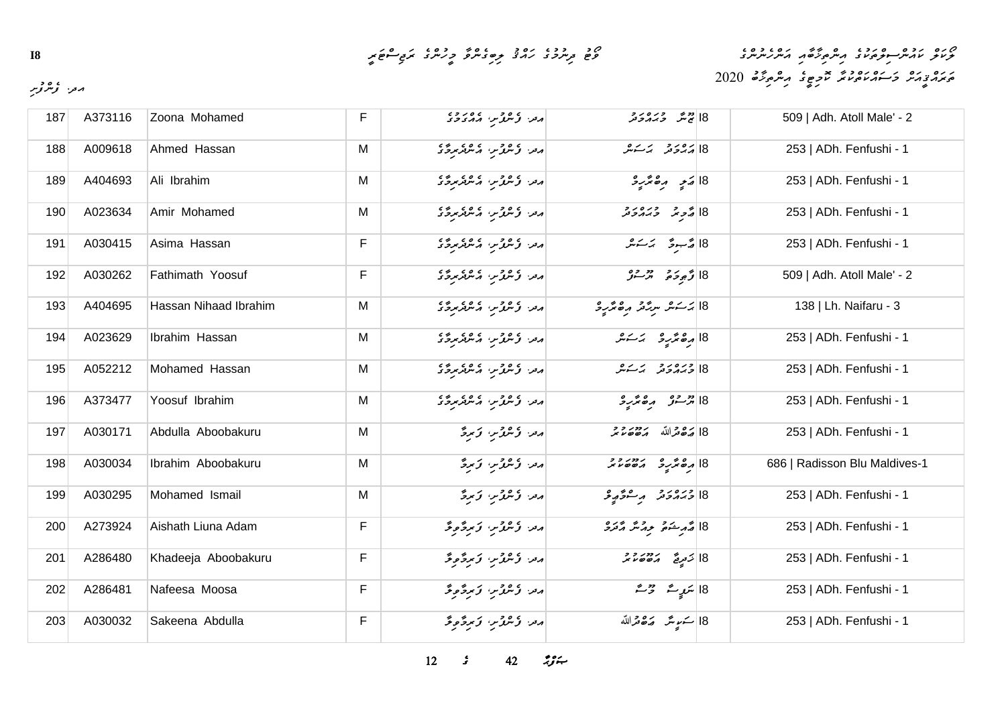*sCw7q7s5w7m< o<n9nOoAw7o< sCq;mAwBoEw7q<m; wBm;vB* م من المرة المرة المرة المرجع المرجع في المركبة 2020<br>مجم*د المريض المربوط المربع المرجع في المراجع المركبة* 

| 187 | A373116 | Zoona Mohamed         | F           | معرا وكتروس بممدودة       | 8   ج نگر - <i>3 برگرد ت</i> ر                                          | 509   Adh. Atoll Male' - 2    |
|-----|---------|-----------------------|-------------|---------------------------|-------------------------------------------------------------------------|-------------------------------|
| 188 | A009618 | Ahmed Hassan          | M           | معرا وتكويموا والمعرضور   | 8  كەبرى كەرىكە ئىرىكەنلەر 18                                           | 253   ADh. Fenfushi - 1       |
| 189 | A404693 | Ali Ibrahim           | M           | معرا وتفرقر المتفرجين     | 8  پَر مِه پُرے من                                                      | 253   ADh. Fenfushi - 1       |
| 190 | A023634 | Amir Mohamed          | M           | معرا وتكويم المتعرفين     | 8  د پر تر تر د تر د تر                                                 | 253   ADh. Fenfushi - 1       |
| 191 | A030415 | Asima Hassan          | F           | معرا وتكوي ماله والمعالجة | 8  م <i>جُ ہوڈ پر سک</i> ھر                                             | 253   ADh. Fenfushi - 1       |
| 192 | A030262 | Fathimath Yoosuf      | $\mathsf F$ | أمعن وتفرقر المتعرفيور    | 8  <i>قەبەخەڭ قرىسى</i> ۋ                                               | 509   Adh. Atoll Male' - 2    |
| 193 | A404695 | Hassan Nihaad Ibrahim | M           | أمعن وتكروس مناقبه ومحمد  | 8  بَرَسَمْرٌ سِ <i>رِدُوْ وِهْتَدْرِدْ</i>                             | 138   Lh. Naifaru - 3         |
| 194 | A023629 | Ibrahim Hassan        | M           | معرا وتكويم المتعرفين     | 8  م <i>ەھتىپ</i> ى ئەسەمىر                                             | 253   ADh. Fenfushi - 1       |
| 195 | A052212 | Mohamed Hassan        | M           | أمعه وتعوير أمتعر يرومي   | 18 ق. برجير - برسكس                                                     | 253   ADh. Fenfushi - 1       |
| 196 | A373477 | Yoosuf Ibrahim        | M           | معرا وتكويرا متعريزة      | 8  پرسنو م <b>ەئ</b> رىبەد                                              | 253   ADh. Fenfushi - 1       |
| 197 | A030171 | Abdulla Aboobakuru    | M           | معا وكروس ومرة            | $32222$ $\frac{22}{10}$ $\frac{22}{10}$ $\frac{22}{10}$ $\frac{22}{10}$ | 253   ADh. Fenfushi - 1       |
| 198 | A030034 | Ibrahim Aboobakuru    | M           | أمعا وكروحي وتبرة         | $32222$ 222                                                             | 686   Radisson Blu Maldives-1 |
| 199 | A030295 | Mohamed Ismail        | M           | أمعا وكلوفن وترة          | 8   <i>وبرورومبر مب</i> شر <i>وم</i> ور                                 | 253   ADh. Fenfushi - 1       |
| 200 | A273924 | Aishath Liuna Adam    | F           | أمعا كالمروس ويروهو       | 8  مُدِينَة وِرْسٌ مُتَدَّد                                             | 253   ADh. Fenfushi - 1       |
| 201 | A286480 | Khadeeja Aboobakuru   | F           | معا وكلوس وتروهو          | 8  زَمِرِيَّ مُقْصَمَّعْهُ                                              | 253   ADh. Fenfushi - 1       |
| 202 | A286481 | Nafeesa Moosa         | F           | معا وكلوس وتروُّورٌ       | 8  سَمِي شہ حق شہ                                                       | 253   ADh. Fenfushi - 1       |
| 203 | A030032 | Sakeena Abdulla       | F           | معا وكلوس وتروهو          | 8  سَمَدٍ مَثَرَّ مَهُ صَ <sub>ّ</sub> مَّاللَّهُ                       | 253   ADh. Fenfushi - 1       |

 $12$  *s*  $42$  *n***<sub>s</sub>**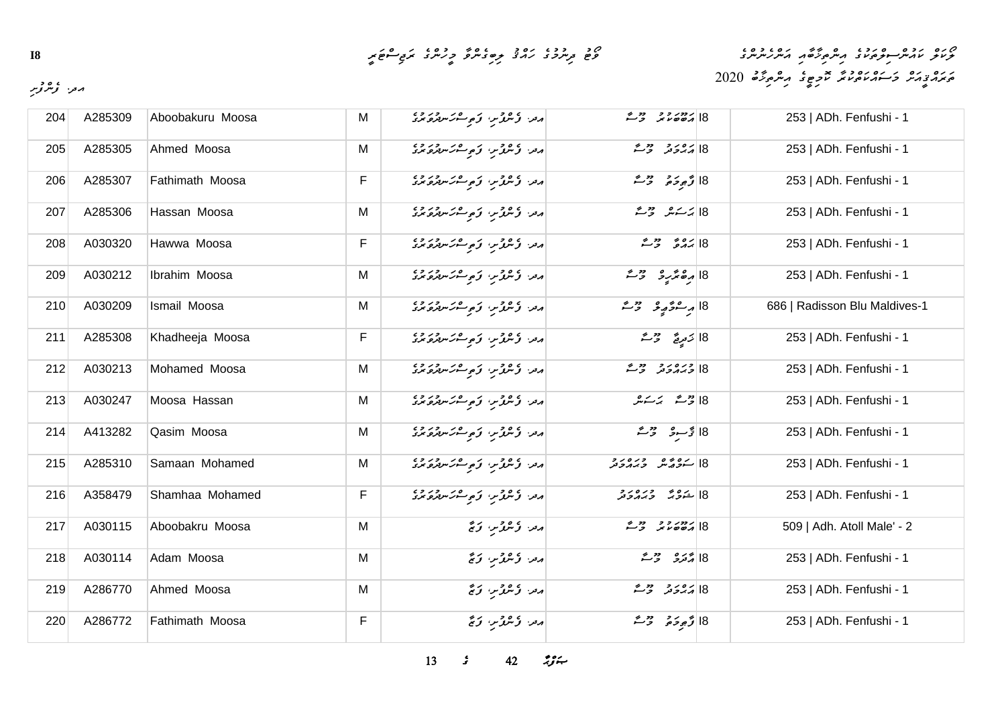*sCw7q7s5w7m< o<n9nOoAw7o< sCq;mAwBoEw7q<m; wBm;vB* م من المسجد المسجد المسجد المسجد المسجد العام 2020<br>مسجد المسجد المسجد المسجد المسجد المسجد المسجد المسجد المسجد ال

| 204 | A285309 | Aboobakuru Moosa | M           | مان ومروس وجائز سرار ودا                  | 2722218                        | 253   ADh. Fenfushi - 1       |
|-----|---------|------------------|-------------|-------------------------------------------|--------------------------------|-------------------------------|
| 205 | A285305 | Ahmed Moosa      | M           | معدا وتعوين وكالمستمر ومردا               | 18 كەبرى قريم ئىستىس           | 253   ADh. Fenfushi - 1       |
| 206 | A285307 | Fathimath Moosa  | F           | ماما المحامون كما والمستمر والمحادي       | 8  وَجِهِ دَمْ وَمْتُ          | 253   ADh. Fenfushi - 1       |
| 207 | A285306 | Hassan Moosa     | M           | ماما المحاموقين المحام والمستروجين        | 8  پرسٹر تی ش                  | 253   ADh. Fenfushi - 1       |
| 208 | A030320 | Hawwa Moosa      | F           | ماما المحاموقين المكم والمستروحين         | $23$ $32$ $18$                 | 253   ADh. Fenfushi - 1       |
| 209 | A030212 | Ibrahim Moosa    | M           | معدا وكلوس وكالمستمر وروه                 | 8  رەئزى <sub>ر</sub> و بىستە  | 253   ADh. Fenfushi - 1       |
| 210 | A030209 | Ismail Moosa     | M           | معا وكلوس وكالمستمسين                     | 8  م <i>رےوڈ و</i> یٹر میں تھے | 686   Radisson Blu Maldives-1 |
| 211 | A285308 | Khadheeja Moosa  | F           | ماما المحاموقين المحام والمستروجين        | 18  زَمِيعٌ تَحْ ثُمَّ         | 253   ADh. Fenfushi - 1       |
| 212 | A030213 | Mohamed Moosa    | M           | معدا وتقوي وكالمستكر المعادوة             | 8  دىرە دەر جەمئە              | 253   ADh. Fenfushi - 1       |
| 213 | A030247 | Moosa Hassan     | M           | أمعها وكلورس وكالمستر المعادة             | 8  جُ شَہ بَر سَہُ مَد         | 253   ADh. Fenfushi - 1       |
| 214 | A413282 | Qasim Moosa      | M           | مالمان كوهولاس كما كما والمستصري والمحمدى | 18  ڈیسو تی تھ                 | 253   ADh. Fenfushi - 1       |
| 215 | A285310 | Samaan Mohamed   | M           | معرا وكفروس وكالمحصوص ولادا               | 8  س <i>وڭ شەرەرە</i>          | 253   ADh. Fenfushi - 1       |
| 216 | A358479 | Shamhaa Mohamed  | $\mathsf F$ | معدا وتقوي وكالمستكر المعادوة             | 8  خۇچ دىرەرد                  | 253   ADh. Fenfushi - 1       |
| 217 | A030115 | Aboobakru Moosa  | M           | أمعرا وتكويموا وكالحج                     | $23 - 2222$                    | 509   Adh. Atoll Male' - 2    |
| 218 | A030114 | Adam Moosa       | M           | ەلدا كەنتۇب كەنچ                          | 18 پژنرو ژخی                   | 253   ADh. Fenfushi - 1       |
| 219 | A286770 | Ahmed Moosa      | M           | ەلەر كەشتۇس كەنتى                         | $23.527$  8                    | 253   ADh. Fenfushi - 1       |
| 220 | A286772 | Fathimath Moosa  | F           | ەلەر كەشتۇس كەنتى                         | 8  وَجِوحَةَ وَحْتَ            | 253   ADh. Fenfushi - 1       |

 $13$  *s*  $42$  *n***<sub>s</sub>**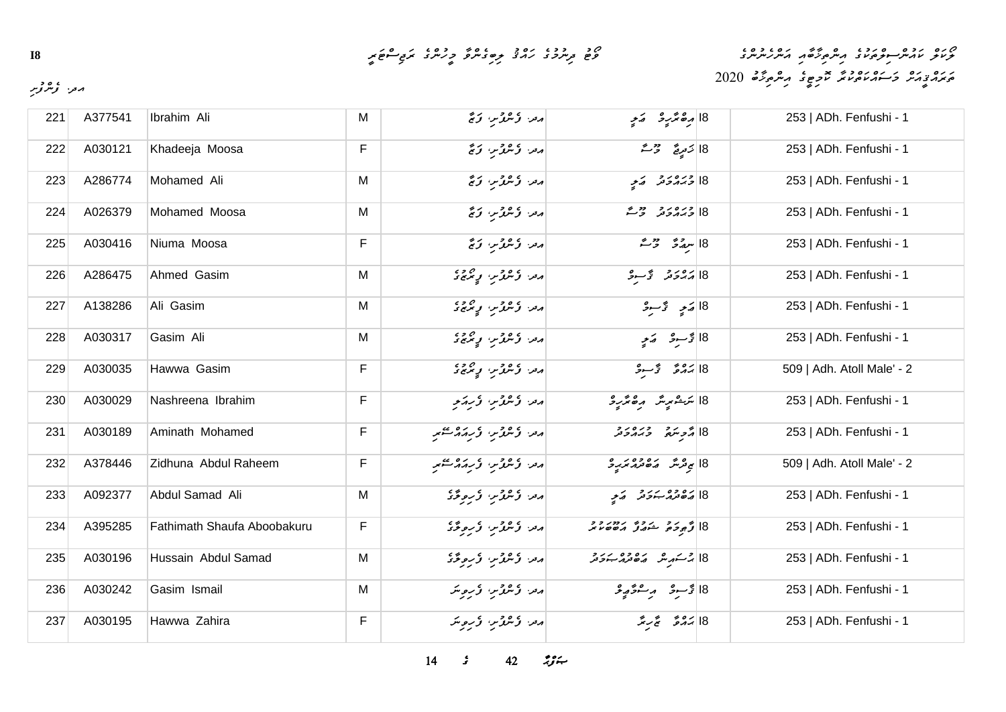*sCw7q7s5w7m< o<n9nOoAw7o< sCq;mAwBoEw7q<m; wBm;vB* م من المسجد المسجد المسجد المسجد المسجد العام 2020<br>مسجد المسجد المسجد المسجد المسجد المسجد المسجد المسجد المسجد ال

| 221 | A377541 | Ibrahim Ali                 | M | أمعن كرمروس ترتج         | 8  م <i>ەممىي</i> ر مەم                               | 253   ADh. Fenfushi - 1    |
|-----|---------|-----------------------------|---|--------------------------|-------------------------------------------------------|----------------------------|
| 222 | A030121 | Khadeeja Moosa              | F | أمعرا وتكويموا وكالحج    | 8  زَمِيعٌ تَرْسٌ                                     | 253   ADh. Fenfushi - 1    |
| 223 | A286774 | Mohamed Ali                 | M | أمعرا وكلاميا وكالحج     | 8   32,25 كەم                                         | 253   ADh. Fenfushi - 1    |
| 224 | A026379 | Mohamed Moosa               | M | أمعرا وتكويموا وتج       | 8   دبره دو مع ش                                      | 253   ADh. Fenfushi - 1    |
| 225 | A030416 | Niuma Moosa                 | F | أمعا وكمنقوس وكالحج      | $23$ مهرگز وسطح ا                                     | 253   ADh. Fenfushi - 1    |
| 226 | A286475 | Ahmed Gasim                 | M | أمعه وكفروه ومنحط        | 8   رَمِرْدَتْرِ گُے ۔ وُ                             | 253   ADh. Fenfushi - 1    |
| 227 | A138286 | Ali Gasim                   | M | معرا وكفوس ومنعي         | 8  رَمِي تَوْسِرْدَ                                   | 253   ADh. Fenfushi - 1    |
| 228 | A030317 | Gasim Ali                   | M | معرا وكلوس وميء          | 8  تۇسوق ھەمچە                                        | 253   ADh. Fenfushi - 1    |
| 229 | A030035 | Hawwa Gasim                 | F | أمعه وتمروس ومرة         | $3 - 3$ $3/8$                                         | 509   Adh. Atoll Male' - 2 |
| 230 | A030029 | Nashreena Ibrahim           | F | أمعه وتنزوس ومبركر       | 8  سَڪْمِرِسَّر ب <i>ُرھُنَّرُرٍ \$</i>               | 253   ADh. Fenfushi - 1    |
| 231 | A030189 | Aminath Mohamed             | F | معرا وتكويموا ويرمط على  | 8  مەر سىمى ئەممى ئەرەبىر                             | 253   ADh. Fenfushi - 1    |
| 232 | A378446 | Zidhuna Abdul Raheem        | F | رورا وكرومين وتركد وكنيس | 8   ي <sub>و</sub> ثر <i>مَّرَّ مَعْهُ بَرَب</i> ْ دِ | 509   Adh. Atoll Male' - 2 |
| 233 | A092377 | Abdul Samad Ali             | M | أمعا كالمكاتب كالبعاقي   | 8   ئەھ <i>ىرى ئەرەتھەھىرى</i> كەر                    | 253   ADh. Fenfushi - 1    |
| 234 | A395285 | Fathimath Shaufa Aboobakuru | F | أمعرا وتكويموا وكروفرة   | 8  زُهِ دَمَ شَهْرٌ مَصْحَبٌ                          | 253   ADh. Fenfushi - 1    |
| 235 | A030196 | Hussain Abdul Samad         | M | معرا وكلور وبرودة        | 8 كەسكەر ئەھەرمەدە                                    | 253   ADh. Fenfushi - 1    |
| 236 | A030242 | Gasim Ismail                | M | أمعه وتكروس وترويتر      | 8   ئۇسۇ ھەمەم ئۇم ئۇ                                 | 253   ADh. Fenfushi - 1    |
| 237 | A030195 | Hawwa Zahira                | F | معه وكثرون وترويتر       | 8  ئەۋ <sub>ە</sub> ق ئ <sub>ى ئى</sub> رىتى          | 253   ADh. Fenfushi - 1    |

 $14$  *s*  $42$   $23$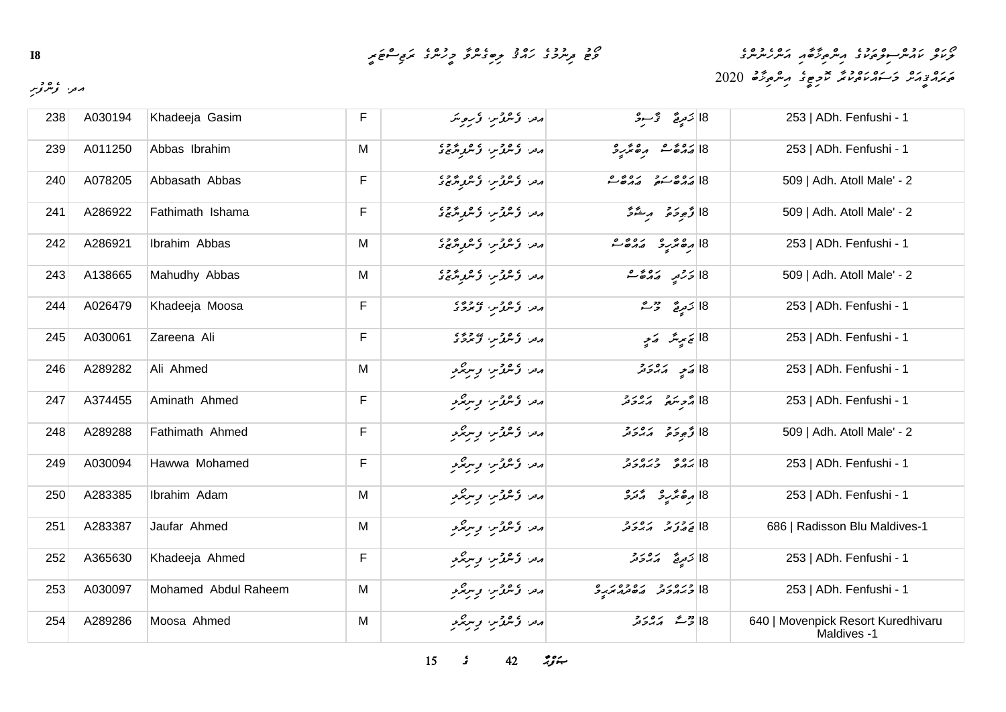*sCw7q7s5w7m< o<n9nOoAw7o< sCq;mAwBoEw7q<m; wBm;vB* م من المسجد المسجد المسجد المسجد المسجد العام 2020<br>مسجد المسجد المسجد المسجد المسجد المسجد المسجد المسجد المسجد ال

| 238 | A030194 | Khadeeja Gasim       | F | معرا وكثروش وترويتر     | 8  زَمْرِيحٌ - تَوْسِورْ                   | 253   ADh. Fenfushi - 1                           |
|-----|---------|----------------------|---|-------------------------|--------------------------------------------|---------------------------------------------------|
| 239 | A011250 | Abbas Ibrahim        | M | أمعه وكفروش وتقريدهم    | 8  رَدْهُ شَهْ مِهْتَرِ دِ                 | 253   ADh. Fenfushi - 1                           |
| 240 | A078205 | Abbasath Abbas       | F | أمعه وتعوير وتعريبي     | $2500 - 2500$                              | 509   Adh. Atoll Male' - 2                        |
| 241 | A286922 | Fathimath Ishama     | F | معدا وتكروس وتكرمهم     | 8  <i>وُجِوَجُو مِ</i> حَدُّوَّ            | 509   Adh. Atoll Male' - 2                        |
| 242 | A286921 | Ibrahim Abbas        | M | معرا وكفروني وكفر معرضي | $2.822$ $18$                               | 253   ADh. Fenfushi - 1                           |
| 243 | A138665 | Mahudhy Abbas        | M | أمعرا وتموهمن وتفويره   | 8  <i>كارجىي مەمگە</i> م                   | 509   Adh. Atoll Male' - 2                        |
| 244 | A026479 | Khadeeja Moosa       | F | معرا ومعوش ومردوء       | 8  زَمِيعٌ تَحْتُ                          | 253   ADh. Fenfushi - 1                           |
| 245 | A030061 | Zareena Ali          | F | معرا ومعوش ومردوء       | 8  تح میں تھر کھ تو                        | 253   ADh. Fenfushi - 1                           |
| 246 | A289282 | Ali Ahmed            | M | معرا وتكوين وبنهود      | 8  رَمِي دَيْرَوْرُ                        | 253   ADh. Fenfushi - 1                           |
| 247 | A374455 | Aminath Ahmed        | F | أمعه وكلورس وسرهو       | 8  <i>مُجْرِسَمُ مَدْدَمْ</i> رِ           | 253   ADh. Fenfushi - 1                           |
| 248 | A289288 | Fathimath Ahmed      | F | معا وكلوس وسكو          | 8  <i>وُّجِوَدَة مَدْدَ</i> نْد            | 509   Adh. Atoll Male' - 2                        |
| 249 | A030094 | Hawwa Mohamed        | F | معا وتكوس وسيمو         | 8  پره په دره د د                          | 253   ADh. Fenfushi - 1                           |
| 250 | A283385 | Ibrahim Adam         | M | معا وتكوس وسكو          | 8  م <i>ِ ھُنَّرٍ وُ</i> مُحَمَّد <i>ُ</i> | 253   ADh. Fenfushi - 1                           |
| 251 | A283387 | Jaufar Ahmed         | M | أمعه وكفوس وسيكو        | 8  ئ <i>ے مگر پر مرکز در</i>               | 686   Radisson Blu Maldives-1                     |
| 252 | A365630 | Khadeeja Ahmed       | F | أمعا وكلور وبرمكو       | 8   ر <i>َسِيعٌ - مَدُوَنْرٌ</i>           | 253   ADh. Fenfushi - 1                           |
| 253 | A030097 | Mohamed Abdul Raheem | M | معرا كل عوض وسرهمو      | 8 כנפנק השינה בני                          | 253   ADh. Fenfushi - 1                           |
| 254 | A289286 | Moosa Ahmed          | M | معا وكلوس وسكو          | 8   تِرْسَمُ كَرَبْرُوتَر                  | 640   Movenpick Resort Kuredhivaru<br>Maldives -1 |

 $15$  *s*  $42$  *n***<sub>s</sub>** $\frac{2}{5}$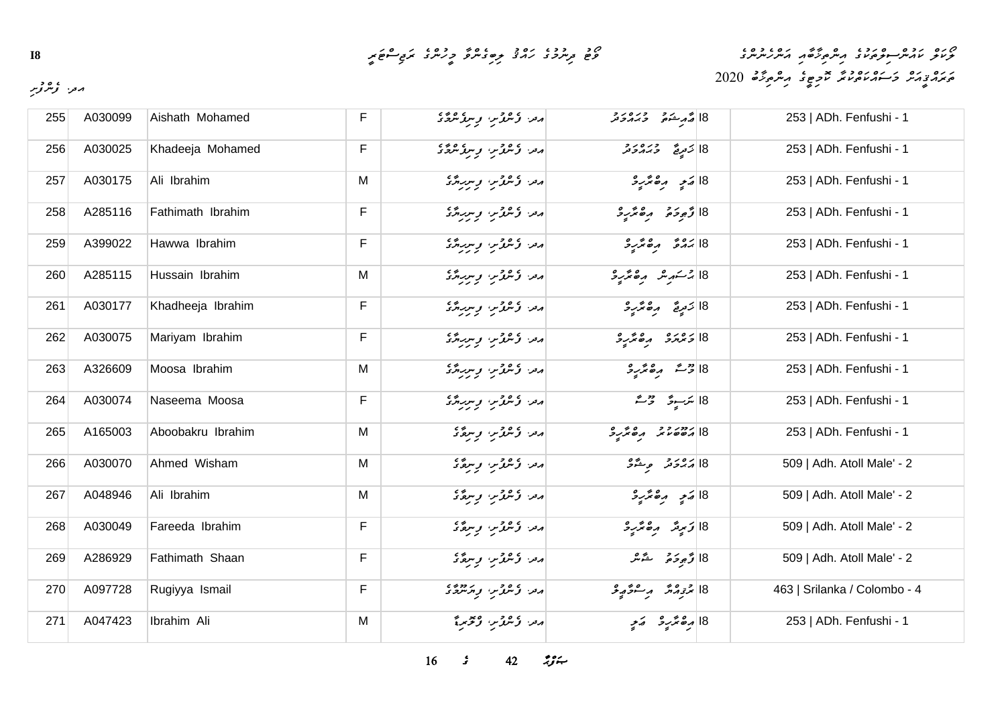*sCw7q7s5w7m< o<n9nOoAw7o< sCq;mAwBoEw7q<m; wBm;vB* م من المرة المرة المرة المرجع المرجع في المركبة 2020<br>مجم*د المريض المربوط المربع المرجع في المراجع المركبة* 

| 255 | A030099 | Aishath Mohamed   | F | معرا وكلورس وسوكلوگر   | 8  م <i>ەم خۇر دېم دى</i> ر              | 253   ADh. Fenfushi - 1      |
|-----|---------|-------------------|---|------------------------|------------------------------------------|------------------------------|
| 256 | A030025 | Khadeeja Mohamed  | F | أمعا وكلوفرا وسومعدة   | 8   كَرْمَرِيحٌ - وْكَرْدُونْدْ          | 253   ADh. Fenfushi - 1      |
| 257 | A030175 | Ali Ibrahim       | M | أمعه وكفروس وسربريمي   | 8  رَمِ رەئزبە                           | 253   ADh. Fenfushi - 1      |
| 258 | A285116 | Fathimath Ibrahim | F | أمعا وكلوفوا وبربرادي  | 8  زُھودَھ مِھٹربود                      | 253   ADh. Fenfushi - 1      |
| 259 | A399022 | Hawwa Ibrahim     | F | أمعا وتكوين وسرائرة    | 8  يَرْدُوُ بِهِ مُحْرِبِهِ              | 253   ADh. Fenfushi - 1      |
| 260 | A285115 | Hussain Ibrahim   | M | أمعا كالمروس وسرمدن    | 8   جەسىر مەھەرىبە 3                     | 253   ADh. Fenfushi - 1      |
| 261 | A030177 | Khadheeja Ibrahim | F | أمعا كالمروس وسرمدن    | 8  نَرْسِعٌ م <i>ِ ھُنَّرِ وُ</i>        | 253   ADh. Fenfushi - 1      |
| 262 | A030075 | Mariyam Ibrahim   | F | أمعا كالعرض وسرمدهم    | 8  <i>كەنگەڭ مەھگرى</i> گ                | 253   ADh. Fenfushi - 1      |
| 263 | A326609 | Moosa Ibrahim     | M | أمعا وكلوفوا وبربرادي  | 8  ج م م م م م بر د                      | 253   ADh. Fenfushi - 1      |
| 264 | A030074 | Naseema Moosa     | F | أمعا كالعرقس وسيدادة   | 8  يَرْسِودُ - حِ شُر                    | 253   ADh. Fenfushi - 1      |
| 265 | A165003 | Aboobakru Ibrahim | M | أمعرا وتتروس وسرة وا   | $3.222$ $18$                             | 253   ADh. Fenfushi - 1      |
| 266 | A030070 | Ahmed Wisham      | M | أمعرا وتنزوس وسرة والم | 8   رَبْرَتْ مِنْتُوْ                    | 509   Adh. Atoll Male' - 2   |
| 267 | A048946 | Ali Ibrahim       | M | أمعرا وتتروس وبنزوي    | 8  رَمِ رِهْتَرِ دِّ                     | 509   Adh. Atoll Male' - 2   |
| 268 | A030049 | Fareeda Ibrahim   | F | أمعا وكلوس وسرهمى      | 8   <i>وَمِيعًا مِنْ مُ</i> رَبِّرً      | 509   Adh. Atoll Male' - 2   |
| 269 | A286929 | Fathimath Shaan   | F | أمعا كرهوس وسرهمى      | 8  <i>وَّجِوَدَة</i> شَدَّسْ             | 509   Adh. Atoll Male' - 2   |
| 270 | A097728 | Rugiyya Ismail    | F | أمعه وعوقر وتربيعهما   | 8  بر <sub>ُتِو</sub> مِرَّ مِ سُرَّمِ و | 463   Srilanka / Colombo - 4 |
| 271 | A047423 | Ibrahim Ali       | M | أمعا وكفروس ومخبرة     | 8  ر <i>ه مُدْرِدْ م</i> َ مِ            | 253   ADh. Fenfushi - 1      |

 $16$  *s*  $42$  *z***<sub>3</sub>**  $\frac{2}{3}$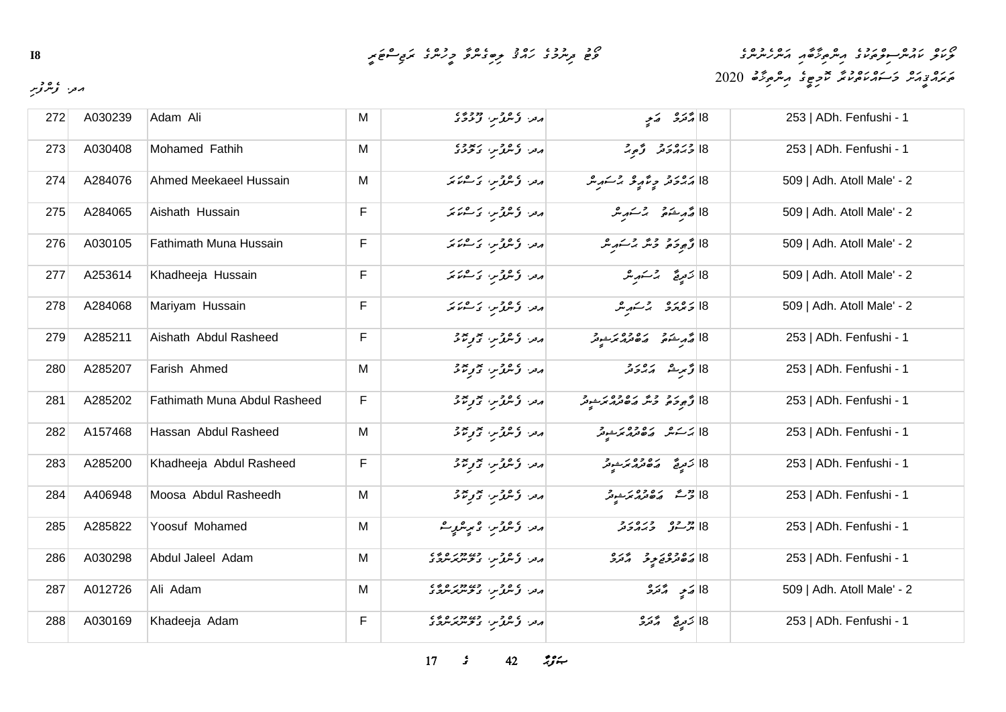*sCw7q7s5w7m< o<n9nOoAw7o< sCq;mAwBoEw7q<m; wBm;vB* م من المرة المرة المرة المرجع المرجع في المركبة 2020<br>مجم*د المريض المربوط المربع المرجع في المراجع المركبة* 

| 272 | A030239 | Adam Ali                     | M           | معرا وتتومي ودوء                                                                                   | 18  پژنزد که می                                                                                                | 253   ADh. Fenfushi - 1    |
|-----|---------|------------------------------|-------------|----------------------------------------------------------------------------------------------------|----------------------------------------------------------------------------------------------------------------|----------------------------|
| 273 | A030408 | Mohamed Fathih               | M           | أمعرا وتعويب ويجوده                                                                                | 8   3 2 2 3 3 3 4 5 8                                                                                          | 253   ADh. Fenfushi - 1    |
| 274 | A284076 | Ahmed Meekaeel Hussain       | M           | ما ورا و و و المسلم و المسلم و المسلم و المسلم و المسلم و المسلم و المسلم و المسلم و المسلم و المس | 8  روبرو وِ نَ <i>ا</i> رِوْ تَرْسَرِسْ                                                                        | 509   Adh. Atoll Male' - 2 |
| 275 | A284065 | Aishath Hussain              | $\mathsf F$ | أمعا وتكوس وسلائم                                                                                  | 8  م <i>ەمبەشقى بىر شەمبەنل</i> ە                                                                              | 509   Adh. Atoll Male' - 2 |
| 276 | A030105 | Fathimath Muna Hussain       | $\mathsf F$ | أمعا وتكوس وسلائم                                                                                  | 8  <i>وٌجودَة وَبَدَّ بُرْسَهِ بِدْ</i>                                                                        | 509   Adh. Atoll Male' - 2 |
| 277 | A253614 | Khadheeja Hussain            | $\mathsf F$ | أمعا وتكوس وسلائم                                                                                  | 8  كەبېرى <i>گە بەكسىر بىر</i>                                                                                 | 509   Adh. Atoll Male' - 2 |
| 278 | A284068 | Mariyam Hussain              | F           | أمعرا وتعمدين كالسمائك                                                                             | 8   <i>ئەنگەرى بى</i> شىرىش                                                                                    | 509   Adh. Atoll Male' - 2 |
| 279 | A285211 | Aishath Abdul Rasheed        | $\mathsf F$ | أماما المجاموس المحافي مالمحمد المحافظ                                                             | 8 م شركت مره وه مرشوش                                                                                          | 253   ADh. Fenfushi - 1    |
| 280 | A285207 | Farish Ahmed                 | M           | أمعه وعوقر بحويد                                                                                   | 8  ۇىرىش <i>مەدەت</i> ر                                                                                        | 253   ADh. Fenfushi - 1    |
| 281 | A285202 | Fathimath Muna Abdul Rasheed | $\mathsf F$ | أمعه وعوقر بحويد                                                                                   | 8  زٌمودَه دَسٌ مەمەرمىرىدىد                                                                                   | 253   ADh. Fenfushi - 1    |
| 282 | A157468 | Hassan Abdul Rasheed         | M           | أمعه وتنزوس بحويدة                                                                                 | 8  ئەسەمىرى مەھەرمەسىر ئىرى                                                                                    | 253   ADh. Fenfushi - 1    |
| 283 | A285200 | Khadheeja Abdul Rasheed      | $\mathsf F$ | معا وعوض يوبيع                                                                                     | 8  كەرى <i>ق مەھەرمەترىش</i> وتر                                                                               | 253   ADh. Fenfushi - 1    |
| 284 | A406948 | Moosa Abdul Rasheedh         | M           | أمعه وتنزوس بحويدة                                                                                 | 8  ج <sup>و</sup> ے پرہ <i>وہ پر خ</i> ومتر                                                                    | 253   ADh. Fenfushi - 1    |
| 285 | A285822 | Yoosuf Mohamed               | M           | معا وتروس وبرتروت                                                                                  | 8  پژخرو دیرویز                                                                                                | 253   ADh. Fenfushi - 1    |
| 286 | A030298 | Abdul Jaleel Adam            | M           | دو. ومورد ده دره ده.<br>دو. ومروس د ومربر مرد                                                      | 8  رَصْوَرُونَ <sub>ع</sub> ْ وِ حَمْدَة مِنْ الْمَدَّةِ الْمَدَّةِ مِنْ الْمَدَّةِ الْمَدَّةِ الْمَدَّةِ الْم | 253   ADh. Fenfushi - 1    |
| 287 | A012726 | Ali Adam                     | M           | دو. ومورد ده دره ده.<br>دو. ومروس د ومربر مرد                                                      | 8  پَرمٍ پَرَتَرَدُ                                                                                            | 509   Adh. Atoll Male' - 2 |
| 288 | A030169 | Khadeeja Adam                | F           | دور و مورد ده دوره ده.<br>دور و مورد د و مرس مرد د                                                 | 8  كَتَمِيعٌ - مُرْتَمَرْدُ                                                                                    | 253   ADh. Fenfushi - 1    |

 $17$  *s*  $42$  *i*<sub>s</sub> $\div$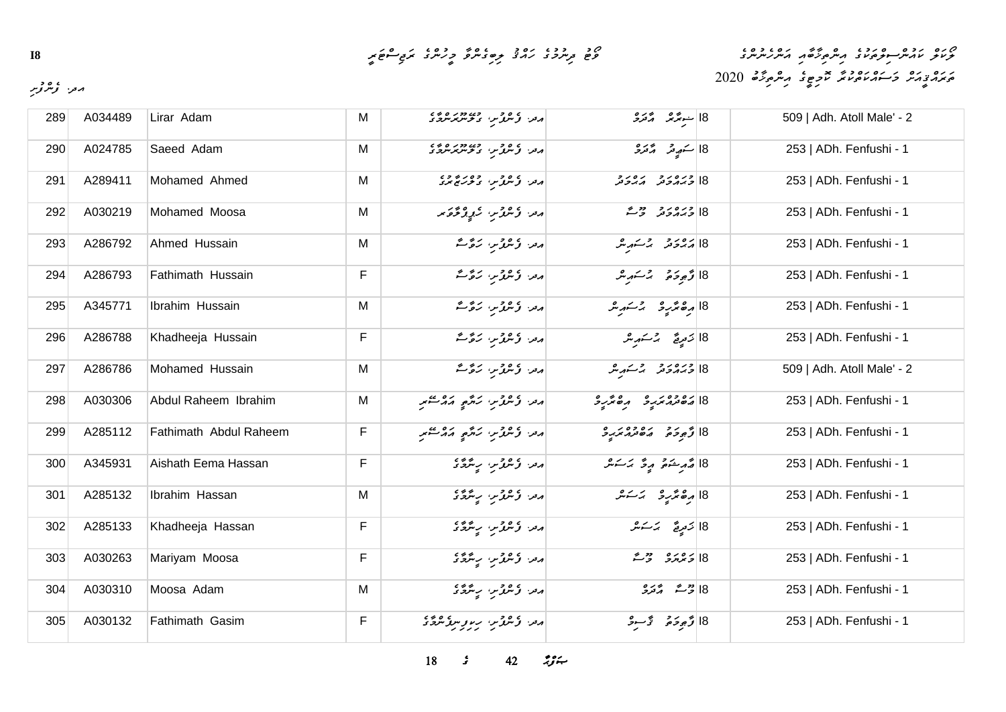*sCw7q7s5w7m< o<n9nOoAw7o< sCq;mAwBoEw7q<m; wBm;vB* م من المسجد المسجد المسجد المسجد المسجد العام 2020<br>مسجد المسجد المسجد المسجد المسجد المسجد المسجد المسجد المسجد ال

| 289 | A034489 | Lirar Adam             | M | معرض عدد معرض العدد من العدد العدد من العدد العدد العدد العدد العدد العدد العدد العدد العدد العدد<br>  معرض العدد العدد العدد العدد العدد العدد العدد العدد العدد العدد العدد العدد العدد العدد العدد العدد العدد ا | 8  سو <i>مرَّمْہ مُ</i> قرَّدُ           | 509   Adh. Atoll Male' - 2 |
|-----|---------|------------------------|---|---------------------------------------------------------------------------------------------------------------------------------------------------------------------------------------------------------------------|------------------------------------------|----------------------------|
| 290 | A024785 | Saeed Adam             | M | دور و هرو در دوره دره<br>دور و سروس د و سربر سرور                                                                                                                                                                   | 8  سَم <i>ہِ مُرْ مُرْمَرْدُ</i>         | 253   ADh. Fenfushi - 1    |
| 291 | A289411 | Mohamed Ahmed          | M | معرا ومورد وورد وه                                                                                                                                                                                                  | 8  دبرەرد برەرد                          | 253   ADh. Fenfushi - 1    |
| 292 | A030219 | Mohamed Moosa          | M | معا وكروس كروووس                                                                                                                                                                                                    | 8  <i>ڈیزون</i> و ترمی                   | 253   ADh. Fenfushi - 1    |
| 293 | A286792 | Ahmed Hussain          | M | أمعرا وكلوس رَوْسٌ                                                                                                                                                                                                  | 8  <i>مَدْوَنْ بِرْسَهِي</i> ْر          | 253   ADh. Fenfushi - 1    |
| 294 | A286793 | Fathimath Hussain      | F | أمعرا وتعوين الترقائية                                                                                                                                                                                              | 8  <i>وَّجوحَةُ بِرْسَنَ مِ</i> رْ       | 253   ADh. Fenfushi - 1    |
| 295 | A345771 | Ibrahim Hussain        | M | أمعه وكلوس رَوْسٌ                                                                                                                                                                                                   | 8  مەھمىرى جىسكىرىش                      | 253   ADh. Fenfushi - 1    |
| 296 | A286788 | Khadheeja Hussain      | F | أمعا وكلوس رَوْسٌ                                                                                                                                                                                                   | 8  ئۇرىق – جەسىمبەر                      | 253   ADh. Fenfushi - 1    |
| 297 | A286786 | Mohamed Hussain        | M | أمعه: وَعَزْمٍ رَءٌ مَّ                                                                                                                                                                                             | 8   <i>وبروبرو برسكوبتر</i>              | 509   Adh. Atoll Male' - 2 |
| 298 | A030306 | Abdul Raheem Ibrahim   | M | أمعرا وتتروش كالمجمع أماره عالم                                                                                                                                                                                     | $8$ $\sim$ $8$ $\sim$ $18$               | 253   ADh. Fenfushi - 1    |
| 299 | A285112 | Fathimath Abdul Raheem | F | معا وكتروس كالمي مماسم                                                                                                                                                                                              | 8  <i>وَّجِوَة مَ</i> ص <i>وم مَدي</i> و | 253   ADh. Fenfushi - 1    |
| 300 | A345931 | Aishath Eema Hassan    | F | معه وعوفر ربيعي                                                                                                                                                                                                     | 8  مەم شەھ ب <i>وڭ بەسكىل</i>            | 253   ADh. Fenfushi - 1    |
| 301 | A285132 | Ibrahim Hassan         | M | أمعه وعوفر ربيعي                                                                                                                                                                                                    | 8  مەھم <i>گىي</i> ى ئەسكىر              | 253   ADh. Fenfushi - 1    |
| 302 | A285133 | Khadheeja Hassan       | F | معه وعوفر ربيعي                                                                                                                                                                                                     | 8  كَتَمِيعٌ = يَرْسَسُ                  | 253   ADh. Fenfushi - 1    |
| 303 | A030263 | Mariyam Moosa          | F | معه وتنزيرا ريزده                                                                                                                                                                                                   | 8  دَيْرَيْرْ وَيْتَمْ                   | 253   ADh. Fenfushi - 1    |
| 304 | A030310 | Moosa Adam             | M | معه وكفروس بدهمي                                                                                                                                                                                                    | 8  خ مستمر محمد ترو                      | 253   ADh. Fenfushi - 1    |
| 305 | A030132 | Fathimath Gasim        | F | ەمەر كەنگەتتىر، سەرسىگەنگەتكەتكە<br>مەمەر بەر بەر بەر بەر                                                                                                                                                           | 8  <i>وتجوحة</i> قريبوفر                 | 253   ADh. Fenfushi - 1    |

*18 s* 42 *if*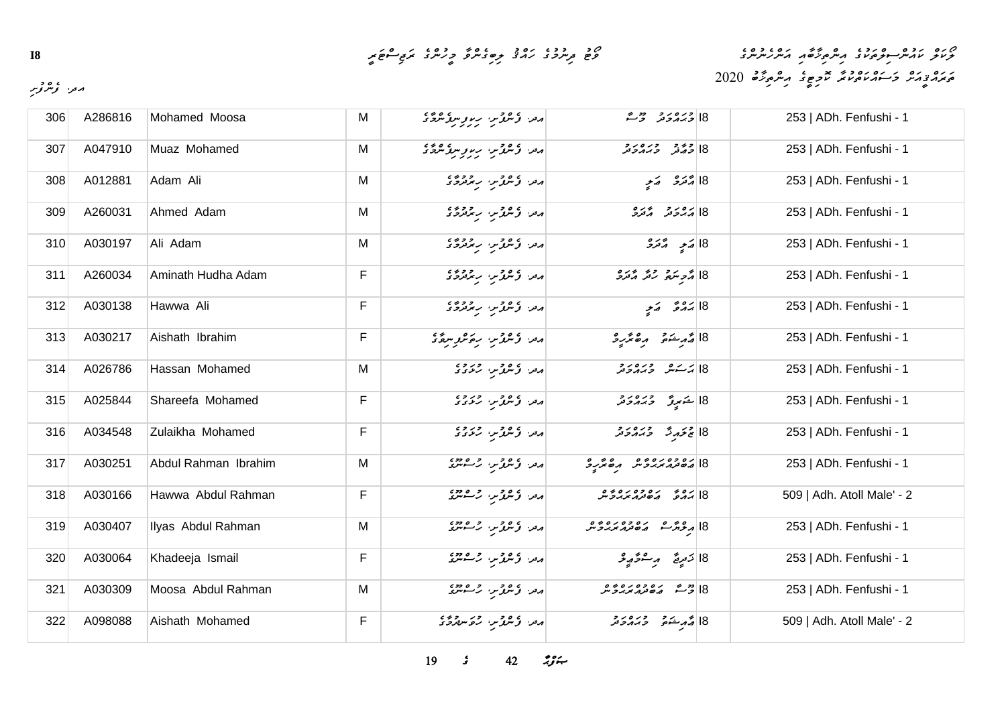*sCw7q7s5w7m< o<n9nOoAw7o< sCq;mAwBoEw7q<m; wBm;vB* م من المسجد المسجد المسجد المسجد المسجد العام 2020<br>مسجد المسجد المسجد المسجد المسجد المسجد المسجد المسجد المسجد ال

| 306 | A286816 | Mohamed Moosa        | M            |                              | 8  دېږدونر وقت                    | 253   ADh. Fenfushi - 1    |
|-----|---------|----------------------|--------------|------------------------------|-----------------------------------|----------------------------|
| 307 | A047910 | Muaz Mohamed         | M            | أمعا وكلوفرا رباؤ بلوكلوفا   | 8   جۇڭئى ئ <i>ىمبەدى</i> تىر     | 253   ADh. Fenfushi - 1    |
| 308 | A012881 | Adam Ali             | M            | معرا وكفروس ريزفرون          | 18 مُحَمَّد - مَرْحِبِ            | 253   ADh. Fenfushi - 1    |
| 309 | A260031 | Ahmed Adam           | M            | أمعه وكفروس ريزفرون          | 8  پروژ پر پرو                    | 253   ADh. Fenfushi - 1    |
| 310 | A030197 | Ali Adam             | M            | أمعه وكفروس بالمحدودي        | 18  كەمچە مەتىرى                  | 253   ADh. Fenfushi - 1    |
| 311 | A260034 | Aminath Hudha Adam   | $\mathsf F$  | أمعه وكفروس بالمحدودي        | 8  مُّحِسَمُ رَمَّدَ مُسَرَّد     | 253   ADh. Fenfushi - 1    |
| 312 | A030138 | Hawwa Ali            | F            | أمعه وكفروس بالمحدودي        |                                   | 253   ADh. Fenfushi - 1    |
| 313 | A030217 | Aishath Ibrahim      | $\mathsf F$  | أمعه وتكويموا بأوكرو للمعالج | 8  مەرىسىم مەھەر يە               | 253   ADh. Fenfushi - 1    |
| 314 | A026786 | Hassan Mohamed       | M            | أمعه وكلومي رقوى             | 8  ئەسەبىر مەير <i>ە ب</i> و      | 253   ADh. Fenfushi - 1    |
| 315 | A025844 | Shareefa Mohamed     | $\mathsf{F}$ | أمعر وتنزوين المروء          | 8  خىموتى ئەتەرگەر                | 253   ADh. Fenfushi - 1    |
| 316 | A034548 | Zulaikha Mohamed     | $\mathsf F$  | أمعرا وتنزوين الرودة         | 8   ج تحد <sup>3</sup> ح بره و تر | 253   ADh. Fenfushi - 1    |
| 317 | A030251 | Abdul Rahman Ibrahim | M            | أمعه وتنزويها رحمت المعاري   | $8 - 2 - 2 - 18$                  | 253   ADh. Fenfushi - 1    |
| 318 | A030166 | Hawwa Abdul Rahman   | $\mathsf F$  | أمعها ومتعموس رقم المعامدي   | 8  پروژ پره ده بره ده و           | 509   Adh. Atoll Male' - 2 |
| 319 | A030407 | Ilyas Abdul Rahman   | M            | معرا وتعمد من المرحمن        | 8 مۇش مەمەمدە مەرەپ               | 253   ADh. Fenfushi - 1    |
| 320 | A030064 | Khadeeja Ismail      | $\mathsf F$  | أمعها ومتعموس رقم المعامدي   | 8  زَمِيعٌ   مِرْجُوْمِ وَ        | 253   ADh. Fenfushi - 1    |
| 321 | A030309 | Moosa Abdul Rahman   | M            | أمعها ومعرس رقم المعامدي     | 8  دیم پره ده ده ده و             | 253   ADh. Fenfushi - 1    |
| 322 | A098088 | Aishath Mohamed      | F            | أأرفر وكالروم والمحرومي      | 8  مُدِينَة وَبَرْدُونْر          | 509   Adh. Atoll Male' - 2 |

*19 s* 42 *i*<sub>s</sub> $\approx$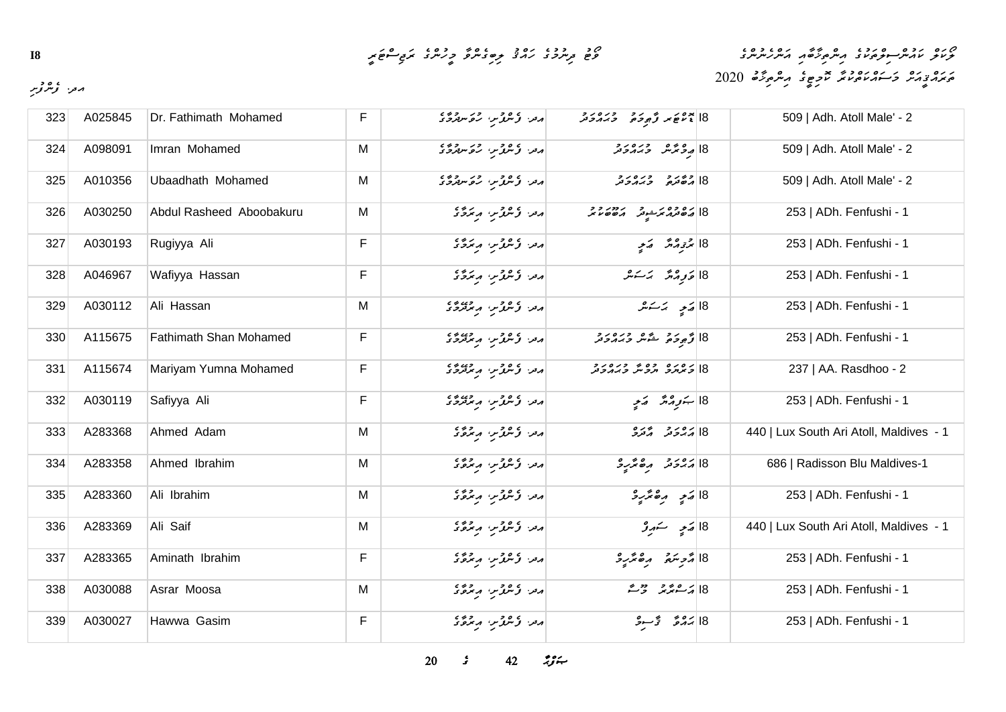*sCw7q7s5w7m< o<n9nOoAw7o< sCq;mAwBoEw7q<m; wBm;vB* م من المرة المرة المرة المرجع المرجع في المركبة 2020<br>مجم*د المريض المربوط المربع المرجع في المراجع المركبة* 

| 323 | A025845 | Dr. Fathimath Mohamed         | F           | معرا وكتروس التحصير ولاية                                                                           | 8  پیره کا پیروگا دیگر دید               | 509   Adh. Atoll Male' - 2              |
|-----|---------|-------------------------------|-------------|-----------------------------------------------------------------------------------------------------|------------------------------------------|-----------------------------------------|
| 324 | A098091 | Imran Mohamed                 | M           | ما من توسط و من المسجد و المجمد و المسجد و المسجد و المسجد و المسجد و المسجد المسجد و المسجد الله ا | 8  مەمگىر ئ <i>ۇندۇن</i> ر               | 509   Adh. Atoll Male' - 2              |
| 325 | A010356 | Ubaadhath Mohamed             | M           | أأرفر وكالروم والمحرومي                                                                             | 8  د صره د وبره د د                      | 509   Adh. Atoll Male' - 2              |
| 326 | A030250 | Abdul Rasheed Aboobakuru      | M           | أمعن وتنموس منعرف                                                                                   |                                          | 253   ADh. Fenfushi - 1                 |
| 327 | A030193 | Rugiyya Ali                   | F           | أمعن كرعوش منعرفر                                                                                   | 8  بر <sub>تو</sub> ر پژ <sub>مک</sub> ر | 253   ADh. Fenfushi - 1                 |
| 328 | A046967 | Wafiyya Hassan                | F           | أمعه وكفوس متعددى                                                                                   | 8  <i>قروڤ</i> ر برسكر                   | 253   ADh. Fenfushi - 1                 |
| 329 | A030112 | Ali Hassan                    | M           | أمعرا وكالموس مالمرفرون                                                                             | 8  پر برسکر                              | 253   ADh. Fenfushi - 1                 |
| 330 | A115675 | <b>Fathimath Shan Mohamed</b> | $\mathsf F$ | أمعرا كمحاموص معرفرون                                                                               | 8  وُمِوتُهِ شَمَّسٌ وَبَرُوتِهِ         | 253   ADh. Fenfushi - 1                 |
| 331 | A115674 | Mariyam Yumna Mohamed         | $\mathsf F$ | أمعن وتنزوس متعرفرو                                                                                 | 8   ئەيرەرە بەرە ئەرەر ئەر               | 237   AA. Rasdhoo - 2                   |
| 332 | A030119 | Safiyya Ali                   | F           | معرا وكفروس متعرفروي                                                                                | 8   <i>ہنو پروگر پر چ</i>                | 253   ADh. Fenfushi - 1                 |
| 333 | A283368 | Ahmed Adam                    | M           | أرفرا وتنزوش أربوهما                                                                                | 8  پرویز پروژ                            | 440   Lux South Ari Atoll, Maldives - 1 |
| 334 | A283358 | Ahmed Ibrahim                 | M           | أرفرا وتنزوش أربوي                                                                                  | 8  <i>גُ' ج</i> ود مُتَّصَرَّرِ حُ       | 686   Radisson Blu Maldives-1           |
| 335 | A283360 | Ali Ibrahim                   | M           | أرفرا وتنزوش أربوي                                                                                  | 8  <i>مَ</i> حٍ مِنْ مَمَّرِ دِ          | 253   ADh. Fenfushi - 1                 |
| 336 | A283369 | Ali Saif                      | M           | أمعه وعوفر مردوء                                                                                    | 8  ڪيو سڪ <i>هو</i> ڙ                    | 440   Lux South Ari Atoll, Maldives - 1 |
| 337 | A283365 | Aminath Ibrahim               | $\mathsf F$ | أمعه وعوفر مردوء                                                                                    | 8  مُرْحِسَةُ مِنْ مُرْحِدٌ              | 253   ADh. Fenfushi - 1                 |
| 338 | A030088 | Asrar Moosa                   | M           | أمعه وكفوس معرف                                                                                     | 8  پر مشتر تر میں<br>8                   | 253   ADh. Fenfushi - 1                 |
| 339 | A030027 | Hawwa Gasim                   | F           | معه وكفوس معقد                                                                                      | 8  بَرْدُعٌ تَحْ-وَّ                     | 253   ADh. Fenfushi - 1                 |

 $20$  *s*  $42$  *n***<sub>s</sub>** $\frac{2}{5}$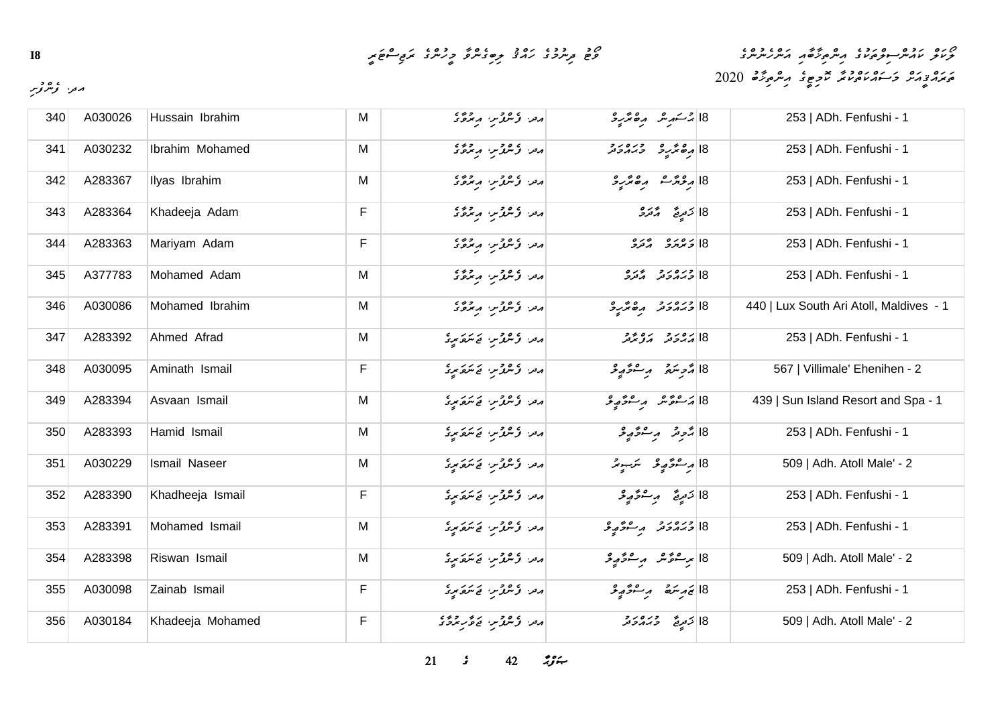*sCw7q7s5w7m< o<n9nOoAw7o< sCq;mAwBoEw7q<m; wBm;vB* م من المسجد المسجد المسجد المسجد المسجد العام 2020<br>مسجد المسجد المسجد المسجد المسجد المسجد المسجد المسجد المسجد ال

| 340 | A030026 | Hussain Ibrahim      | M           | أمعه وتحكوم معرف                                                                                   | 8  جريئرمبر م <i>تصرَّر ب</i> و            | 253   ADh. Fenfushi - 1                 |
|-----|---------|----------------------|-------------|----------------------------------------------------------------------------------------------------|--------------------------------------------|-----------------------------------------|
| 341 | A030232 | Ibrahim Mohamed      | M           | أمعر وموقوب المتعرفوي                                                                              | 8  مەھمىر ئەرەر ئەردىر                     | 253   ADh. Fenfushi - 1                 |
| 342 | A283367 | Ilyas Ibrahim        | M           | أمعر وموقوب المعروى                                                                                | 8  م <i>ېڅم<sup>ۇر</sup> مەمگرى</i> ۋ      | 253   ADh. Fenfushi - 1                 |
| 343 | A283364 | Khadeeja Adam        | $\mathsf F$ | أمعن وتموس معرفر                                                                                   | 8  زَمِيعٌ ۃ تَرَوْ                        | 253   ADh. Fenfushi - 1                 |
| 344 | A283363 | Mariyam Adam         | $\mathsf F$ | أمعرا وكالمروس مالمرحان                                                                            | 8   د ه ده په پره                          | 253   ADh. Fenfushi - 1                 |
| 345 | A377783 | Mohamed Adam         | M           | أمعرا وتموس معرفر                                                                                  | 8   ج: ج ج ج محمدة ح الح                   | 253   ADh. Fenfushi - 1                 |
| 346 | A030086 | Mohamed Ibrahim      | M           | أمعه وكفوس معقد                                                                                    | 8  <i>وبزودو م</i> ەم <i>گرد</i> و         | 440   Lux South Ari Atoll, Maldives - 1 |
| 347 | A283392 | Ahmed Afrad          | M           | أمعرا وكالمروس فكالمتعظ مرد                                                                        | 8  پروژو پروژنر                            | 253   ADh. Fenfushi - 1                 |
| 348 | A030095 | Aminath Ismail       | F           | ما و المعموم المحاسرة المعرضية و المحمد و المحمد و المحمد المحمد و المحمد المحمد و المحمد المحمد و | 8  مُرجِسَمُ مِ سُءُّمِ وُ                 | 567   Villimale' Ehenihen - 2           |
| 349 | A283394 | Asvaan Ismail        | M           | أمعرا كالعرقس فأسكف سيرتج                                                                          | 8   ئەسىر <i>ۇ</i> شەھ بەيدى               | 439   Sun Island Resort and Spa - 1     |
| 350 | A283393 | Hamid Ismail         | M           | أمعرا كالعرقس فأسكف سيرتج                                                                          | 8  جُوِيْر ب <sub>و</sub> سُوَّيْتِهِ مُحَ | 253   ADh. Fenfushi - 1                 |
| 351 | A030229 | <b>Ismail Naseer</b> | M           | أمعرا وكالمروس فكالمتحصير                                                                          | 8  م <i>رےدو چو</i> سربیعہ                 | 509   Adh. Atoll Male' - 2              |
| 352 | A283390 | Khadheeja Ismail     | F           | أمعرا كالعرقس فأسكف مرتج                                                                           |                                            | 253   ADh. Fenfushi - 1                 |
| 353 | A283391 | Mohamed Ismail       | M           | ما و المعموم المحاسرة المعرضية و المحمد و المحمد و المحمد المحمد و المحمد المحمد و المحمد المحمد و | 8  <i>ويزودو ب</i> رعو <sub>گ</sub> وو     | 253   ADh. Fenfushi - 1                 |
| 354 | A283398 | Riswan Ismail        | M           | ما و الله و الله عن ملكة الله عليه و الله الله و الله عن الله و الله عن الله و الله و الله و الله  | 8   <sub>مر</sub> مۇش مەشۇر يو             | 509   Adh. Atoll Male' - 2              |
| 355 | A030098 | Zainab Ismail        | F           | أمعرا كالعرقس فأسكف سيرتج                                                                          | 8  غەربىئى <i>قەم سىۋەپى</i> ر             | 253   ADh. Fenfushi - 1                 |
| 356 | A030184 | Khadeeja Mohamed     | F           | معدا وتكويموس فأقربتهم                                                                             | 8  زَمرِيعٌ       دُبَرُدُونَرُ            | 509   Adh. Atoll Male' - 2              |

 $21$  *s*  $42$  *z*  $2\frac{1}{2}$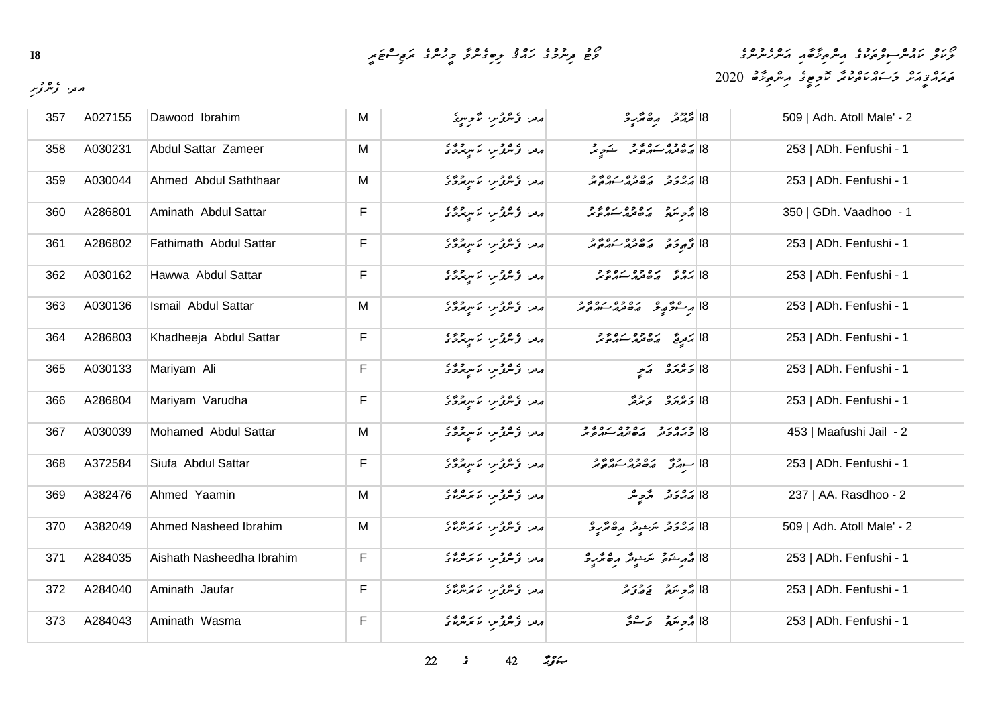*sCw7q7s5w7m< o<n9nOoAw7o< sCq;mAwBoEw7q<m; wBm;vB* م من المرة المرة المرة المرجع المرجع في المركبة 2020<br>مجم*د المريض المربوط المربع المرجع في المراجع المركبة* 

| 357 | A027155 | Dawood Ibrahim            | M           | معرا وكلور من الأحاسية      | 8   مَ <i>زْمَتْر م</i> ِ گَ <i>مْبِ</i> دِ \$                                                         | 509   Adh. Atoll Male' - 2 |
|-----|---------|---------------------------|-------------|-----------------------------|--------------------------------------------------------------------------------------------------------|----------------------------|
| 358 | A030231 | Abdul Sattar Zameer       | M           | أمعرا وتلوس كالبرجوي        | 8  رەدە رەپرى ئويز                                                                                     | 253   ADh. Fenfushi - 1    |
| 359 | A030044 | Ahmed Abdul Saththaar     | M           | أمعرا وعوفرا المستعرف       | 340,020,030,18                                                                                         | 253   ADh. Fenfushi - 1    |
| 360 | A286801 | Aminath Abdul Sattar      | $\mathsf F$ | أمعرا وعوفرا المستعرف       | 8 أمر جندي من من من من من د                                                                            | 350   GDh. Vaadhoo - 1     |
| 361 | A286802 | Fathimath Abdul Sattar    | $\mathsf F$ | أمعرا وتكويرا المستعددي     | 8  و محمد مع محمد محمد محمد محمد محمد المح                                                             | 253   ADh. Fenfushi - 1    |
| 362 | A030162 | Hawwa Abdul Sattar        | $\mathsf F$ | أمعه وتكروس لأستعرف         | 340, 050, 06                                                                                           | 253   ADh. Fenfushi - 1    |
| 363 | A030136 | Ismail Abdul Sattar       | M           | معرا وكلوفرا الأسيدوق       | 8 م مشرقه بر محمد محمد محمد محمد المحمد المحمد المحمد المحمد المحمد المحمد المحمد المحمد المحمد المحمد | 253   ADh. Fenfushi - 1    |
| 364 | A286803 | Khadheeja Abdul Sattar    | $\mathsf F$ | أمعرا وتكويرا المستعددي     | 8  بَرْمَرِيحَ ) بِرُهِ وَهِ رَهِ وَ دَ                                                                | 253   ADh. Fenfushi - 1    |
| 365 | A030133 | Mariyam Ali               | $\mathsf F$ | أمعه وعوفر بمستدفق          | 8  ئ <i>ەنگەنى ئەب</i>                                                                                 | 253   ADh. Fenfushi - 1    |
| 366 | A286804 | Mariyam Varudha           | $\mathsf F$ | أمعه وعوض كالبرجوي          | 8   <i>5 بمەدۋە ھ</i> ەتمەتگە                                                                          | 253   ADh. Fenfushi - 1    |
| 367 | A030039 | Mohamed Abdul Sattar      | M           | أمعه وتكروس لأستعرف         |                                                                                                        | 453   Maafushi Jail - 2    |
| 368 | A372584 | Siufa Abdul Sattar        | F           | أمعرا وتكويرا المستعددي     |                                                                                                        | 253   ADh. Fenfushi - 1    |
| 369 | A382476 | Ahmed Yaamin              | M           | أمعرا وتموين المترشيع       | 8   پرویر گر <sub>و</sub> یر                                                                           | 237   AA. Rasdhoo - 2      |
| 370 | A382049 | Ahmed Nasheed Ibrahim     | M           | أمعرا وتنزوس بمترشدة        | 8  رُبردتر سَنِيتر رِهِ بُرْرِدْ                                                                       | 509   Adh. Atoll Male' - 2 |
| 371 | A284035 | Aishath Nasheedha Ibrahim | $\mathsf F$ | أأمعرا وتنزومن الأنزليزيدي  | 8  روستوفر الرسوئر المر <i>ه ترب</i> و                                                                 | 253   ADh. Fenfushi - 1    |
| 372 | A284040 | Aminath Jaufar            | F           | أمعرا وكفروس لأتراه والمحمد | 8  <i>مُجِسَعَة خەنى تى</i> ر                                                                          | 253   ADh. Fenfushi - 1    |
| 373 | A284043 | Aminath Wasma             | F           | أمعه وكفروش لأترجعهما       | 8  مُّحِسَمَةٌ عَ <sup>0</sup> مَّةٌ                                                                   | 253   ADh. Fenfushi - 1    |

 $22$  *s*  $42$  *z*  $2\frac{3}{5}$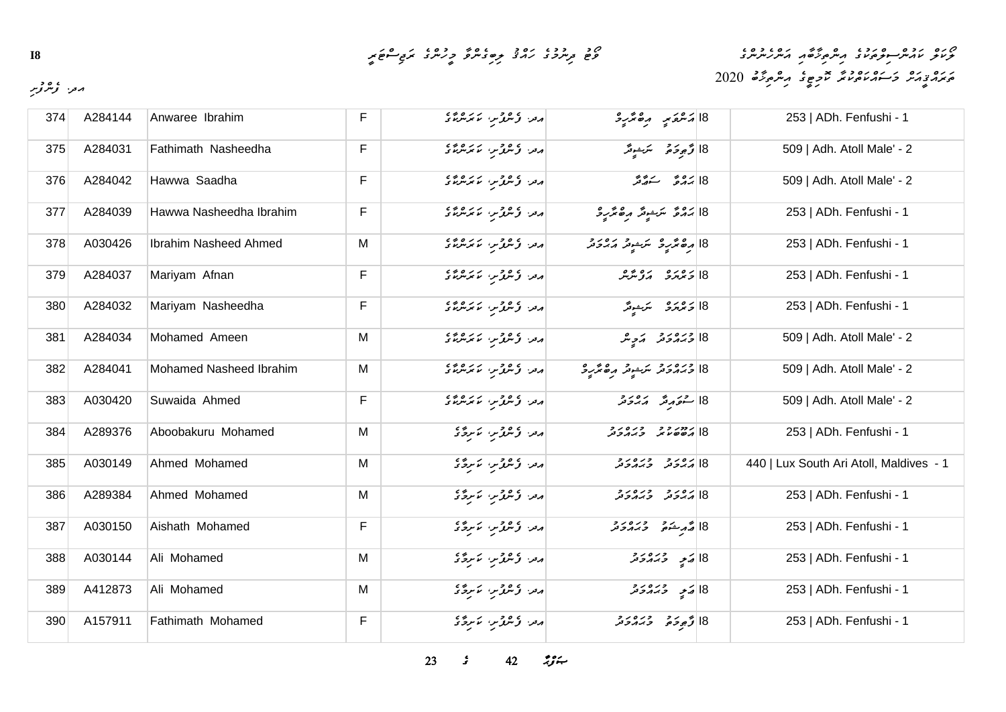*sCw7q7s5w7m< o<n9nOoAw7o< sCq;mAwBoEw7q<m; wBm;vB* م من المسجد المسجد المسجد المسجد المسجد العام 2020<br>مسجد المسجد المسجد المسجد المسجد المسجد المسجد المسجد المسجد ال

| 374 | A284144 | Anwaree Ibrahim         | F           | معه وكلوفر تتركيف                | 8  ئەنگەنىيە بەھ <i>مەتب</i> ۇ                   | 253   ADh. Fenfushi - 1                 |
|-----|---------|-------------------------|-------------|----------------------------------|--------------------------------------------------|-----------------------------------------|
| 375 | A284031 | Fathimath Nasheedha     | F           | معرا وعوش بمترسما                | 8   <i>وُّجِوَدَة</i> كَرَسُوِيَّرُ              | 509   Adh. Atoll Male' - 2              |
| 376 | A284042 | Hawwa Saadha            | F           | معرا وكالمعجمين المالكر والإلاء  | 8  بروی سکھ تھ                                   | 509   Adh. Atoll Male' - 2              |
| 377 | A284039 | Hawwa Nasheedha Ibrahim | $\mathsf F$ | أمعرا وتنزوس كالمرسماء           | 8  بَرْدُعٌ   مَرْشِيرٌ   مِرْهُ مَّرْرِدٌ     { | 253   ADh. Fenfushi - 1                 |
| 378 | A030426 | Ibrahim Nasheed Ahmed   | M           | أمعرا ومتمدس كالمرمولاء          | 8  مەھەرىپ ھىرە مەدەرد                           | 253   ADh. Fenfushi - 1                 |
| 379 | A284037 | Mariyam Afnan           | F           | معرا وكالمعجمين المالكر والأوالي | 8  ئ <i>ەيدىۋە بە</i> ۋىترىتر                    | 253   ADh. Fenfushi - 1                 |
| 380 | A284032 | Mariyam Nasheedha       | F           | معرا وكفروس المالكر والألاء      | 8   <i>5 بروك</i> ر محر سر سر سر بر              | 253   ADh. Fenfushi - 1                 |
| 381 | A284034 | Mohamed Ameen           | M           | أمعرا وتموموا المالكرة ولالمحا   | 8  <i>وبزودو م</i> ویر                           | 509   Adh. Atoll Male' - 2              |
| 382 | A284041 | Mohamed Nasheed Ibrahim | M           | أمعن وتنمذين المتمامين           | 8   32,025 سَرَجُوتَر وَصَحَّرِ وَ               | 509   Adh. Atoll Male' - 2              |
| 383 | A030420 | Suwaida Ahmed           | F           | أمعرا وتسمد ما ير معرض           | 8  ش <i>ۇم</i> بۇ ئەبرى                          | 509   Adh. Atoll Male' - 2              |
| 384 | A289376 | Aboobakuru Mohamed      | M           | معه وكلوس مكرومي                 |                                                  | 253   ADh. Fenfushi - 1                 |
| 385 | A030149 | Ahmed Mohamed           | M           | معرا وتكوس مكرومى                | 18 גיי כגוביק                                    | 440   Lux South Ari Atoll, Maldives - 1 |
| 386 | A289384 | Ahmed Mohamed           | M           | أمعه وكلوس مكرومي                | 18 ג مور و د د د د                               | 253   ADh. Fenfushi - 1                 |
| 387 | A030150 | Aishath Mohamed         | F           | أمعه وتمروس لأبرون               | 8  مُرِيشَمَ وَبَرْدُونَر                        | 253   ADh. Fenfushi - 1                 |
| 388 | A030144 | Ali Mohamed             | M           | أمعه وتمروس لأبرونج              | 8  رَمِي دِرَ رُدِ رَ                            | 253   ADh. Fenfushi - 1                 |
| 389 | A412873 | Ali Mohamed             | M           | معه وكلومي تأمردتمي              | 8  رَمِ دَيَرُدُدَتَر                            | 253   ADh. Fenfushi - 1                 |
| 390 | A157911 | Fathimath Mohamed       | F           | معا وكلوس تأمردنى                | 8  ۇ <sub>ج</sub> ودۇ دېمەدىر                    | 253   ADh. Fenfushi - 1                 |

 $23$  *s*  $42$  *n***<sub>s</sub>** $\frac{2}{5}$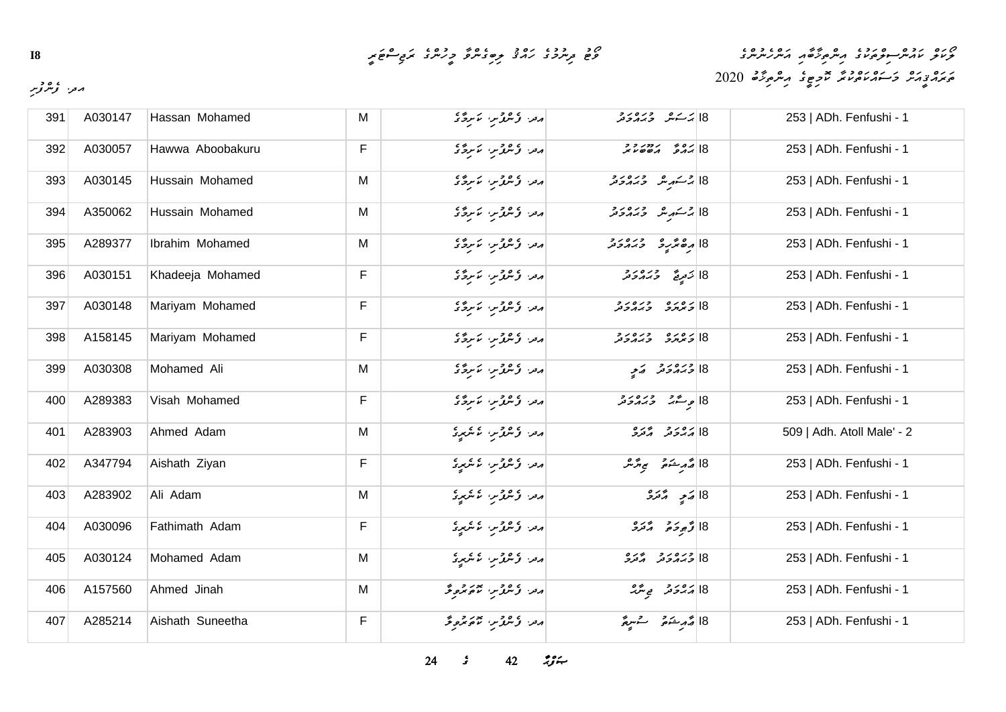*sCw7q7s5w7m< o<n9nOoAw7o< sCq;mAwBoEw7q<m; wBm;vB* م من المرة المرة المرة المرجع المرجع في المركبة 2020<br>مجم*د المريض المربوط المربع المرجع في المراجع المركبة* 

| 391 | A030147 | Hassan Mohamed   | M           | معا وكلور بمردوع        | 8  پرسىش <i>دېزو</i> رو                      | 253   ADh. Fenfushi - 1    |
|-----|---------|------------------|-------------|-------------------------|----------------------------------------------|----------------------------|
| 392 | A030057 | Hawwa Aboobakuru | $\mathsf F$ | أمعا وكلوس مكرومى       | 222222228                                    | 253   ADh. Fenfushi - 1    |
| 393 | A030145 | Hussain Mohamed  | M           | أمعا وكلوس مكرومى       | 8   پرستمبر <i>پر وی</i> زویز                | 253   ADh. Fenfushi - 1    |
| 394 | A350062 | Hussain Mohamed  | M           | معد: وكلورس مكرومي      | 8  ير <i>شهر شهر ديدوند</i>                  | 253   ADh. Fenfushi - 1    |
| 395 | A289377 | Ibrahim Mohamed  | M           | أمعرا وكلورس مكرومى     | 8  مەھمىر ئەرەر ئە                           | 253   ADh. Fenfushi - 1    |
| 396 | A030151 | Khadeeja Mohamed | $\mathsf F$ | معه وكلوس مكرومى        | 8   زَمرِيحٌ     دُبرُ دُوَمَرُ              | 253   ADh. Fenfushi - 1    |
| 397 | A030148 | Mariyam Mohamed  | F           | معه وكلوس مكرومى        | 18 كەبەر 2019 كەندى                          | 253   ADh. Fenfushi - 1    |
| 398 | A158145 | Mariyam Mohamed  | $\mathsf F$ | أمعا وكلوس مكرومى       | 18 كەبۇرى ئەس ئەرەبىر                        | 253   ADh. Fenfushi - 1    |
| 399 | A030308 | Mohamed Ali      | M           | أمعرا وكلورس مكرومى     | 8  دحمد محمو                                 | 253   ADh. Fenfushi - 1    |
| 400 | A289383 | Visah Mohamed    | $\mathsf F$ | أمعر وتنزوين المائرة في | 8   م <i>ِسَمَّدٌ حَدَّهُ وَ</i> تَد         | 253   ADh. Fenfushi - 1    |
| 401 | A283903 | Ahmed Adam       | M           | معا وتنزيرا المتربرة    | 8  پروژ په پرو                               | 509   Adh. Atoll Male' - 2 |
| 402 | A347794 | Aishath Ziyan    | F           | معا وتنزوا المتهولا     | 8  ئەمرىشىق <sub>ە ئ</sub> ېرتىر             | 253   ADh. Fenfushi - 1    |
| 403 | A283902 | Ali Adam         | M           | أمعه وتنزوين الأنكريزة  | 8  رَمِي دَنْرَدْ                            | 253   ADh. Fenfushi - 1    |
| 404 | A030096 | Fathimath Adam   | F           | معا وتلوس كالكبرة       | 8  وَّجِوَةٌ مَجْتَرَةٌ                      | 253   ADh. Fenfushi - 1    |
| 405 | A030124 | Mohamed Adam     | M           | معا وكلوس كالكبرة       | 8   ج پرو په په کارو                         | 253   ADh. Fenfushi - 1    |
| 406 | A157560 | Ahmed Jinah      | M           | معرا وتكرون المتموليون  | 8  <i>225 قر</i> م <sub>ی</sub> م <i>ن</i> گ | 253   ADh. Fenfushi - 1    |
| 407 | A285214 | Aishath Suneetha | $\mathsf F$ | معرا وتكرون المتموليون  | 8  مُرمِسَمَّة مُسْتَمَ <i>ّةٍ</i>           | 253   ADh. Fenfushi - 1    |

 $24$  *s*  $42$  *z*  $2\frac{2}{5}$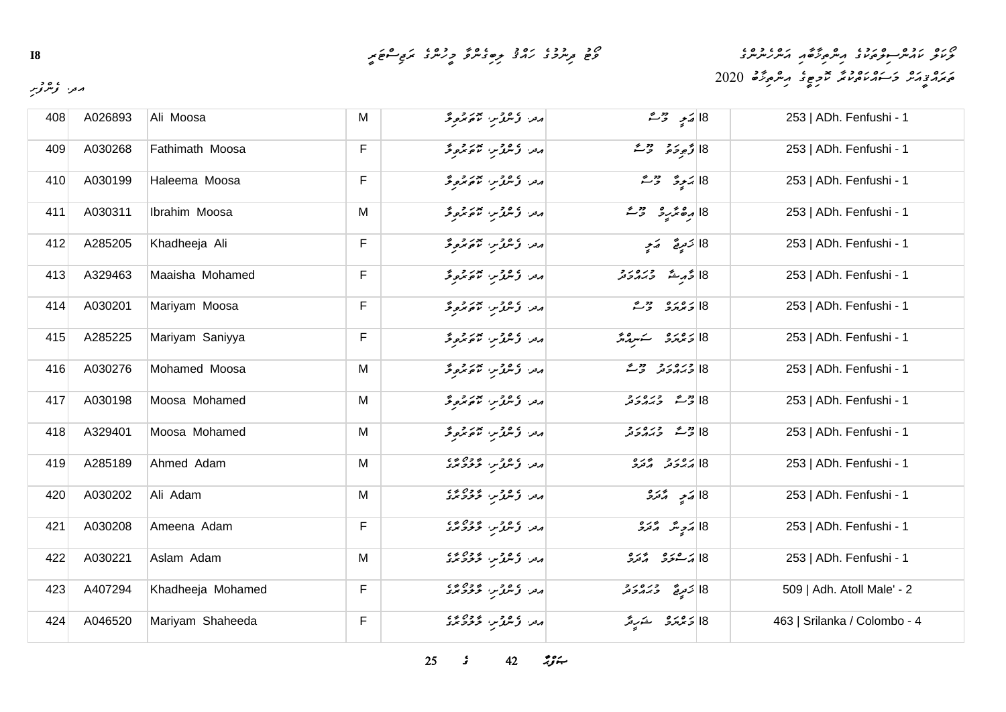*sCw7q7s5w7m< o<n9nOoAw7o< sCq;mAwBoEw7q<m; wBm;vB* م من المسجد المسجد المسجد المسجد المسجد العام 2020<br>مسجد المسجد المسجد المسجد المسجد المسجد المسجد المسجد المسجد ال

| 408 | A026893 | Ali Moosa         | M           | معه وكفروس المتمرجونج      | 8  پَه دِ حَمْ شَهُ             | 253   ADh. Fenfushi - 1      |
|-----|---------|-------------------|-------------|----------------------------|---------------------------------|------------------------------|
| 409 | A030268 | Fathimath Moosa   | F           | معرا وتكرون المتمولون      | 8  ۇر <sub>ە</sub> دە دىم       | 253   ADh. Fenfushi - 1      |
| 410 | A030199 | Haleema Moosa     | $\mathsf F$ | معه وتمروس للمحموظ         | 18  پَهِ وَ حَمْ شَمَّ          | 253   ADh. Fenfushi - 1      |
| 411 | A030311 | Ibrahim Moosa     | M           | معه وعروس للمحروف          | 8ا رەغرىي ق <sup>ەسم</sup>      | 253   ADh. Fenfushi - 1      |
| 412 | A285205 | Khadheeja Ali     | F           | معه وعروس للمحروف          | 18 كَتَرِيعٌ - رَكْمٍ -         | 253   ADh. Fenfushi - 1      |
| 413 | A329463 | Maaisha Mohamed   | $\mathsf F$ | معه وعروس للمحروف          | 8  ۇرىئە دېرەرد                 | 253   ADh. Fenfushi - 1      |
| 414 | A030201 | Mariyam Moosa     | F           | معه وتمروس للمحموظ         | 8  52, يوم حقيقة                | 253   ADh. Fenfushi - 1      |
| 415 | A285225 | Mariyam Saniyya   | $\mathsf F$ | معرا ومروس للمحموظ         | 8   كانترنى سىستىدىگر           | 253   ADh. Fenfushi - 1      |
| 416 | A030276 | Mohamed Moosa     | M           | معا وتمروس للمحموظ         | 8  <i>ڈیز م</i> حقہ ترمیم       | 253   ADh. Fenfushi - 1      |
| 417 | A030198 | Moosa Mohamed     | M           | معرا وتكرون المتمولون      | 8  ج مع محمد برور د             | 253   ADh. Fenfushi - 1      |
| 418 | A329401 | Moosa Mohamed     | M           | معه وتموم بيزير وتحرير     | 8   چ مع دره در د               | 253   ADh. Fenfushi - 1      |
| 419 | A285189 | Ahmed Adam        | M           | معرا وتمروس ومحورة والمحمد | 18 كەبرو بۇ ئەترى               | 253   ADh. Fenfushi - 1      |
| 420 | A030202 | Ali Adam          | M           | معرا وتمروس ومحورة والمحمد | 18  كەمچە مەڭرى                 | 253   ADh. Fenfushi - 1      |
| 421 | A030208 | Ameena Adam       | $\mathsf F$ | أمعرا وتمروس ومحورة برو    | 8  مَرِيمٌ مُحَمَدٌ             | 253   ADh. Fenfushi - 1      |
| 422 | A030221 | Aslam Adam        | M           | أمعرا وتمروس ومحوومون      | 8  پرےپوءی پروی                 | 253   ADh. Fenfushi - 1      |
| 423 | A407294 | Khadheeja Mohamed | $\mathsf F$ | أمعرا وتمروس ومحورة برو    | 18 كَتْمِيعٌ - وْبَرْهْرْوَمْرْ | 509   Adh. Atoll Male' - 2   |
| 424 | A046520 | Mariyam Shaheeda  | F           | أمعرا وكالمرس ومحود برد    | 8   ئ <i>ەبەد ئىمبەت</i> گە     | 463   Srilanka / Colombo - 4 |

 $25$  *s* **42** *n***<sub>s</sub>***n***<sub>s</sub>**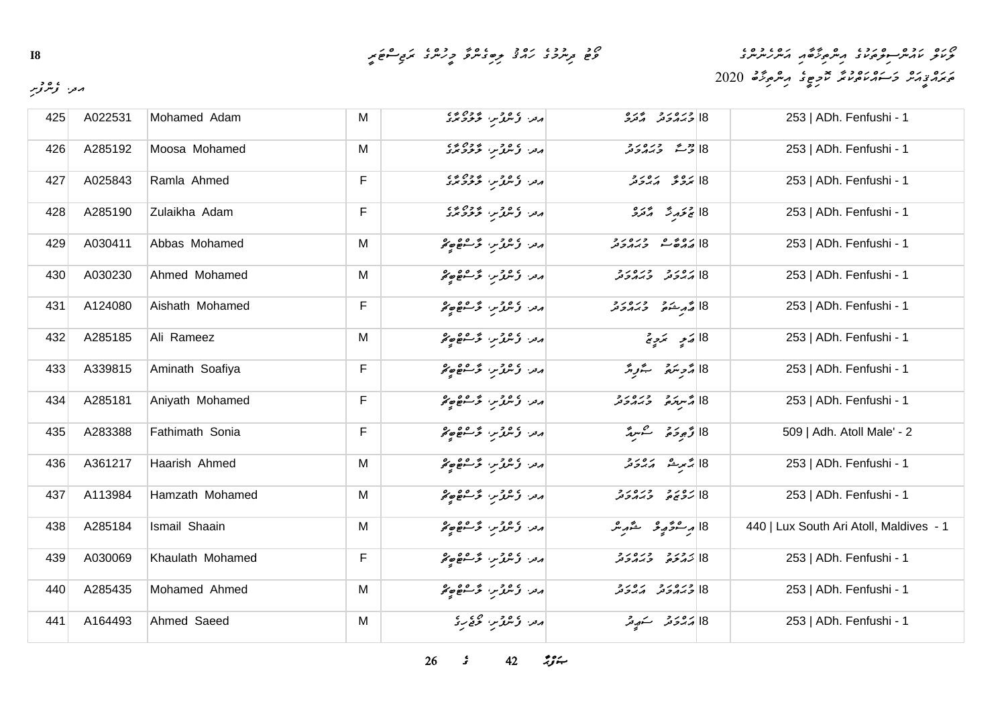*sCw7q7s5w7m< o<n9nOoAw7o< sCq;mAwBoEw7q<m; wBm;vB* م من المرة المرة المرة المرجع المرجع في المركبة 2020<br>مجم*د المريض المربوط المربع المرجع في المراجع المركبة* 

| 425 | A022531 | Mohamed Adam     | M           | أمعه وكثروش ومحرمة وحمير                                                                                    | 8   32,25 د تروژ                         | 253   ADh. Fenfushi - 1                 |
|-----|---------|------------------|-------------|-------------------------------------------------------------------------------------------------------------|------------------------------------------|-----------------------------------------|
| 426 | A285192 | Moosa Mohamed    | M           | أمعرا وكالمحرم والمحوض والمحمد                                                                              | 8  ج مشه می در در در ا                   | 253   ADh. Fenfushi - 1                 |
| 427 | A025843 | Ramla Ahmed      | $\mathsf F$ | ما در او وه در در در در در در در در او در در او در در او در در او در او در او در او در او در او در او در او | 8  بَرْوْتُو بِرَ <sup>وْرِ</sup> دِيْرِ | 253   ADh. Fenfushi - 1                 |
| 428 | A285190 | Zulaikha Adam    | $\mathsf F$ | أمعن وتنموس وموجود                                                                                          | 8  ج تحمد شمستر محمد شرحته               | 253   ADh. Fenfushi - 1                 |
| 429 | A030411 | Abbas Mohamed    | M           | أمعا وتمروس ومصفور                                                                                          | 8  مەھ ھەم جەم جىم بور                   | 253   ADh. Fenfushi - 1                 |
| 430 | A030230 | Ahmed Mohamed    | M           | مەر، كۆرىمۇس، ئۇسقۇھەم                                                                                      | 18 ג مور و د د د د                       | 253   ADh. Fenfushi - 1                 |
| 431 | A124080 | Aishath Mohamed  | $\mathsf F$ | مەر، كۆرىمۇس، ئۇسقۇھەم                                                                                      | 8  مُرمِسَمَ وَرَمْدَوْرَ                | 253   ADh. Fenfushi - 1                 |
| 432 | A285185 | Ali Rameez       | M           | مدرسة وتركيب كوسوه وهو                                                                                      | 8  رَمِ پَرَدٍ جَ                        | 253   ADh. Fenfushi - 1                 |
| 433 | A339815 | Aminath Soafiya  | $\mathsf F$ | أمعرا وتعرفر ومصفوره                                                                                        | 8  ئ <i>ەج</i> ىئىد شوپۇ                 | 253   ADh. Fenfushi - 1                 |
| 434 | A285181 | Aniyath Mohamed  | $\mathsf F$ | مدرسة وتركيب كوسوه وهو                                                                                      | 8   قسيدة وبرورو                         | 253   ADh. Fenfushi - 1                 |
| 435 | A283388 | Fathimath Sonia  | $\mathsf F$ | مدر كوشرى كوسوھى                                                                                            | 8  <i>وَجِعْعُو</i> سُمب <i>عدَّ</i>     | 509   Adh. Atoll Male' - 2              |
| 436 | A361217 | Haarish Ahmed    | M           | معدا وشروع ومصفحة                                                                                           | 8  بر <sub>س</sub> ور مرکز در            | 253   ADh. Fenfushi - 1                 |
| 437 | A113984 | Hamzath Mohamed  | M           | مەر، كۆرىمۇس، ئۇسقۇھەم                                                                                      | 8  روبرو وروبرو                          | 253   ADh. Fenfushi - 1                 |
| 438 | A285184 | Ismail Shaain    | M           | مدرسة وتركيب كوسوه وهو                                                                                      | 8  م <i>بسٹوگیونگر</i> گھریشر            | 440   Lux South Ari Atoll, Maldives - 1 |
| 439 | A030069 | Khaulath Mohamed | $\mathsf F$ | مەر، كۆرىمى ئۆس ئۆسىمى                                                                                      | 8  زېږې ورورو                            | 253   ADh. Fenfushi - 1                 |
| 440 | A285435 | Mohamed Ahmed    | M           | مدرس وتكريب كرميدة مع                                                                                       | 8  دیرو در در د                          | 253   ADh. Fenfushi - 1                 |
| 441 | A164493 | Ahmed Saeed      | M           | أمعرا وكلوس كوفارة                                                                                          | 8  پ <i>روی شهر</i> تر                   | 253   ADh. Fenfushi - 1                 |

 $26$  *s*  $42$  *z*  $25$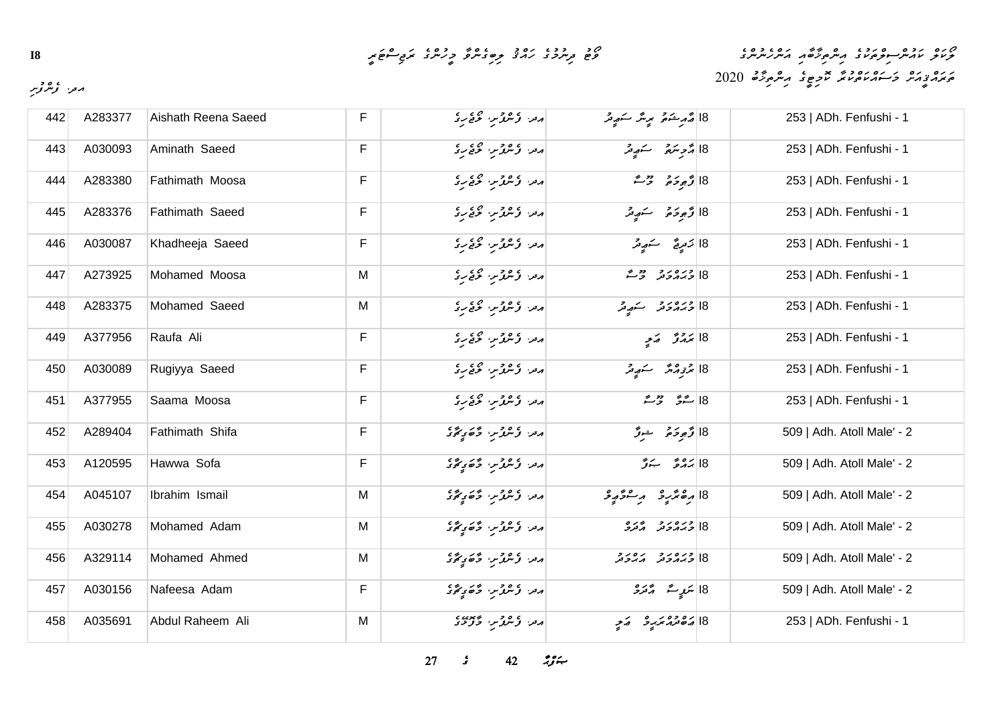*sCw7q7s5w7m< o<n9nOoAw7o< sCq;mAwBoEw7q<m; wBm;vB* م من المسجد المسجد المسجد المسجد المسجد العام 2020<br>مسجد المسجد المسجد المسجد المسجد المسجد المسجد المسجد المسجد ال

| 442 | A283377 | Aishath Reena Saeed | F           | أمعه وكثروش كروح         | 8  مُرمِّسَمَّ مِرِیْدَ سَہِیْدَ            | 253   ADh. Fenfushi - 1    |
|-----|---------|---------------------|-------------|--------------------------|---------------------------------------------|----------------------------|
| 443 | A030093 | Aminath Saeed       | F           | مامر : وكالورس المحظ مرى | 8  <i>مُڈجِ سَمَةٍ</i> مُسَمَّدٍ مُحْرِ     | 253   ADh. Fenfushi - 1    |
| 444 | A283380 | Fathimath Moosa     | F           | أمعرا وكتروش تحفظ برى    | 8  وَجِهِ حَرَمٌ وَمَسَمٌ                   | 253   ADh. Fenfushi - 1    |
| 445 | A283376 | Fathimath Saeed     | F           | أمعرا وكلوس فحقارة       | 8  <i>وُّجِوحَةْ سَهِيدْ</i>                | 253   ADh. Fenfushi - 1    |
| 446 | A030087 | Khadheeja Saeed     | $\mathsf F$ | أمعرا وكالمروس المحفاري  | 8  زَمِيعٌ سَمَدٍ مِّرْ                     | 253   ADh. Fenfushi - 1    |
| 447 | A273925 | Mohamed Moosa       | M           | معرا وكلوس كوه ره        | 8   <i>جزوجو ديم</i>                        | 253   ADh. Fenfushi - 1    |
| 448 | A283375 | Mohamed Saeed       | M           | أمعرا وكلوس كوفارة       | 8  <i>ڈیزوئ</i> ر کے می <sup>و</sup> ر      | 253   ADh. Fenfushi - 1    |
| 449 | A377956 | Raufa Ali           | F           | أمعرا وكالمروس المحفاري  | 18  يَرْمَرُّوْ _ مَ مِ                     | 253   ADh. Fenfushi - 1    |
| 450 | A030089 | Rugiyya Saeed       | F           | أمعرا وكلوس فحقارة       | 8  <i>مُرْتِومُ</i> مُمَّ سَم <i>ُومِدُ</i> | 253   ADh. Fenfushi - 1    |
| 451 | A377955 | Saama Moosa         | F           | أمعرا وكلوس وكالمرة      | $23$ 32   18                                | 253   ADh. Fenfushi - 1    |
| 452 | A289404 | Fathimath Shifa     | F           | معرا وكملوس وكالمحمول    | 8  <i>وُجِودَة</i> مُبِوَّرَ                | 509   Adh. Atoll Male' - 2 |
| 453 | A120595 | Hawwa Sofa          | F           | معرا وكالروس وكالمحمولة  | 18 ئەيمۇ سۇتى                               | 509   Adh. Atoll Male' - 2 |
| 454 | A045107 | Ibrahim Ismail      | M           | معرا وكملوس وكالمحادث    | 8  رەئزى <sub>ر</sub> دىسى ئەرىپى           | 509   Adh. Atoll Male' - 2 |
| 455 | A030278 | Mohamed Adam        | M           | معرا وتموم وكالمحمد      | 18 دېم پرې گه کره کل                        | 509   Adh. Atoll Male' - 2 |
| 456 | A329114 | Mohamed Ahmed       | M           | معرا وكالروس وكالمحمول   | 8  دبرەرد پرەرد                             | 509   Adh. Atoll Male' - 2 |
| 457 | A030156 | Nafeesa Adam        | F           | معرا وكالروس وكالمحمولة  | 8  سَمِرٍ شَہْر مُقَرَّدً                   | 509   Adh. Atoll Male' - 2 |
| 458 | A035691 | Abdul Raheem Ali    | M           | معرا وكفرس ومحولاته      | 8  ر <i>َے قرم مَربہ 5 م</i> َ مِر          | 253   ADh. Fenfushi - 1    |

*27 sC 42 nNw?mS*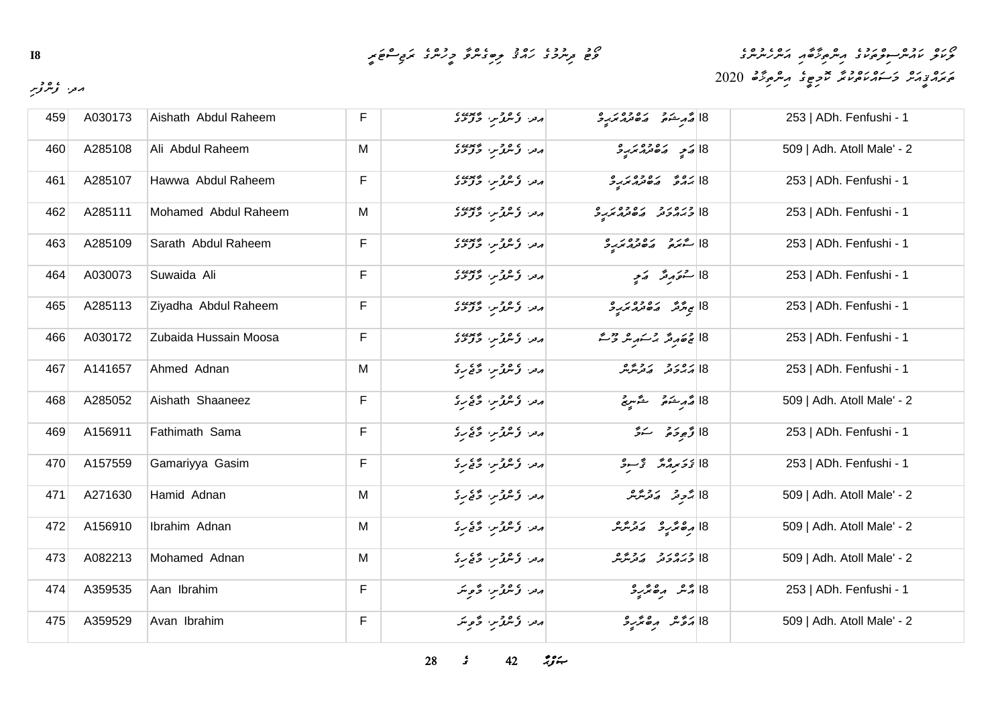*sCw7q7s5w7m< o<n9nOoAw7o< sCq;mAwBoEw7q<m; wBm;vB* م من المسجد المسجد المسجد المسجد المسجد العام 2020<br>مسجد المسجد المسجد المسجد المسجد المسجد المسجد المسجد المسجد ال

| 459 | A030173 | Aishath Abdul Raheem  | F | معرز وكسروس كرونونونونغ | 8 مەم شىم مەھىم ئىرىدىن                     | 253   ADh. Fenfushi - 1    |
|-----|---------|-----------------------|---|-------------------------|---------------------------------------------|----------------------------|
| 460 | A285108 | Ali Abdul Raheem      | M | معرا وعوفر ومعياء       | 8  <i>مَجِ مَعْتَمَّدَ مَرَبِ</i> وَ        | 509   Adh. Atoll Male' - 2 |
| 461 | A285107 | Hawwa Abdul Raheem    | F | معرا وعوض ويبيء         | 8  ئەمۇھە مەھەممە ئەر                       | 253   ADh. Fenfushi - 1    |
| 462 | A285111 | Mohamed Abdul Raheem  | M | معر وعوض ويبيء          | 8 כממכנג השנג מפ                            | 253   ADh. Fenfushi - 1    |
| 463 | A285109 | Sarath Abdul Raheem   | F | معر وعوض ويبيء          | 8 گنجره مەھىرمىگرىدۇ.                       | 253   ADh. Fenfushi - 1    |
| 464 | A030073 | Suwaida Ali           | F | رد. و موجد محوره و      | 8  سنم <i>ؤونڈ م</i> َنوِ                   | 253   ADh. Fenfushi - 1    |
| 465 | A285113 | Ziyadha Abdul Raheem  | F | معر وعوض ويجع           | 8  ي <sub>ى</sub> رگى <i>گە ھەقىدىكى</i> رى | 253   ADh. Fenfushi - 1    |
| 466 | A030172 | Zubaida Hussain Moosa | F | معر وعوض ويبيء          | 8  ج َ مَدِمَّر بِرْسَهِ مِرْ حَرْسَةَ      | 253   ADh. Fenfushi - 1    |
| 467 | A141657 | Ahmed Adnan           | M | أمعه وكفروه ومحضرته     | 8  پرچوتر <b>پرتر</b> شر                    | 253   ADh. Fenfushi - 1    |
| 468 | A285052 | Aishath Shaaneez      | F | أمعه وكلورس ومحفيرة     | 8  روستوفر گے سرچ                           | 509   Adh. Atoll Male' - 2 |
| 469 | A156911 | Fathimath Sama        | F | أمعه وكمنتزع ومحفرة     | 8  ۇ <sub>جو</sub> رَى ئەۋ                  | 253   ADh. Fenfushi - 1    |
| 470 | A157559 | Gamariyya Gasim       | F | أمعه وكفوض ومحضرته      | 8  ئۇ ئەبەر گە ئۇسور                        | 253   ADh. Fenfushi - 1    |
| 471 | A271630 | Hamid Adnan           | M | أمعه وكفروس ومحضرته     | 8  بَرْحِ <i>مَدْ مَدْ مَدَّرْ مَدْ</i>     | 509   Adh. Atoll Male' - 2 |
| 472 | A156910 | Ibrahim Adnan         | M | أمعه وكمنتزع ومحفرة     | 18 م <i>ەھەرىي ھەمەمەرى</i> ر               | 509   Adh. Atoll Male' - 2 |
| 473 | A082213 | Mohamed Adnan         | M | أمعه وتمروس ومحضر       | 8  <i>دې ده د په پر پر پر</i>               | 509   Adh. Atoll Male' - 2 |
| 474 | A359535 | Aan Ibrahim           | F | معه وكلورس وحيتر        | 8  رممر رەئزىرى                             | 253   ADh. Fenfushi - 1    |
| 475 | A359529 | Avan Ibrahim          | F | معه وكلور وحياته        | 8  رَءٌ شهر م <i>ِ ه</i> ُ بَرِ دِ          | 509   Adh. Atoll Male' - 2 |

*28 sC 42 nNw?mS*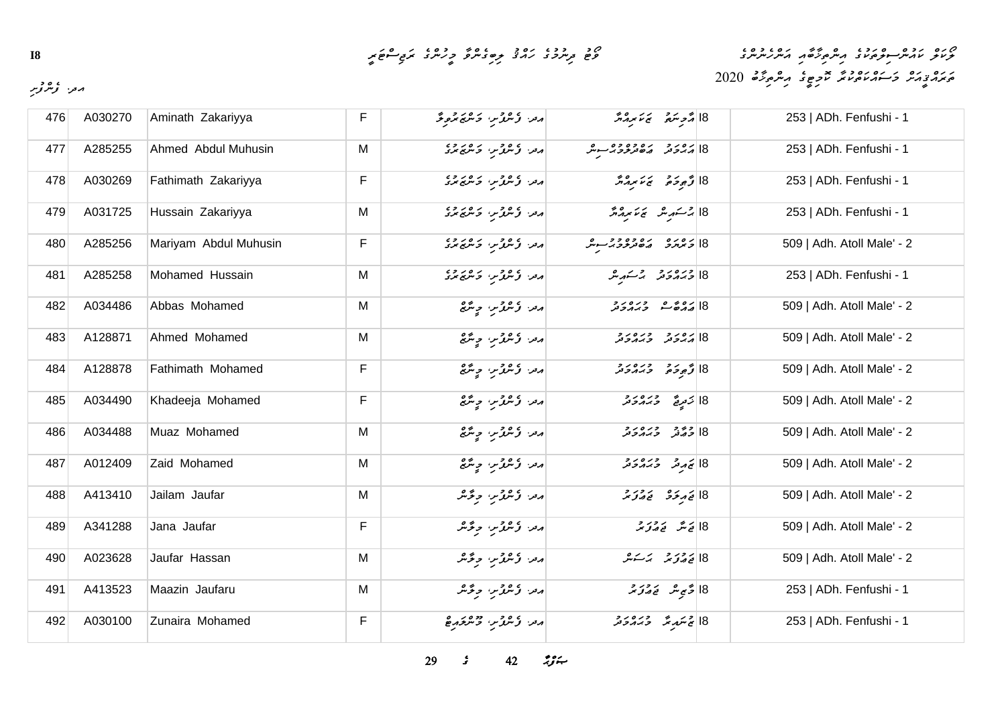*sCw7q7s5w7m< o<n9nOoAw7o< sCq;mAwBoEw7q<m; wBm;vB* م من المرة المرة المرة المرجع المرجع في المركبة 2020<br>مجم*د المريض المربوط المربع المرجع في المراجع المركبة* 

| 476 | A030270 | Aminath Zakariyya     | F           | أمعه وكلوفر وتلهج بروتر | 8  مَّحِسَمَعُ بِمَعَ <i>مِيهُ</i> مَّ       | 253   ADh. Fenfushi - 1    |
|-----|---------|-----------------------|-------------|-------------------------|----------------------------------------------|----------------------------|
| 477 | A285255 | Ahmed Abdul Muhusin   | M           | أمعرا وتكويرا وتكروه    | 8  رەرو رەوەوەرىبەر                          | 253   ADh. Fenfushi - 1    |
| 478 | A030269 | Fathimath Zakariyya   | F           | أمعرا وكالمروج والمروء  | 8  زُھِ دَھُ ہے مَا مِروْرَّ                 | 253   ADh. Fenfushi - 1    |
| 479 | A031725 | Hussain Zakariyya     | M           | أمعرا وكفرون وتقريروه   | 8  ج <i>ئستوپىر ئامىتىدى</i> گە              | 253   ADh. Fenfushi - 1    |
| 480 | A285256 | Mariyam Abdul Muhusin | $\mathsf F$ | معرا ومروما ومروء       | 8 د ۱۵۶۵ د ۱۵۶۵ د مرکز در محمد               | 509   Adh. Atoll Male' - 2 |
| 481 | A285258 | Mohamed Hussain       | M           | أمعرا وتكويرا وتكروه    | 8  <i>وټرونو پر خبر</i> شر                   | 253   ADh. Fenfushi - 1    |
| 482 | A034486 | Abbas Mohamed         | M           | أمعه وكتروش ويترجح      | 8  ھُہُرُھُ شہ ویرہ دور                      | 509   Adh. Atoll Male' - 2 |
| 483 | A128871 | Ahmed Mohamed         | M           | أمعا وكتروس ويترجى      | 18 كەبۇر ئەرەر ئە                            | 509   Adh. Atoll Male' - 2 |
| 484 | A128878 | Fathimath Mohamed     | F           | أمعه وكتروس ويترجى      | 8   تَصِرَحْمُ وَبَرَهُ وَمَدْ               | 509   Adh. Atoll Male' - 2 |
| 485 | A034490 | Khadeeja Mohamed      | F           | معرا وكلوفرا ويترجح     | 8  زَمَرِيحٌ     وَبَرُووترُ                 | 509   Adh. Atoll Male' - 2 |
| 486 | A034488 | Muaz Mohamed          | M           | أمعا وكلوفرا ويترجح     | 8  <i>وَهُنْ وَبَهُوَنْدُ</i>                | 509   Adh. Atoll Male' - 2 |
| 487 | A012409 | Zaid Mohamed          | M           | أمعا وكلوفرا ويترجح     | 8  ى <sub>ج م</sub> ىقر بەم <i>جەنگە</i> جىر | 509   Adh. Atoll Male' - 2 |
| 488 | A413410 | Jailam Jaufar         | M           | أمعا وكلوس وقرهر        | 8  ق <i>ەم خۇر قەۋى</i> ر                    | 509   Adh. Atoll Male' - 2 |
| 489 | A341288 | Jana Jaufar           | F           | معرا وكلوفرا وقرمر      | 8  <sub>تع</sub> مد تھ <i>مرکز پڑ</i>        | 509   Adh. Atoll Male' - 2 |
| 490 | A023628 | Jaufar Hassan         | M           | أمعا وكلوس وقرهر        | 8   <i>ق مائی بر بر ش</i> کس                 | 509   Adh. Atoll Male' - 2 |
| 491 | A413523 | Maazin Jaufaru        | M           | أمعه وكلورس وقريمر      | 8  <i>5ي ش خ ھ تو ب</i> ر                    | 253   ADh. Fenfushi - 1    |
| 492 | A030100 | Zunaira Mohamed       | F           | معرا وتترويرا ومترقها   | 8   ج <i>ُسَمدٍ مَدَّ حَدَّ مُ</i> حَمَّدَ   | 253   ADh. Fenfushi - 1    |

*29 sC 42 nNw?mS*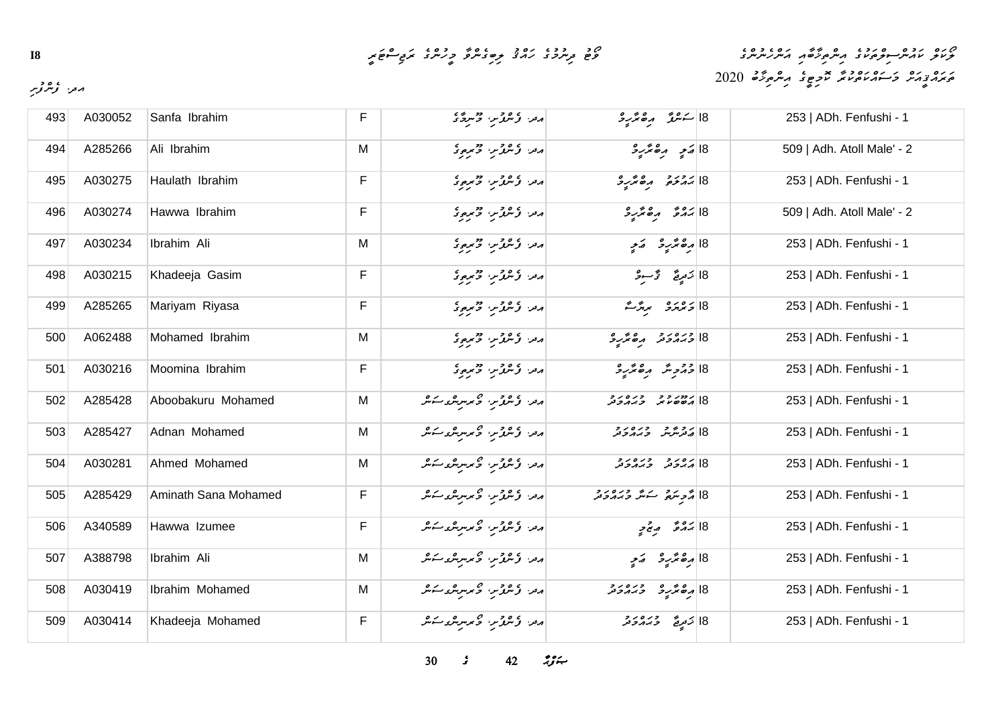*sCw7q7s5w7m< o<n9nOoAw7o< sCq;mAwBoEw7q<m; wBm;vB* م من المرة المرة المرة المرجع المرجع في المركبة 2020<br>مجم*د المريض المربوط المربع المرجع في المراجع المركبة* 

| 493 | A030052 | Sanfa Ibrahim        | F            | معدا وكملوفر المحسورة و             | 8  سَمَعْدٌ مِنْ مَحْرِبِهِ مِنْ     | 253   ADh. Fenfushi - 1    |
|-----|---------|----------------------|--------------|-------------------------------------|--------------------------------------|----------------------------|
| 494 | A285266 | Ali Ibrahim          | M            | معا وكلوس ومردو                     | 8  رَمِ رِصْرَبِ و                   | 509   Adh. Atoll Male' - 2 |
| 495 | A030275 | Haulath Ibrahim      | $\mathsf{F}$ | أمعه وتنزوس وحميدة                  | 8   بَرْمَرْحَمْ بِرِهْ مُّرْبِرْدَ  | 253   ADh. Fenfushi - 1    |
| 496 | A030274 | Hawwa Ibrahim        | $\mathsf F$  | معرا وتمروس وحميدة                  | 8  بَرْدَةُ مِـ صَغَّرِدْ            | 509   Adh. Atoll Male' - 2 |
| 497 | A030234 | Ibrahim Ali          | M            | أمعه وكفروس وحميدة                  | 8  ر <i>ھنڙپ</i> و <sub>مَ</sub> ي   | 253   ADh. Fenfushi - 1    |
| 498 | A030215 | Khadeeja Gasim       | $\mathsf F$  | أمعه وكملوس وحميدة                  | 8  كَمَرِيحٌ - تَخْرِجْرٌ -          | 253   ADh. Fenfushi - 1    |
| 499 | A285265 | Mariyam Riyasa       | $\mathsf{F}$ | معرا وتمروس وحميدة                  | 8  <i>وَجْهَزَةْ</i> بِرِيْرَ مَّتَّ | 253   ADh. Fenfushi - 1    |
| 500 | A062488 | Mohamed Ibrahim      | M            | معرا وتمروس وحميدة                  | 8  <i>وبرورو م</i> ڤتربرو            | 253   ADh. Fenfushi - 1    |
| 501 | A030216 | Moomina Ibrahim      | $\mathsf F$  | أمعرا وتنزون وحميدة                 | 8  <i>دۇرەتىگە مەھەرد</i>            | 253   ADh. Fenfushi - 1    |
| 502 | A285428 | Aboobakuru Mohamed   | M            | معا وكتروش والمرس والمراكب          | $5,000$ $7,000$ $18$                 | 253   ADh. Fenfushi - 1    |
| 503 | A285427 | Adnan Mohamed        | M            | أمعرا وكروس ومرسر عربر كالمر        | 8  كەنگەنگىر ئەمەكە ئىرىدىن          | 253   ADh. Fenfushi - 1    |
| 504 | A030281 | Ahmed Mohamed        | M            | مەر كەشكەپ كەيرىشى سەش              | 18 كەبرو مەمەمەر د                   | 253   ADh. Fenfushi - 1    |
| 505 | A285429 | Aminath Sana Mohamed | $\mathsf F$  | ماما المحمومين كالمرسور محمد المحمد | 8  مُرْحِسَمُ شَسَّرِ وَبَرْمُرْحَسْ | 253   ADh. Fenfushi - 1    |
| 506 | A340589 | Hawwa Izumee         | $\mathsf F$  | أمعرا وتترويرا والمرس مكان الملا    | 8  پَهُرمَّۃ مِی حَمَّدٍ             | 253   ADh. Fenfushi - 1    |
| 507 | A388798 | Ibrahim Ali          | M            | أمعرا وكرومي ومحرس محرما المرا      | 18 <sub>م</sub> ەمگەر ئەرىپە         | 253   ADh. Fenfushi - 1    |
| 508 | A030419 | Ibrahim Mohamed      | M            | معرا وكلوفرين كومرسر محركة كالله    | 8  مەھرىپى دىمەددىر                  | 253   ADh. Fenfushi - 1    |
| 509 | A030414 | Khadeeja Mohamed     | F            | مدا وكلورا ومراسطة لتكل             | 8  كَسِعٌ وْبَرُودُوْرْ              | 253   ADh. Fenfushi - 1    |

**30** *s* **42** *n***<sub>s</sub>**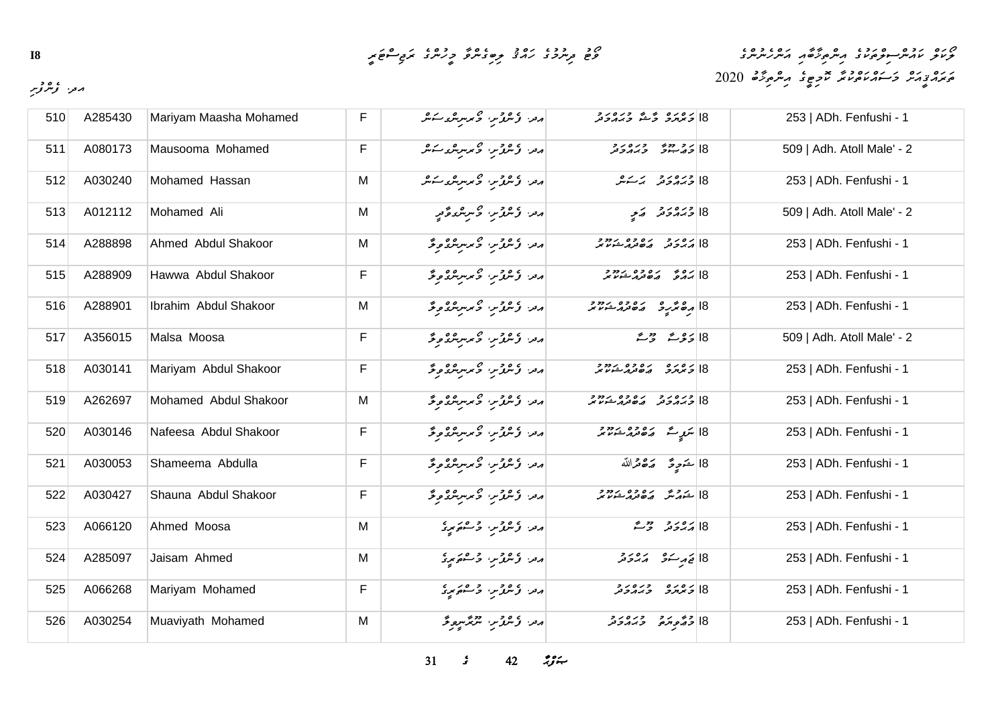*sCw7q7s5w7m< o<n9nOoAw7o< sCq;mAwBoEw7q<m; wBm;vB* م من المسجد المسجد المسجد المسجد المسجد العام 2020<br>مسجد المسجد المسجد المسجد المسجد المسجد المسجد المسجد المسجد ال

| 510 | A285430 | Mariyam Maasha Mohamed | F           | أمعه وكتروس والمرس مكار كمسكر     | 8   د ه د ه څـنځ و د ره د و                            | 253   ADh. Fenfushi - 1    |
|-----|---------|------------------------|-------------|-----------------------------------|--------------------------------------------------------|----------------------------|
| 511 | A080173 | Mausooma Mohamed       | F           | أمعرا وتتروس والمرس مكان الملا    | 8  زو دوه وره دو                                       | 509   Adh. Atoll Male' - 2 |
| 512 | A030240 | Mohamed Hassan         | M           | أمعرا كالكرمي كالمرس ومكار المكار | 8  <i>ۋېزەنزى بەسكى</i> ر                              | 253   ADh. Fenfushi - 1    |
| 513 | A012112 | Mohamed Ali            | M           | أمعرا وتكرون كالريكرى وهمير       | 8  دېره دته کم                                         | 509   Adh. Atoll Male' - 2 |
| 514 | A288898 | Ahmed Abdul Shakoor    | M           | أمعرا وتكرون ومرس موقوق           | 8  رور و رووه رودو                                     | 253   ADh. Fenfushi - 1    |
| 515 | A288909 | Hawwa Abdul Shakoor    | $\mathsf F$ | أمعرا وكرومي ومحرسر مروفوق        | 8  پره ده پره درود                                     | 253   ADh. Fenfushi - 1    |
| 516 | A288901 | Ibrahim Abdul Shakoor  | M           | أمعرا وتكروس والمرسر مروفون       |                                                        | 253   ADh. Fenfushi - 1    |
| 517 | A356015 | Malsa Moosa            | F           | أمعرا وتكرون ومرس موقوق           | 18 كەنۇسىگە تۇشىگە                                     | 509   Adh. Atoll Male' - 2 |
| 518 | A030141 | Mariyam Abdul Shakoor  | F           | أمعه وتكروس ومرس موقوف            | 8   ۲۵۷۵ میں محصوص دور د                               | 253   ADh. Fenfushi - 1    |
| 519 | A262697 | Mohamed Abdul Shakoor  | M           | أمعرا وكلوفر ومرس للموقوق         | 8  37,070 رەمور بردوم                                  | 253   ADh. Fenfushi - 1    |
| 520 | A030146 | Nafeesa Abdul Shakoor  | F           | أمعرا وكرومي ومحرسر مروفوق        | 8   سَمَدٍ شَمَّ صَ <sup>59</sup> مَدِ مِسْتَمَسَّمَدَ | 253   ADh. Fenfushi - 1    |
| 521 | A030053 | Shameema Abdulla       | F           | أمعرا وتكرون ومرس موقوع           | 18 ڪو <i>چ چي ه</i> ڏالله                              | 253   ADh. Fenfushi - 1    |
| 522 | A030427 | Shauna Abdul Shakoor   | $\mathsf F$ | أمعرا وتكرون ومرس موقوع           | 8 شهرش مەھىرمىسىر                                      | 253   ADh. Fenfushi - 1    |
| 523 | A066120 | Ahmed Moosa            | M           | معا وتروس وكمورئ                  | 8  پروژنر وحت                                          | 253   ADh. Fenfushi - 1    |
| 524 | A285097 | Jaisam Ahmed           | M           | أمعه وكالروس ومصرورة              | 8  <sub>قەم</sub> رىكى ئەمەد قىر                       | 253   ADh. Fenfushi - 1    |
| 525 | A066268 | Mariyam Mohamed        | F           | أمعه وكلوفرس وكسفونيرى            | 18 كەيمەر 2019 كەندى                                   | 253   ADh. Fenfushi - 1    |
| 526 | A030254 | Muaviyath Mohamed      | M           | أمعا وتكرون لترجم سروقه           | 18 د ژو ژو د د د د                                     | 253   ADh. Fenfushi - 1    |

 $31$  *s*  $42$  *n***<sub>s</sub>**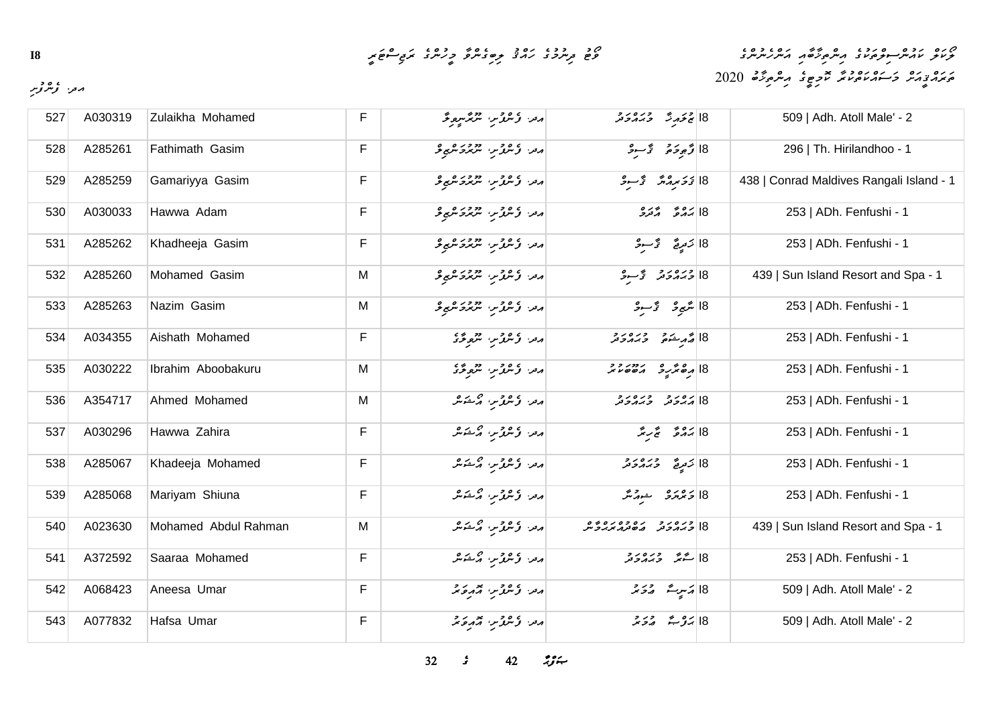*sCw7q7s5w7m< o<n9nOoAw7o< sCq;mAwBoEw7q<m; wBm;vB* م من المسجد المسجد المسجد المسجد المسجد العام 2020<br>مسجد المسجد المسجد المسجد المسجد المسجد المسجد المسجد المسجد ال

| 527 | A030319 | Zulaikha Mohamed     | F            | أمعه وكمفروش لترتج يبرء فخر | 8   ج <sub>تح</sub> ری <sup>2</sup> و برو دیمر | 509   Adh. Atoll Male' - 2               |
|-----|---------|----------------------|--------------|-----------------------------|------------------------------------------------|------------------------------------------|
| 528 | A285261 | Fathimath Gasim      | F            | أمعن وتنزوين لترجز حرجوهي   | 8  وَّجِوحَةٌ تَحْسِوْ                         | 296   Th. Hirilandhoo - 1                |
| 529 | A285259 | Gamariyya Gasim      | $\mathsf{F}$ | أمعن وتنزوين لترجز حرجوهي   | 8  ئۇ ئەبەر گە ئۇسور                           | 438   Conrad Maldives Rangali Island - 1 |
| 530 | A030033 | Hawwa Adam           | $\mathsf F$  | معرا ومروس مربرومربوع       | 8  بَرُوءٌ مُرْمَرَّدٍ                         | 253   ADh. Fenfushi - 1                  |
| 531 | A285262 | Khadheeja Gasim      | $\mathsf{F}$ | معرا ومروس مربرومرج و       | 8  زَمِرِيحٌ گُرِّرِدُّ                        | 253   ADh. Fenfushi - 1                  |
| 532 | A285260 | Mohamed Gasim        | M            | أمعن وتنزوين لترجز حرجوهي   | 18 كەبر كەنبە ئۇسبۇ                            | 439   Sun Island Resort and Spa - 1      |
| 533 | A285263 | Nazim Gasim          | M            | أمعن وتنزوين لترجز حرجوهي   | 8  شَي و ستح سوڤر                              | 253   ADh. Fenfushi - 1                  |
| 534 | A034355 | Aishath Mohamed      | F            | معرا وموس شجوتى             | 8  مەم شەھ كەممەدىر                            | 253   ADh. Fenfushi - 1                  |
| 535 | A030222 | Ibrahim Aboobakuru   | M            | أمعه وكفروس لترويخه         |                                                | 253   ADh. Fenfushi - 1                  |
| 536 | A354717 | Ahmed Mohamed        | M            | أمعرا وتنزوين أكركتكر       | 18 كەبۇر مەمەم دەرد                            | 253   ADh. Fenfushi - 1                  |
| 537 | A030296 | Hawwa Zahira         | $\mathsf F$  | معرا وتتروين أكركتكر        | 8  يَهْرُقَ تَحْرِيَّتْهُ                      | 253   ADh. Fenfushi - 1                  |
| 538 | A285067 | Khadeeja Mohamed     | $\mathsf{F}$ | أمعرا كرهوس كركشكر          | 8   رَمْرِيحٌ وَكَرْدُونْدُ                    | 253   ADh. Fenfushi - 1                  |
| 539 | A285068 | Mariyam Shiuna       | $\mathsf F$  | معرا كل عرض الركاشين        | 8  <i>5 بروگر شور ش</i> ر                      | 253   ADh. Fenfushi - 1                  |
| 540 | A023630 | Mohamed Abdul Rahman | M            | أمعرا وتعرض أكالمشاهر       | 8   جرە دىن ئەرەبەر دە ئەر                     | 439   Sun Island Resort and Spa - 1      |
| 541 | A372592 | Saaraa Mohamed       | F            | أمعرا وتنزوين أكركتكر       | 18 گەنتر ئەترەر ئە                             | 253   ADh. Fenfushi - 1                  |
| 542 | A068423 | Aneesa Umar          | F            | أمعا وكلوس أتهوه يحر        | 8  كەسپەستە ئ <sub>ە</sub> كەتتىر              | 509   Adh. Atoll Male' - 2               |
| 543 | A077832 | Hafsa Umar           | F            | معا وتكويرا بممرونكر        |                                                | 509   Adh. Atoll Male' - 2               |

**32** *s* **42** *z***<sub>***f***</sub>**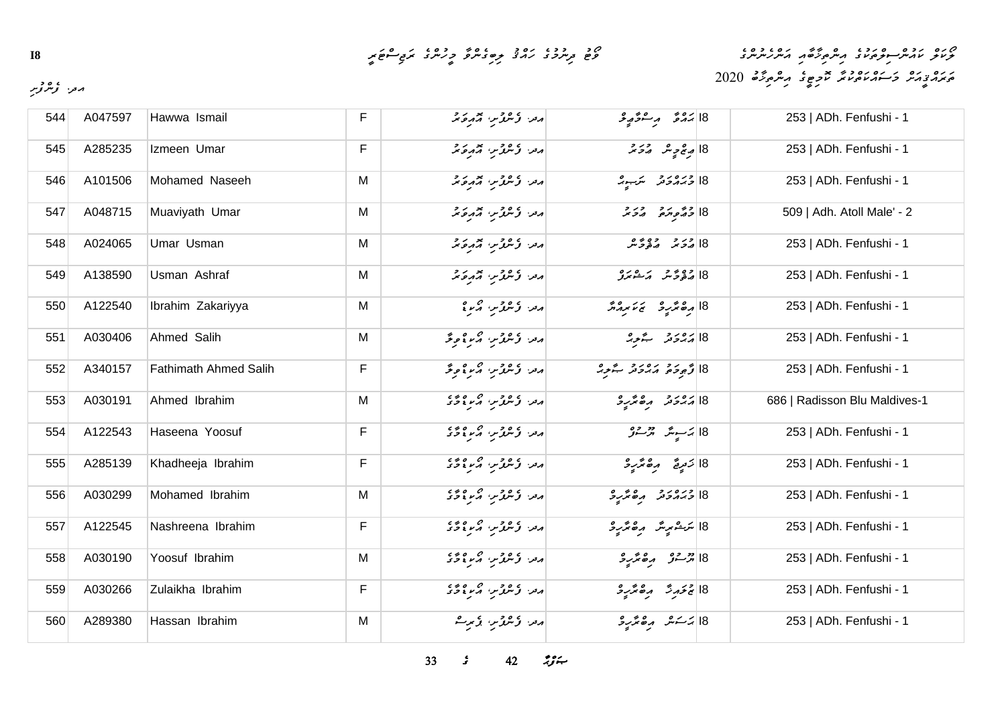*sCw7q7s5w7m< o<n9nOoAw7o< sCq;mAwBoEw7q<m; wBm;vB* م من المسجد المسجد المسجد المسجد المسجد العام 2020<br>مسجد المسجد المسجد المسجد المسجد المسجد المسجد المسجد المسجد ال

| 544 | A047597 | Hawwa Ismail                 | F           | معرا وكلور بممروكر              | 8  ئەۋۇ بەس <sup>ى</sup> دۇرپە                 | 253   ADh. Fenfushi - 1       |
|-----|---------|------------------------------|-------------|---------------------------------|------------------------------------------------|-------------------------------|
| 545 | A285235 | Izmeen Umar                  | F           | أمعا وتنزوين أيهوفكر            | 8  م <i>وج چ</i> ین گھر تک                     | 253   ADh. Fenfushi - 1       |
| 546 | A101506 | Mohamed Naseeh               | M           | أمعرا وتنزورا بمهاوتر           | 8  <i> 32,325 مترسو</i> 2                      | 253   ADh. Fenfushi - 1       |
| 547 | A048715 | Muaviyath Umar               | M           | أمعن وتنمذين أتهرئ يمر          | 8  <i>خەمجەمھ مەدىم</i>                        | 509   Adh. Atoll Male' - 2    |
| 548 | A024065 | Umar Usman                   | M           | أمعن وتنمذين أتهرئ يمر          | 8  جۇيز مەندى مىر                              | 253   ADh. Fenfushi - 1       |
| 549 | A138590 | Usman Ashraf                 | M           | أمعرا وتنزوين أتهرئ تر          | 8  پەۋىتر برىشى <i>رۇ</i>                      | 253   ADh. Fenfushi - 1       |
| 550 | A122540 | Ibrahim Zakariyya            | M           | أمعه وتعوفر أكرماء              | 8 مەھمىر ئىق ئىق ئىق ئىق ئىق ئىش <sup>ل</sup>  | 253   ADh. Fenfushi - 1       |
| 551 | A030406 | Ahmed Salih                  | M           | أمعن وتكوين أكراء وقر           | 18 كەبرى ئىم ئىس ئىلىم بىر                     | 253   ADh. Fenfushi - 1       |
| 552 | A340157 | <b>Fathimath Ahmed Salih</b> | $\mathsf F$ | أمعرا وكلوفرا أكراء وقر         | 8  دٌجِ دَمَ دِ دِ دِ دِ سِمُورُ               | 253   ADh. Fenfushi - 1       |
| 553 | A030191 | Ahmed Ibrahim                | M           | معرا وكالمعاص الكراءة وتحالي    | 8  ر <i>ُجرد قر م</i> ُ مُحَرِّدِ              | 686   Radisson Blu Maldives-1 |
| 554 | A122543 | Haseena Yoosuf               | F           | معرا وكالمعرض أكالانا ولالمحالا | 8  برسې تېر همز تړنو                           | 253   ADh. Fenfushi - 1       |
| 555 | A285139 | Khadheeja Ibrahim            | F           | معرا وتمويرا أكراء وي           |                                                | 253   ADh. Fenfushi - 1       |
| 556 | A030299 | Mohamed Ibrahim              | M           | أمعن وتنزعوا أكالالجاد          | 8   32025 مەھەر ب                              | 253   ADh. Fenfushi - 1       |
| 557 | A122545 | Nashreena Ibrahim            | $\mathsf F$ | أمعن وتنزوس أكرما وماء          | 8  <i>مَرْ</i> -ءْمِيرَ م <i>ِهْ مَدْرِ دْ</i> | 253   ADh. Fenfushi - 1       |
| 558 | A030190 | Yoosuf Ibrahim               | M           | أمعن وتنزوين أكبر ولاء          | 8  ترسو م <i>ەھ</i> رىبەد                      | 253   ADh. Fenfushi - 1       |
| 559 | A030266 | Zulaikha Ibrahim             | F           | أمعن وتنزعوا أكالالجاد          | 8  ج <i>خرم</i> ير محمد مرضوع علي علي          | 253   ADh. Fenfushi - 1       |
| 560 | A289380 | Hassan Ibrahim               | M           | معدا وكلوفرس وتبرك              | 8   ئەسەمى <i>ر مەھتىپ</i> ى                   | 253   ADh. Fenfushi - 1       |

**33** *s* **42** *z***<sub>***f***</sub>**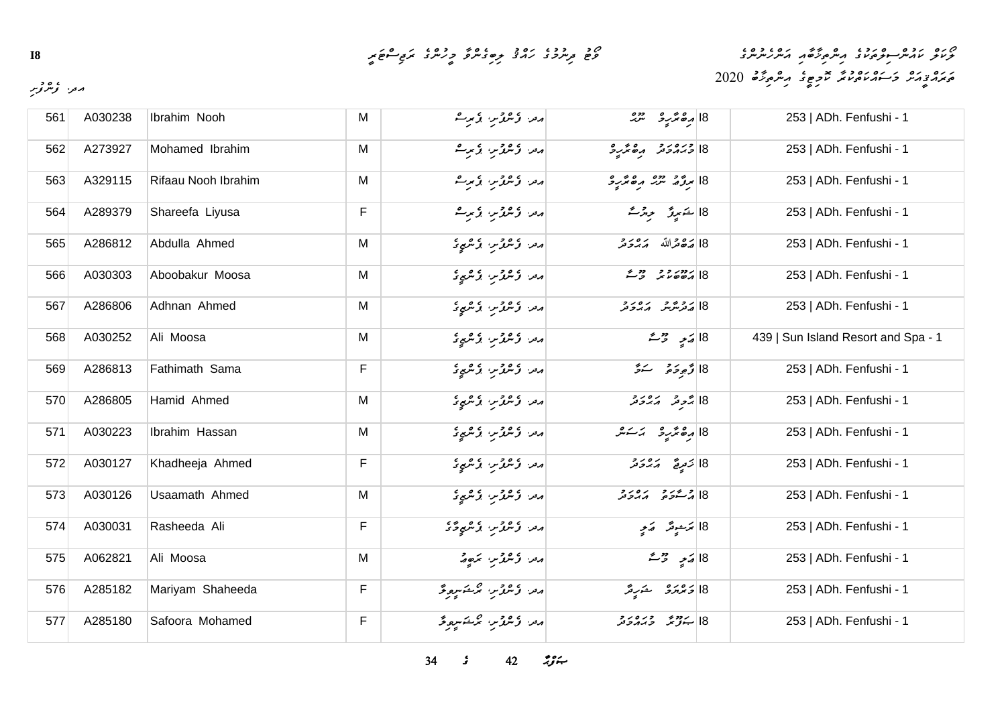*sCw7q7s5w7m< o<n9nOoAw7o< sCq;mAwBoEw7q<m; wBm;vB* م من المسجد المسجد المسجد المسجد المسجد العام 2020<br>مسجد المسجد المسجد المسجد المسجد المسجد المسجد المسجد المسجد ال

| 561 | A030238 | Ibrahim Nooh        | M           | معدا وكشور من وكبر مصر   | 8  رەئزى <sub>ر</sub> و م <sup>ور</sup>           | 253   ADh. Fenfushi - 1             |
|-----|---------|---------------------|-------------|--------------------------|---------------------------------------------------|-------------------------------------|
| 562 | A273927 | Mohamed Ibrahim     | M           | معدا وكلوفرس وتحريث      | 18 دبره در مقتربه                                 | 253   ADh. Fenfushi - 1             |
| 563 | A329115 | Rifaau Nooh Ibrahim | M           | معرا وكلورس وتبرك        | 8   برزٌ ۾ شر <i>ھ م</i> ِھ بُر <sub>ي</sub> و    | 253   ADh. Fenfushi - 1             |
| 564 | A289379 | Shareefa Liyusa     | $\mathsf F$ | معا وكلوس وبرك           | 8ا ڪيورَ موثر گ                                   | 253   ADh. Fenfushi - 1             |
| 565 | A286812 | Abdulla Ahmed       | M           | معرا وكشروش وكشيرة       | 18 كەھىراللە كەبردىر                              | 253   ADh. Fenfushi - 1             |
| 566 | A030303 | Aboobakur Moosa     | M           | أمعا وكفروس وكفياء       | $23.222$  8                                       | 253   ADh. Fenfushi - 1             |
| 567 | A286806 | Adhnan Ahmed        | M           | معرا وكلوفرس وكليبي      | 8  رَیْرَسُرْ کَرَ کُرْدَ کُرْ                    | 253   ADh. Fenfushi - 1             |
| 568 | A030252 | Ali Moosa           | M           | أمعا وكفروس وكفياء       | 18  پر وج م                                       | 439   Sun Island Resort and Spa - 1 |
| 569 | A286813 | Fathimath Sama      | F           | معرا وكشروش وكشيرة       | 8  <i>وُّجِوَةُ جَ</i> وَّ                        | 253   ADh. Fenfushi - 1             |
| 570 | A286805 | Hamid Ahmed         | M           | أمعا كرهوس وكرهبي        | 8  بَرْ <sub>ح</sub> ِ <i>بْهْ بِرْدْ</i> دَ مْدْ | 253   ADh. Fenfushi - 1             |
| 571 | A030223 | Ibrahim Hassan      | M           | معرا وكثرون وكثري        | 8  رەئزى <sub>ر</sub> و ئەسەمل                    | 253   ADh. Fenfushi - 1             |
| 572 | A030127 | Khadheeja Ahmed     | $\mathsf F$ | أمعا وتتروس وتتربح       |                                                   | 253   ADh. Fenfushi - 1             |
| 573 | A030126 | Usaamath Ahmed      | M           | معرا وكلوفرس وكليوة      | 8   ئەشىرى مەرەبىر                                | 253   ADh. Fenfushi - 1             |
| 574 | A030031 | Rasheeda Ali        | F           | معرا وكفروس وكفي ومي     | 8  مَرْسُومَّر - مَرْمٍ                           | 253   ADh. Fenfushi - 1             |
| 575 | A062821 | Ali Moosa           | M           | أمعا وكلوفرا المهامة     | 8  په د حق                                        | 253   ADh. Fenfushi - 1             |
| 576 | A285182 | Mariyam Shaheeda    | $\mathsf F$ | مەر، ۋىلوگىر، ئۇنشكىرى ئ | 8  <i>5 بُرْيَرْدُ</i> شَرِيْرُ                   | 253   ADh. Fenfushi - 1             |
| 577 | A285180 | Safoora Mohamed     | F           | أمعرا وكروس الركاسيوقى   | 8  يەدەبىر 2019-يو                                | 253   ADh. Fenfushi - 1             |

**34** *s* **42** *z***<sub>3</sub><del>***c***</sup>**</del>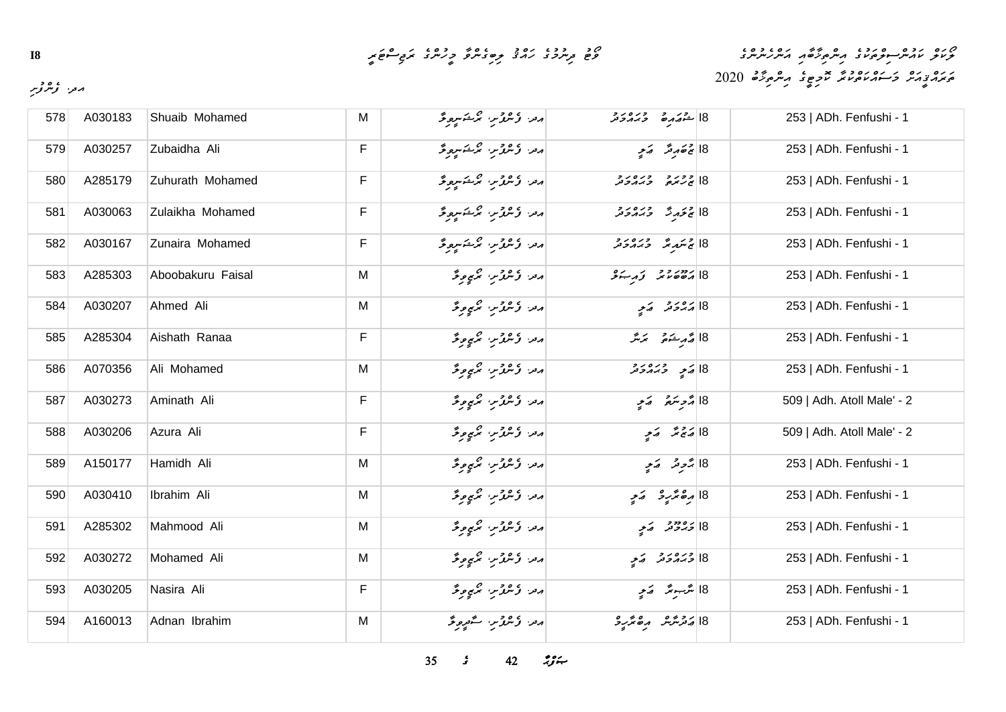*sCw7q7s5w7m< o<n9nOoAw7o< sCq;mAwBoEw7q<m; wBm;vB* م من المرة المرة المرة المرجع المرجع في المركبة 2020<br>مجم*د المريض المربوط المربع المرجع في المراجع المركبة* 

| 578 | A030183 | Shuaib Mohamed    | M           | أمعرا وكلوفرس للمشور ومؤثر | $32023$ $2043$ $8$                      | 253   ADh. Fenfushi - 1    |
|-----|---------|-------------------|-------------|----------------------------|-----------------------------------------|----------------------------|
| 579 | A030257 | Zubaidha Ali      | F           | أمعرا وتموس للمشهور        | 8  ج <i>ھَ مِ</i> رْشَر صَعِي           | 253   ADh. Fenfushi - 1    |
| 580 | A285179 | Zuhurath Mohamed  | F           | أمعرا وتكروس للمشكومورد    | 8  ج جمع حده دور                        | 253   ADh. Fenfushi - 1    |
| 581 | A030063 | Zulaikha Mohamed  | F           | أمعرا وتلوس للمشهورة       | 8  بح <i>قرم ڈی محمد ق</i> ر            | 253   ADh. Fenfushi - 1    |
| 582 | A030167 | Zunaira Mohamed   | F           | أمعرا وكروس الركاسيوقى     | 8  ىئ <i>سَمدٍ مَدَّ مَدَ دَور</i>      | 253   ADh. Fenfushi - 1    |
| 583 | A285303 | Aboobakuru Faisal | M           | أمعرا وتتروس تريج وتخ      | 3.2221                                  | 253   ADh. Fenfushi - 1    |
| 584 | A030207 | Ahmed Ali         | M           | أمعرا كرهوس لرجي وتخ       | 8  رَرُدَوَرْ کَمَ مِی                  | 253   ADh. Fenfushi - 1    |
| 585 | A285304 | Aishath Ranaa     | $\mathsf F$ | أمعرا وكلوفرا الكياج وتخر  | 8  <i>ھەم</i> شىق ئىرتىگە               | 253   ADh. Fenfushi - 1    |
| 586 | A070356 | Ali Mohamed       | M           | أمعرا وتتروش ترتج وتخر     | 8  رَمِي دُبَرْدُونْد                   | 253   ADh. Fenfushi - 1    |
| 587 | A030273 | Aminath Ali       | F           | أمعرا كرعوفرا الرجاج فركم  | 8ا <i>مُ</i> حب <i>سَمُ مَ</i> حِبِ     | 509   Adh. Atoll Male' - 2 |
| 588 | A030206 | Azura Ali         | $\mathsf F$ | أمعرا كرعوفرا الرجاج فركم  | 8  پرچ پر پر پر                         | 509   Adh. Atoll Male' - 2 |
| 589 | A150177 | Hamidh Ali        | M           | أمعرا كرهوس لرجي وتخ       | 8  بَرْحِ مَدْ سَمْ يَوْ                | 253   ADh. Fenfushi - 1    |
| 590 | A030410 | Ibrahim Ali       | M           | أمعرا وكلوفرا الكهج وقر    | 8  رەئزى <sub>ي</sub> ۇ ك <sub>ەم</sub> | 253   ADh. Fenfushi - 1    |
| 591 | A285302 | Mahmood Ali       | M           | أمعرا وكلوفرا الكهج وقر    | 8  دَيْرْدْ مَدِ                        | 253   ADh. Fenfushi - 1    |
| 592 | A030272 | Mohamed Ali       | M           | أمعرا كرعوفرا الرجاج فركم  | 8  <i>3225 - مَ</i> حٍ                  | 253   ADh. Fenfushi - 1    |
| 593 | A030205 | Nasira Ali        | F           | أمعرا كرعوفرا الرجاج فركم  | 8ا م <i>گہونڈ م</i> َدیمِ               | 253   ADh. Fenfushi - 1    |
| 594 | A160013 | Adnan Ibrahim     | M           | أرد. وتكوير، كورونج        | 8  رَمَّرْسُرْ مِنْ مِرْسِرْ 3          | 253   ADh. Fenfushi - 1    |

**35** *s* **42** *n***<sub>s</sub>***n***<sub>s</sub>**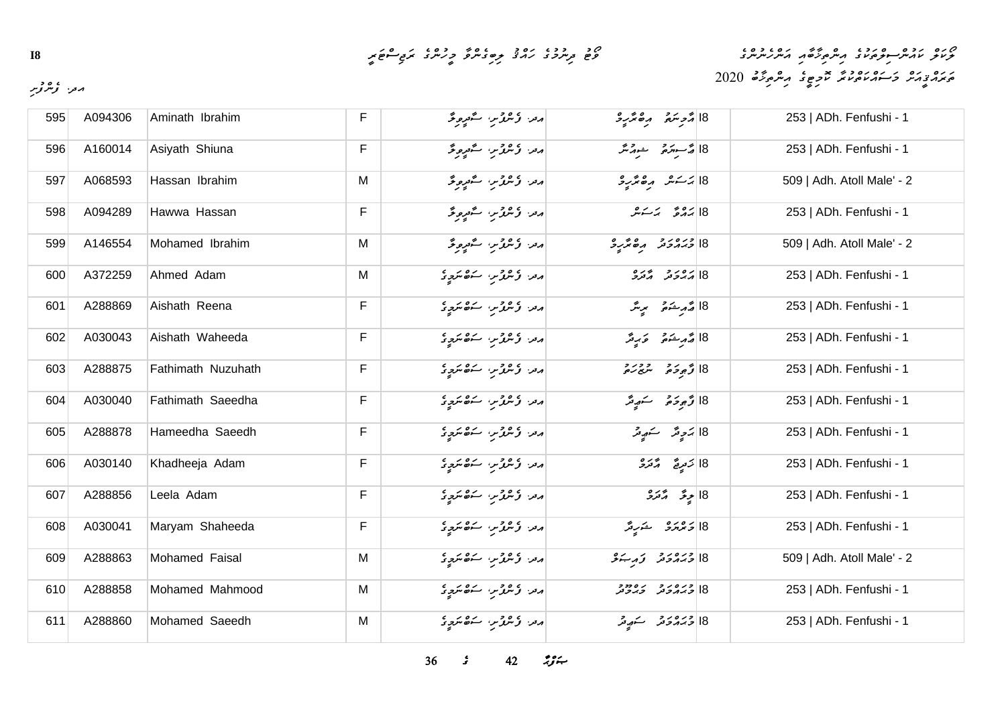*sCw7q7s5w7m< o<n9nOoAw7o< sCq;mAwBoEw7q<m; wBm;vB* م من المسجد المسجد المسجد المسجد المسجد العام 2020<br>مسجد المسجد المسجد المسجد المسجد المسجد المسجد المسجد المسجد ال

| 595 | A094306 | Aminath Ibrahim    | F           | مەر. ۋىنترۇس سەمرەق       | 8  مُجرِسَمُ مِنْ مِنْ مِنْ مِنْ مِنْ            | 253   ADh. Fenfushi - 1    |
|-----|---------|--------------------|-------------|---------------------------|--------------------------------------------------|----------------------------|
| 596 | A160014 | Asiyath Shiuna     | F           | أمعرا وكروحي السكورونج    | 8  <i>مُنْ سِيهُ مِنْ شَوْرِ مُنَّ</i> رَ        | 253   ADh. Fenfushi - 1    |
| 597 | A068593 | Hassan Ibrahim     | M           | أمعرا وكلوفرا الشعروفخ    | 8  ئەسەمى <i>ر مەھتىپ</i> ۇ                      | 509   Adh. Atoll Male' - 2 |
| 598 | A094289 | Hawwa Hassan       | F           | أمعرا وكروس سكعرونج       | 18 ئەۋرى ئەسىر                                   | 253   ADh. Fenfushi - 1    |
| 599 | A146554 | Mohamed Ibrahim    | M           | أمعرا وتكوس الشميرة فخر   | 8  <i>وبرودو م</i> ڤتربرو                        | 509   Adh. Atoll Male' - 2 |
| 600 | A372259 | Ahmed Adam         | M           | أمعرا وكفروش سكاه للرجاء  | 8  پروژ په پره                                   | 253   ADh. Fenfushi - 1    |
| 601 | A288869 | Aishath Reena      | F           | أمعرا وكرومين الشكاسيروني | 8  پژم <i>ی</i> شتر پریٹر                        | 253   ADh. Fenfushi - 1    |
| 602 | A030043 | Aishath Waheeda    | F           | أمعرا وتنزوين الشقاشعي    | 8  رَ <i>ّم شَمْ</i> ح وَرِيْرً                  | 253   ADh. Fenfushi - 1    |
| 603 | A288875 | Fathimath Nuzuhath | F           | أمعها وتمروس كالصريرة     | 8  <i>وُّجِوحَةْ مُتَّجَدَّةْ</i>                | 253   ADh. Fenfushi - 1    |
| 604 | A030040 | Fathimath Saeedha  | F           | أمعرا وكلوفرا استصنكونى   | 8   <i>وگھوختھ ڪھ</i> ومئر                       | 253   ADh. Fenfushi - 1    |
| 605 | A288878 | Hameedha Saeedh    | $\mathsf F$ | أمعرا وكفروش سكافا مكروى  | 8  كەچەمە س <i>ەم</i> ەتە                        | 253   ADh. Fenfushi - 1    |
| 606 | A030140 | Khadheeja Adam     | F           | معدا وتكويرا كالمتحامر    | 8  كَسِيعٌ مُرَمَّرَةٌ وَمَسَ                    | 253   ADh. Fenfushi - 1    |
| 607 | A288856 | Leela Adam         | F           | أمعرا وتفرير الشقاشعي     | 8  مِرْدَّ دَّتَرَدُّ                            | 253   ADh. Fenfushi - 1    |
| 608 | A030041 | Maryam Shaheeda    | F           | أمعرا وكرومين الشكاسيروني | 8   ئ <i>ەنگەنىڭ</i> رىشى ئىمرىتىگە              | 253   ADh. Fenfushi - 1    |
| 609 | A288863 | Mohamed Faisal     | M           | معرا وكلوفرس سكھ مكرونى   | 18 <i>ۋىزودى ق</i> ەبىكى                         | 509   Adh. Atoll Male' - 2 |
| 610 | A288858 | Mohamed Mahmood    | M           | أمعرا وكرومين الشكاسيروني | 8  دبره در د دود                                 | 253   ADh. Fenfushi - 1    |
| 611 | A288860 | Mohamed Saeedh     | M           | أمعها وتفرقس كالصريرة     | 8  <i>  جُهُ جُهْدٍ جُمْرٍ مُ</i> رَ سُمَرٍ مِرْ | 253   ADh. Fenfushi - 1    |

**36** *s* **42** *z z*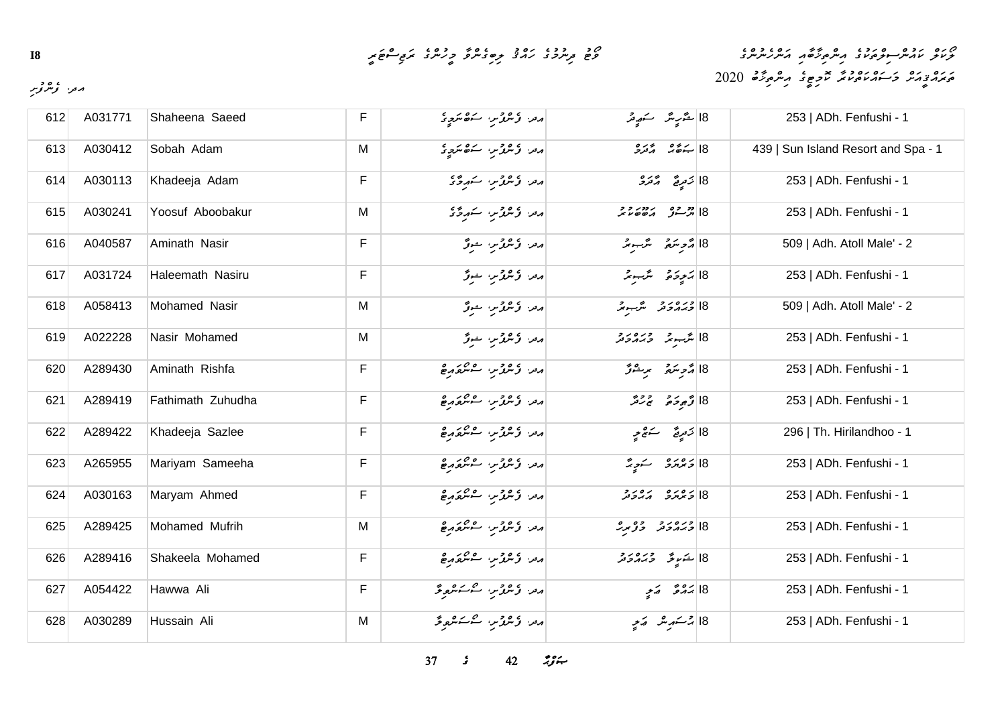*sCw7q7s5w7m< o<n9nOoAw7o< sCq;mAwBoEw7q<m; wBm;vB* م من المرة المرة المرة المرجع المرجع في المركبة 2020<br>مجم*د المريض المربوط المربع المرجع في المراجع المركبة* 

| 612 | A031771 | Shaheena Saeed    | F           | معرا وكالدورا الكوكالكرجي       | 8  گے پیٹر ک <i>ے پی</i> ٹر                                        | 253   ADh. Fenfushi - 1             |
|-----|---------|-------------------|-------------|---------------------------------|--------------------------------------------------------------------|-------------------------------------|
| 613 | A030412 | Sobah Adam        | M           | معه وعوفر كالمتور               | 8  يەھ بە مەمر <i>ە</i>                                            | 439   Sun Island Resort and Spa - 1 |
| 614 | A030113 | Khadeeja Adam     | F           | أمعرا وتعروس ستهرؤى             | 8  كَتْمِيعٌ – مُرْمَرْدُ                                          | 253   ADh. Fenfushi - 1             |
| 615 | A030241 | Yoosuf Aboobakur  | M           | أمعن وتنزوين سكروي              | $22222$ $18$                                                       | 253   ADh. Fenfushi - 1             |
| 616 | A040587 | Aminath Nasir     | $\mathsf F$ | أمعا كرمكرس جور                 | 8  <i>مُّجِسَعْهُ</i> مُ <i>مُّسِيَّدُ</i>                         | 509   Adh. Atoll Male' - 2          |
| 617 | A031724 | Haleemath Nasiru  | F           | أمعا وكمثور جوؤ                 | 8  بَرْمٍرَدَة مُسْتَدِيرٌ                                         | 253   ADh. Fenfushi - 1             |
| 618 | A058413 | Mohamed Nasir     | M           | أمعا كرمرتس جور                 | 8  <i>  32,232 سگەبىرى</i> گ                                       | 509   Adh. Atoll Male' - 2          |
| 619 | A022228 | Nasir Mohamed     | M           | أمعا وكثروس جور                 | 8  مَ <i>رْسِومْ وْبَرْدُونْدْ</i>                                 | 253   ADh. Fenfushi - 1             |
| 620 | A289430 | Aminath Rishfa    | F           | معر ومعرس ومره                  | 8  <i>مُ</i> حِ سَمَعُ مَ سِشْرَتَرَ                               | 253   ADh. Fenfushi - 1             |
| 621 | A289419 | Fathimath Zuhudha | $\mathsf F$ | أمعر وعروس كالمتعددة            | 8  وَّجِوحَةٌ مِّي رَمَّدٌ                                         | 253   ADh. Fenfushi - 1             |
| 622 | A289422 | Khadeeja Sazlee   | F           | معر ومروس ومنقدم                | 8  رَسِعٌ سَوْمٍ حَمَدٍ                                            | 296   Th. Hirilandhoo - 1           |
| 623 | A265955 | Mariyam Sameeha   | F           | معر ومعرس وميره                 | 8   <i>5 بم</i> هرد سکوید                                          | 253   ADh. Fenfushi - 1             |
| 624 | A030163 | Maryam Ahmed      | F           | أمعر وسروس مصرم                 | 8   كانترىرى كەنزىرىيە ئىس                                         | 253   ADh. Fenfushi - 1             |
| 625 | A289425 | Mohamed Mufrih    | M           | أمعر وعروس كالمعقدة             | 8  32,25 33 مرج                                                    | 253   ADh. Fenfushi - 1             |
| 626 | A289416 | Shakeela Mohamed  | F           | معر ومروس ومرده                 | 8  ڪي <sub>مير</sub> تقرير <i>وري</i><br>8  ڪيمير <i>قرير و</i> ري | 253   ADh. Fenfushi - 1             |
| 627 | A054422 | Hawwa Ali         | F           | مەر، ئۇنترىقرىي، سىگە ئىسكىرىگە |                                                                    | 253   ADh. Fenfushi - 1             |
| 628 | A030289 | Hussain Ali       | M           | مەر ئۇنترىر، سەسەتتىرىدۇ        | 8  برسمبر میں تھ <b>ی</b>                                          | 253   ADh. Fenfushi - 1             |

*37 sC 42 nNw?mS*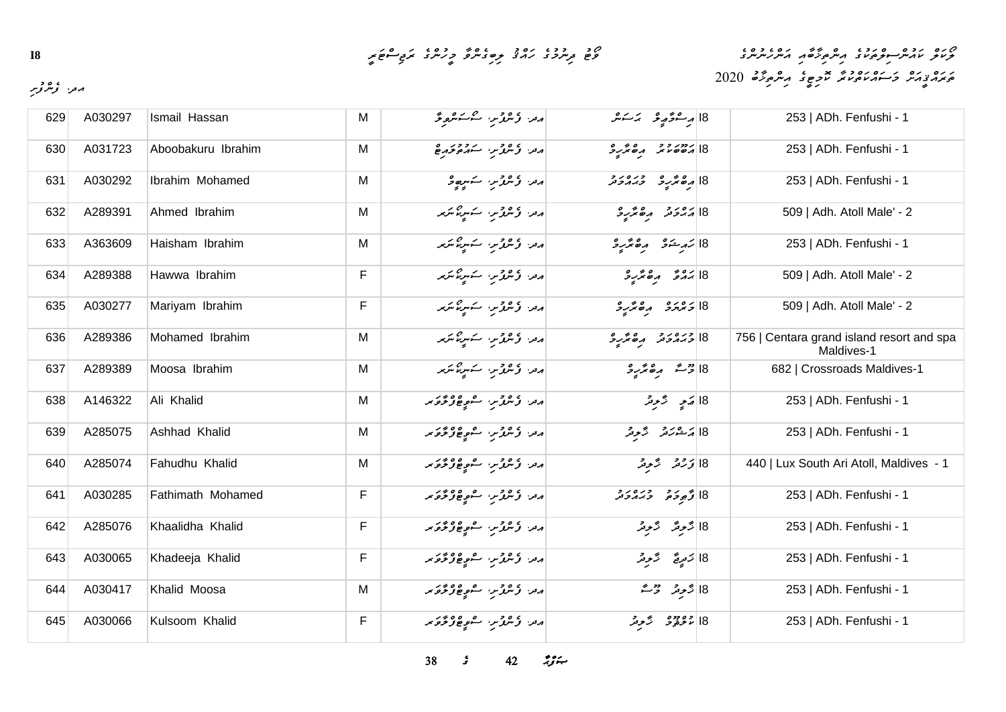*sCw7q7s5w7m< o<n9nOoAw7o< sCq;mAwBoEw7q<m; wBm;vB* م من المسجد المسجد المسجد المسجد المسجد العام 2020<br>مسجد المسجد المسجد المسجد المسجد المسجد المسجد المسجد المسجد ال

| 629 | A030297 | Ismail Hassan      | M           | أمعرا وتكروس كالكالعوقر        | 8  م <sub>ە</sub> سىمۇم <sub>ب</sub> و ئەسەھ | 253   ADh. Fenfushi - 1                                 |
|-----|---------|--------------------|-------------|--------------------------------|----------------------------------------------|---------------------------------------------------------|
| 630 | A031723 | Aboobakuru Ibrahim | M           | معر ومروس سهم ومره             | 3.222                                        | 253   ADh. Fenfushi - 1                                 |
| 631 | A030292 | Ibrahim Mohamed    | M           | مدر وتروس كورية و              | 18 مەھمەر <i>25.25 كى</i>                    | 253   ADh. Fenfushi - 1                                 |
| 632 | A289391 | Ahmed Ibrahim      | M           | معرا وكلوفرس الكرسكين          | 8   روبر و مقتربة                            | 509   Adh. Atoll Male' - 2                              |
| 633 | A363609 | Haisham Ibrahim    | M           | مەر، ۋىكرۇس، سەسرىكىكىلە       | 8   كەرىشەق ب <i>ەھەتگەپ</i> ى               | 253   ADh. Fenfushi - 1                                 |
| 634 | A289388 | Hawwa Ibrahim      | $\mathsf F$ | أمعه وتلوس كالرهاشد            | 8  ئەمگە مەھم <i>گرى</i> 18                  | 509   Adh. Atoll Male' - 2                              |
| 635 | A030277 | Mariyam Ibrahim    | $\mathsf F$ | مەر، ۋىكرۇس، سەسرىكىكىلە       | 8   <i>5 بُرْمَرْدْ بِهِ مُدَّرِدْ</i>       | 509   Adh. Atoll Male' - 2                              |
| 636 | A289386 | Mohamed Ibrahim    | M           | مەر، كۆشكۈش سەس ئىكىمە         | 8  <i>وټرونو م</i> ېڅريځ                     | 756   Centara grand island resort and spa<br>Maldives-1 |
| 637 | A289389 | Moosa Ibrahim      | M           | معرا وكلوفرين الكلوبة للرما    | 8   ج <sup>مع</sup> م <i>ەمگ</i> رىۋ         | 682   Crossroads Maldives-1                             |
| 638 | A146322 | Ali Khalid         | M           | معرا وتتروين كالمحوظ ومحامد    | 8  رَرِ رَّمِوتَر                            | 253   ADh. Fenfushi - 1                                 |
| 639 | A285075 | Ashhad Khalid      | M           | أمعرا وتتروس كالمحوظ ومحامد    | 18 كەشەرىق - ئۇمەتر                          | 253   ADh. Fenfushi - 1                                 |
| 640 | A285074 | Fahudhu Khalid     | M           | أمعرا وتتروس المقوع ومحامد     | 8   وَرُمْرٌ گُرُورٌ                         | 440   Lux South Ari Atoll, Maldives - 1                 |
| 641 | A030285 | Fathimath Mohamed  | $\mathsf F$ | أمعرا وتتروش بالموقوقة ومحرما  | 8  وٌجوحَة وَبَرَهْ وَمَدْ                   | 253   ADh. Fenfushi - 1                                 |
| 642 | A285076 | Khaalidha Khalid   | $\mathsf F$ | أمعرا وتتروش بالموقوقة ومحرما  | 8  ڈَمِیڈ ڈَمِیڈ                             | 253   ADh. Fenfushi - 1                                 |
| 643 | A030065 | Khadeeja Khalid    | $\mathsf F$ | أمعرا وكروين المستموع والمحافر | 8  زَمِيعٌ    زَمِيرٌ                        | 253   ADh. Fenfushi - 1                                 |
| 644 | A030417 | Khalid Moosa       | M           | معرا وكعروس كوموقوقر المعا     | 8  رَّمِيز حِ شَ                             | 253   ADh. Fenfushi - 1                                 |
| 645 | A030066 | Kulsoom Khalid     | F           | معرا وتعويرا الشوع وتحوير      | 18  22% رَّحِيدُ                             | 253   ADh. Fenfushi - 1                                 |

**38** *s* **42** *n***<sub>s</sub>**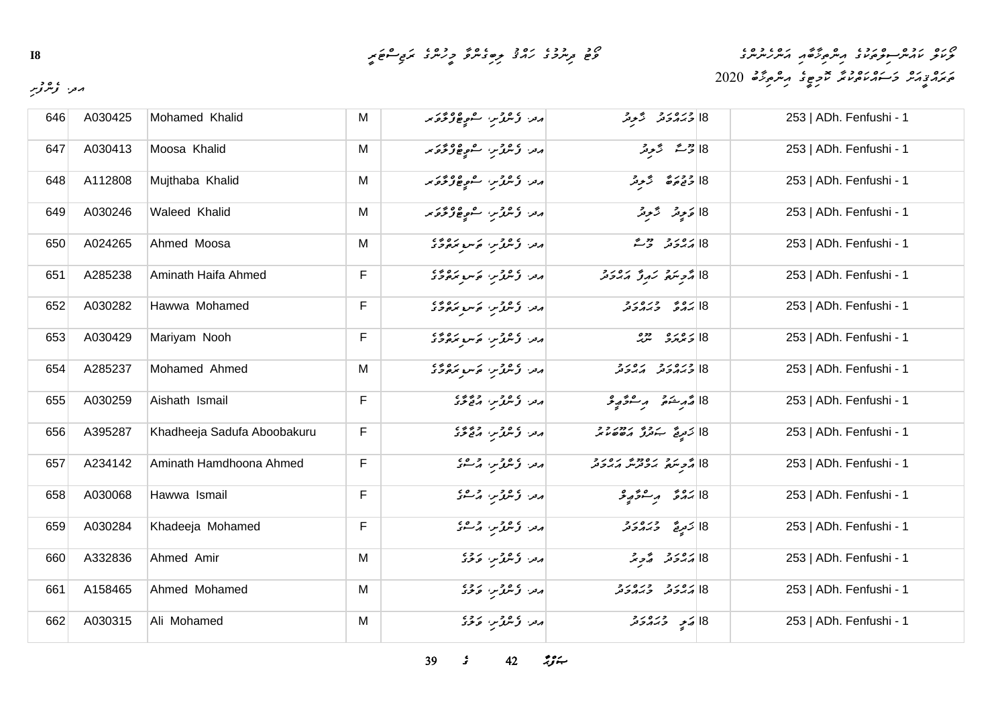*sCw7q7s5w7m< o<n9nOoAw7o< sCq;mAwBoEw7q<m; wBm;vB* م من المسجد المسجد المسجد المسجد المسجد العام 2020<br>مسجد المسجد المسجد المسجد المسجد المسجد المسجد المسجد المسجد ال

| 646 | A030425 | Mohamed Khalid              | M            | مەر، ئۇنترىگىر، سەم ھۇقۇقۇم           | 18 دُبَہْدُدَتَر ۔ رَّحِيْرُ             | 253   ADh. Fenfushi - 1 |
|-----|---------|-----------------------------|--------------|---------------------------------------|------------------------------------------|-------------------------|
| 647 | A030413 | Moosa Khalid                | M            | أمعرا وتتروش سفوع والمحكمة            | 8  جُ شَعْرَ مَدْ                        | 253   ADh. Fenfushi - 1 |
| 648 | A112808 | Mujthaba Khalid             | M            | معرا وتعويرا الشور ووادوند            | 8  وَقِهْرَةٌ تَرْمِرُ                   | 253   ADh. Fenfushi - 1 |
| 649 | A030246 | <b>Waleed Khalid</b>        | M            | أمعرا وتتروش كالمحفوظ والمحتجم المحمد | 8  ق م قد شعر قدم 18                     | 253   ADh. Fenfushi - 1 |
| 650 | A024265 | Ahmed Moosa                 | M            | أمعن وتنزوين المجامع للمحروم          | 18 كەبرى قەرىبىگە                        | 253   ADh. Fenfushi - 1 |
| 651 | A285238 | Aminath Haifa Ahmed         | $\mathsf F$  | أمعن وتمويمن كالسع للمعرف             | 8  مەمەسىمە ئى <sub>م</sub> ىرۇ مەمەدىر  | 253   ADh. Fenfushi - 1 |
| 652 | A030282 | Hawwa Mohamed               | $\mathsf{F}$ | أمعه وكلوفر المحسومهوف                | 18 يزەر ئەرەر ئە                         | 253   ADh. Fenfushi - 1 |
| 653 | A030429 | Mariyam Nooh                | F            | معرسي وحريب كالسمع للمحروم            | 8  ئەمەدە مەدە                           | 253   ADh. Fenfushi - 1 |
| 654 | A285237 | Mohamed Ahmed               | M            | أمعن وتنزوين المجامع للمعرف           | 18 ديرورو سرورو                          | 253   ADh. Fenfushi - 1 |
| 655 | A030259 | Aishath Ismail              | F            | معرا وكالمعرض المرقع فرى              | 8  مەرىشقى مەش <i>ۇم</i> ۇ               | 253   ADh. Fenfushi - 1 |
| 656 | A395287 | Khadheeja Sadufa Aboobakuru | F            | أمعرا وكالمروس المقالحة               | 8  زَمِرِ مَجْ سَوْرَ وَصَفَا مَرْ       | 253   ADh. Fenfushi - 1 |
| 657 | A234142 | Aminath Hamdhoona Ahmed     | $\mathsf F$  | أمعرا وكالموس أمراء                   | 8  مُ وِسَعِ رَوْمِرْسُ مَدَومِر         | 253   ADh. Fenfushi - 1 |
| 658 | A030068 | Hawwa Ismail                | F            | أمعه: وكمعرض مرسور                    | 8  ئەۋۇ بەس <sup>ى</sup> ۋىرى<br>8       | 253   ADh. Fenfushi - 1 |
| 659 | A030284 | Khadeeja Mohamed            | F            | أمعه وتعرفس مرسومي                    | 8  زَمَرِيعٌ وَبَرُودَوْرَ               | 253   ADh. Fenfushi - 1 |
| 660 | A332836 | Ahmed Amir                  | M            | أمعه وكلوفر وودي                      | 8  رَ <sup>م</sup> ِرْدَتْرَ مَّدْحِيْرَ | 253   ADh. Fenfushi - 1 |
| 661 | A158465 | Ahmed Mohamed               | M            | أمعه وكلوفر وودي                      | 18 كەبۇر قىدەرد                          | 253   ADh. Fenfushi - 1 |
| 662 | A030315 | Ali Mohamed                 | M            | معه وكلور ووء                         | 8  رَمِي دَبَرُ دَورَ                    | 253   ADh. Fenfushi - 1 |

**39** *s* **42** *z z*<sub></sub> *z*<sub></sub>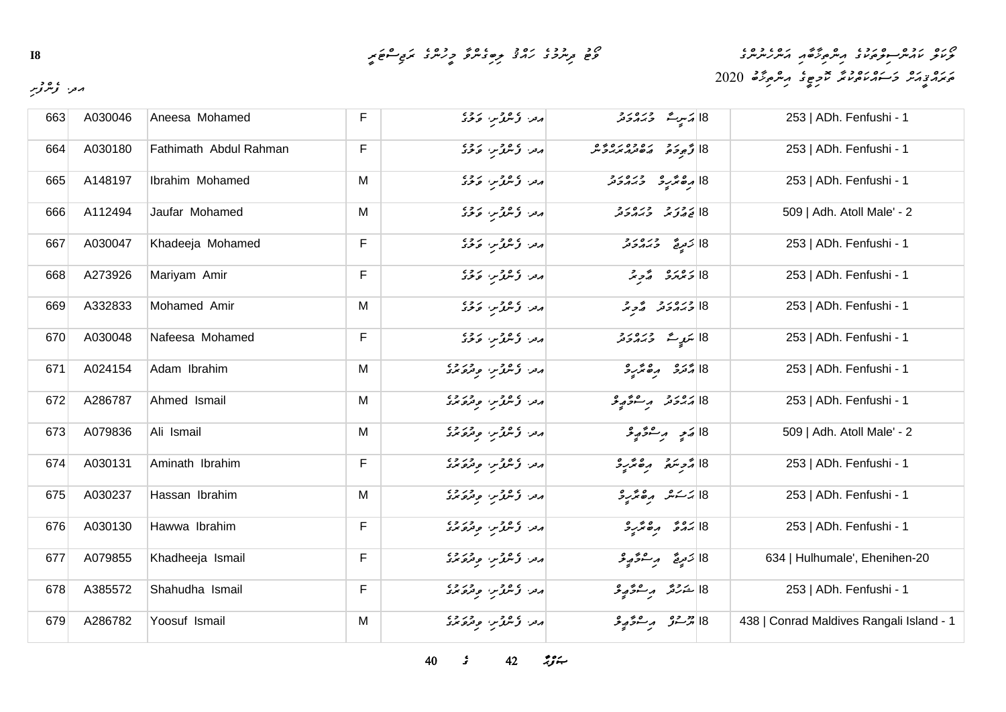*sCw7q7s5w7m< o<n9nOoAw7o< sCq;mAwBoEw7q<m; wBm;vB* م من المرة المرة المرة المرجع المرجع في المركبة 2020<br>مجم*د المريض المربوط المربع المرجع في المراجع المركبة* 

| 663 | A030046 | Aneesa Mohamed         | F | معه وكثروس ودء       | 8  پرس <i>ر محمدون</i> د                         | 253   ADh. Fenfushi - 1                  |
|-----|---------|------------------------|---|----------------------|--------------------------------------------------|------------------------------------------|
| 664 | A030180 | Fathimath Abdul Rahman | F | أمعه وكمعرض ودوء     | 8  زٌجودَ و ماه ده ده ده و                       | 253   ADh. Fenfushi - 1                  |
| 665 | A148197 | Ibrahim Mohamed        | M | معر وكلور ووء        | 8  مەھمىر ئەزەر ئەرەر ئا                         | 253   ADh. Fenfushi - 1                  |
| 666 | A112494 | Jaufar Mohamed         | M | أمعرا وتعوين أودوه   | 8  ق م ق ح م م م د و د                           | 509   Adh. Atoll Male' - 2               |
| 667 | A030047 | Khadeeja Mohamed       | F | أمعرا وتعوين أودوه   | 8  زَمَرِيحٌ وَبَرُودَوْرٌ                       | 253   ADh. Fenfushi - 1                  |
| 668 | A273926 | Mariyam Amir           | F | معه وكلور ووء        | 8   <i>ویمبرڈ مڈجن</i> گ                         | 253   ADh. Fenfushi - 1                  |
| 669 | A332833 | Mohamed Amir           | M | معر وكلور ووء        | 8  <i>وبروبرو م</i> جوبمر                        | 253   ADh. Fenfushi - 1                  |
| 670 | A030048 | Nafeesa Mohamed        | F | معر وعوض ووه         | 8  سَمِرٍ <i>— مَحدَّدُو</i> تر                  | 253   ADh. Fenfushi - 1                  |
| 671 | A024154 | Adam Ibrahim           | M | أمعرا وكفروس ومروء   | 8  ر <i>قىۋە مەمگرى</i> ۋ                        | 253   ADh. Fenfushi - 1                  |
| 672 | A286787 | Ahmed Ismail           | M | أمعرا وكفروس ومروء   | 8  <i>גُجُ</i> وَتْر بِرِ مُؤْثِرِ وَ            | 253   ADh. Fenfushi - 1                  |
| 673 | A079836 | Ali Ismail             | M | معرا وكفرون وقروده   | 8  پَرِ مِ مِ مُؤْمِرِ وَ                        | 509   Adh. Atoll Male' - 2               |
| 674 | A030131 | Aminath Ibrahim        | F | معر وكفرو ومروء      | 8  مُرْحِسَة <sub>ُ م</sub> ِهْتَرِ وُ           | 253   ADh. Fenfushi - 1                  |
| 675 | A030237 | Hassan Ibrahim         | M | أمعرا وكفروس ومروء   | 8   ئەسەمدىر م <i>ەھت</i> رىيى                   | 253   ADh. Fenfushi - 1                  |
| 676 | A030130 | Hawwa Ibrahim          | F | أمعرا وكلوفرا وقروده | 8  بَرْدُعٌ بِرِهْ بَرْبِهِ ۚ                    | 253   ADh. Fenfushi - 1                  |
| 677 | A079855 | Khadheeja Ismail       | F | أمعه وكتلوس وفرود    | 8  زَمِرِيَّ <sub>م</sub> ِ سُ <i>وَّ م</i> ِ وُ | 634   Hulhumale', Ehenihen-20            |
| 678 | A385572 | Shahudha Ismail        | F | أمعرا وكلوفرا وقروده | 8  خەرق <sub>ىمە</sub> مەش <i>ۇر بى</i>          | 253   ADh. Fenfushi - 1                  |
| 679 | A286782 | Yoosuf Ismail          | M | معه وكثرو وتروء      | 8  تريشۇ ب <sub>ە</sub> سەئەرچە                  | 438   Conrad Maldives Rangali Island - 1 |

*40 sC 42 nNw?mS*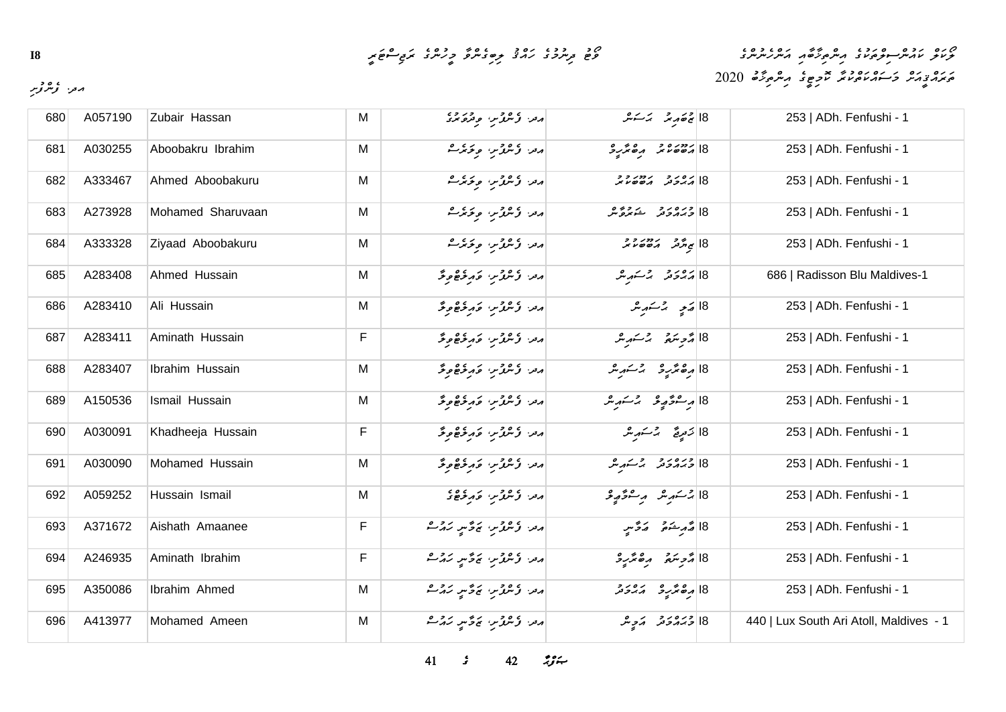*sCw7q7s5w7m< o<n9nOoAw7o< sCq;mAwBoEw7q<m; wBm;vB* م من المسجد المسجد المسجد المسجد المسجد العام 2020<br>مسجد المسجد المسجد المسجد المسجد المسجد المسجد المسجد المسجد ال

| 680 | A057190 | Zubair Hassan     | M           | معرا وكلوفرا وقروء              | 8  ج ھَ ہر مَر سک <i>ے مگر</i>              | 253   ADh. Fenfushi - 1                 |
|-----|---------|-------------------|-------------|---------------------------------|---------------------------------------------|-----------------------------------------|
| 681 | A030255 | Aboobakru Ibrahim | M           | أمعرا وكالروس وترتكب            | 3.800228                                    | 253   ADh. Fenfushi - 1                 |
| 682 | A333467 | Ahmed Aboobakuru  | M           | أمعرا كرهوس وترتره              | 3222222222                                  | 253   ADh. Fenfushi - 1                 |
| 683 | A273928 | Mohamed Sharuvaan | M           | أمعرا كرهوش وكركرها             | 8   <i>وبروبرو خەيرۇنل</i> ە                | 253   ADh. Fenfushi - 1                 |
| 684 | A333328 | Ziyaad Aboobakuru | M           | أمعرا وتكوس وترتره              | 8] يې ترگتر د منصوبو د 18                   | 253   ADh. Fenfushi - 1                 |
| 685 | A283408 | Ahmed Hussain     | M           | أمعن وتكروس كالركوع وتخ         | 8   پرچوکر کرکے ہر بار                      | 686   Radisson Blu Maldives-1           |
| 686 | A283410 | Ali Hussain       | M           | أمعه وكثروش وكربح وبحر          | 8  پر پو جر شمېر شر                         | 253   ADh. Fenfushi - 1                 |
| 687 | A283411 | Aminath Hussain   | F           | أمعن وتكوي وكالموقع وقر         | 8  مٌحِ سَمَعٌ مُ يَسَمَ <i>رِ م</i> ُرْ    | 253   ADh. Fenfushi - 1                 |
| 688 | A283407 | Ibrahim Hussain   | M           | معرا وكثروس أو مركز كالموالي    | 8  مەھمەر 2 - ئەسەمبەر                      | 253   ADh. Fenfushi - 1                 |
| 689 | A150536 | Ismail Hussain    | M           | أمعه وكثروس وكربح وبحر          | 8   <sub>م</sub> رعو <i>ڈمی</i> و جسکمبرمگر | 253   ADh. Fenfushi - 1                 |
| 690 | A030091 | Khadheeja Hussain | $\mathsf F$ | أمعن وتكوي عكر فكالحوث          | 8   كەنبەتق    ئەسكە <i>ر بىر</i>           | 253   ADh. Fenfushi - 1                 |
| 691 | A030090 | Mohamed Hussain   | M           | أمعه وتكور ومركوع ولخر          | 18 دېم دې د شهر شر                          | 253   ADh. Fenfushi - 1                 |
| 692 | A059252 | Hussain Ismail    | M           | أمعر وكالمعجمون كالمرجعى        | 8   پرستمبر شر مر سر مرکز مربر می           | 253   ADh. Fenfushi - 1                 |
| 693 | A371672 | Aishath Amaanee   | F           | مەر، ئۇنترلۇپ، ئەگەس ئەمرىق     | 8  <i>مُذہبخوش مُ</i> حَسِرِ                | 253   ADh. Fenfushi - 1                 |
| 694 | A246935 | Aminath Ibrahim   | F           | مەر، ئۇنترۇس ئۇگىر ئەمرىق       | 8  مُرْحِسَةُ مِنْ مُرْجِعٌ                 | 253   ADh. Fenfushi - 1                 |
| 695 | A350086 | Ibrahim Ahmed     | M           | معرا وكرويل الأوضح مركز والمحمد | 8  م <i>ِ ھُنَّرِ وَ</i> مَدَوَمَرَ         | 253   ADh. Fenfushi - 1                 |
| 696 | A413977 | Mohamed Ameen     | M           | أمعرا وتتروش كالحس كالمراقب     | 8  <i>  جُهُدُوَنْڌ جُ</i> حِيثْر           | 440   Lux South Ari Atoll, Maldives - 1 |

 $41$  *s*  $42$  *n***<sub>s</sub>**